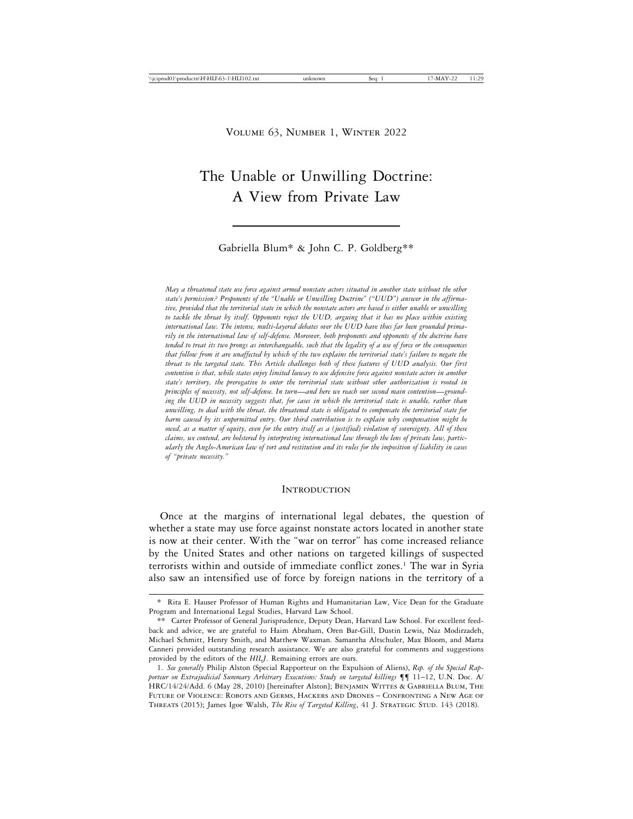# The Unable or Unwilling Doctrine: A View from Private Law

## Gabriella Blum\* & John C. P. Goldberg\*\*

*May a threatened state use force against armed nonstate actors situated in another state without the other state's permission? Proponents of the "Unable or Unwilling Doctrine" ("UUD") answer in the affirmative, provided that the territorial state in which the nonstate actors are based is either unable or unwilling to tackle the threat by itself. Opponents reject the UUD, arguing that it has no place within existing international law. The intense, multi-layered debates over the UUD have thus far been grounded primarily in the international law of self-defense. Moreover, both proponents and opponents of the doctrine have tended to treat its two prongs as interchangeable, such that the legality of a use of force or the consequences that follow from it are unaffected by which of the two explains the territorial state's failure to negate the threat to the targeted state. This Article challenges both of these features of UUD analysis. Our first contention is that, while states enjoy limited leeway to use defensive force against nonstate actors in another state's territory, the prerogative to enter the territorial state without other authorization is rooted in principles of necessity, not self-defense. In turn*—*and here we reach our second main contention*—*grounding the UUD in necessity suggests that, for cases in which the territorial state is unable, rather than unwilling, to deal with the threat, the threatened state is obligated to compensate the territorial state for harm caused by its unpermitted entry. Our third contribution is to explain why compensation might be owed, as a matter of equity, even for the entry itself as a (justified) violation of sovereignty. All of these claims, we contend, are bolstered by interpreting international law through the lens of private law, particularly the Anglo-American law of tort and restitution and its rules for the imposition of liability in cases of "private necessity."*

#### **INTRODUCTION**

Once at the margins of international legal debates, the question of whether a state may use force against nonstate actors located in another state is now at their center. With the "war on terror" has come increased reliance by the United States and other nations on targeted killings of suspected terrorists within and outside of immediate conflict zones.<sup>1</sup> The war in Syria also saw an intensified use of force by foreign nations in the territory of a

<sup>\*</sup> Rita E. Hauser Professor of Human Rights and Humanitarian Law, Vice Dean for the Graduate Program and International Legal Studies, Harvard Law School.

<sup>\*\*</sup> Carter Professor of General Jurisprudence, Deputy Dean, Harvard Law School. For excellent feedback and advice, we are grateful to Haim Abraham, Oren Bar-Gill, Dustin Lewis, Naz Modirzadeh, Michael Schmitt, Henry Smith, and Matthew Waxman. Samantha Altschuler, Max Bloom, and Marta Canneri provided outstanding research assistance. We are also grateful for comments and suggestions provided by the editors of the *HILJ*. Remaining errors are ours.

<sup>1.</sup> *See generally* Philip Alston (Special Rapporteur on the Expulsion of Aliens), *Rep. of the Special Rapporteur on Extrajudicial Summary Arbitrary Executions: Study on targeted killings* ¶¶ 11–12, U.N. Doc. A/ HRC/14/24/Add. 6 (May 28, 2010) [hereinafter Alston]; BENJAMIN WITTES & GABRIELLA BLUM, THE Future of Violence: Robots and Germs, Hackers and Drones – Confronting a New Age of THREATS (2015); James Igoe Walsh, *The Rise of Targeted Killing*, 41 J. STRATEGIC STUD. 143 (2018).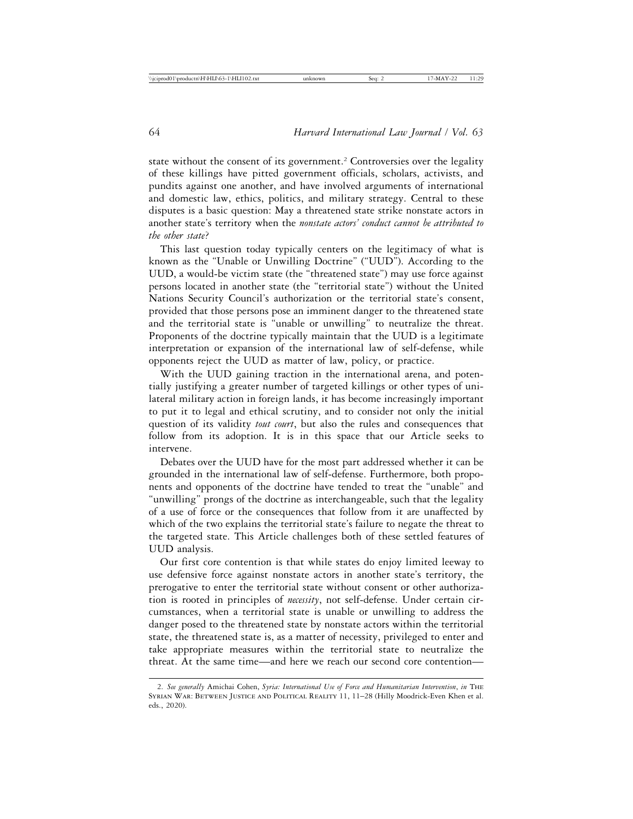state without the consent of its government.<sup>2</sup> Controversies over the legality of these killings have pitted government officials, scholars, activists, and pundits against one another, and have involved arguments of international and domestic law, ethics, politics, and military strategy. Central to these disputes is a basic question: May a threatened state strike nonstate actors in another state's territory when the *nonstate actors' conduct cannot be attributed to the other state*?

This last question today typically centers on the legitimacy of what is known as the "Unable or Unwilling Doctrine" ("UUD"). According to the UUD, a would-be victim state (the "threatened state") may use force against persons located in another state (the "territorial state") without the United Nations Security Council's authorization or the territorial state's consent, provided that those persons pose an imminent danger to the threatened state and the territorial state is "unable or unwilling" to neutralize the threat. Proponents of the doctrine typically maintain that the UUD is a legitimate interpretation or expansion of the international law of self-defense, while opponents reject the UUD as matter of law, policy, or practice.

With the UUD gaining traction in the international arena, and potentially justifying a greater number of targeted killings or other types of unilateral military action in foreign lands, it has become increasingly important to put it to legal and ethical scrutiny, and to consider not only the initial question of its validity *tout court*, but also the rules and consequences that follow from its adoption. It is in this space that our Article seeks to intervene.

Debates over the UUD have for the most part addressed whether it can be grounded in the international law of self-defense. Furthermore, both proponents and opponents of the doctrine have tended to treat the "unable" and "unwilling" prongs of the doctrine as interchangeable, such that the legality of a use of force or the consequences that follow from it are unaffected by which of the two explains the territorial state's failure to negate the threat to the targeted state. This Article challenges both of these settled features of UUD analysis.

Our first core contention is that while states do enjoy limited leeway to use defensive force against nonstate actors in another state's territory, the prerogative to enter the territorial state without consent or other authorization is rooted in principles of *necessity*, not self-defense. Under certain circumstances, when a territorial state is unable or unwilling to address the danger posed to the threatened state by nonstate actors within the territorial state, the threatened state is, as a matter of necessity, privileged to enter and take appropriate measures within the territorial state to neutralize the threat. At the same time—and here we reach our second core contention—

<sup>2.</sup> *See generally* Amichai Cohen, *Syria: International Use of Force and Humanitarian Intervention*, *in* The Syrian War: Between Justice and Political Reality 11, 11–28 (Hilly Moodrick-Even Khen et al. eds., 2020).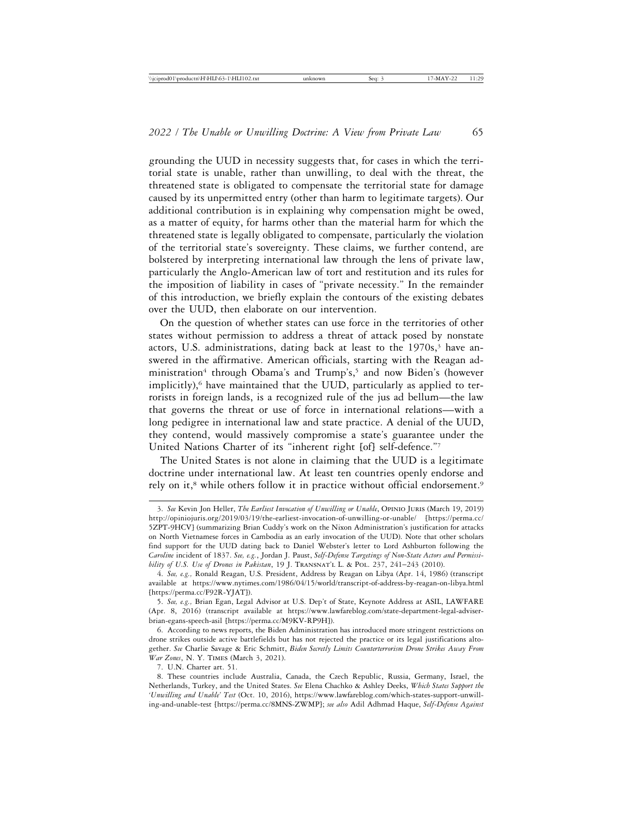grounding the UUD in necessity suggests that, for cases in which the territorial state is unable, rather than unwilling, to deal with the threat, the threatened state is obligated to compensate the territorial state for damage caused by its unpermitted entry (other than harm to legitimate targets). Our additional contribution is in explaining why compensation might be owed, as a matter of equity, for harms other than the material harm for which the threatened state is legally obligated to compensate, particularly the violation of the territorial state's sovereignty. These claims, we further contend, are bolstered by interpreting international law through the lens of private law, particularly the Anglo-American law of tort and restitution and its rules for the imposition of liability in cases of "private necessity." In the remainder of this introduction, we briefly explain the contours of the existing debates over the UUD, then elaborate on our intervention.

On the question of whether states can use force in the territories of other states without permission to address a threat of attack posed by nonstate actors, U.S. administrations, dating back at least to the  $1970s$ ,<sup>3</sup> have answered in the affirmative. American officials, starting with the Reagan administration<sup>4</sup> through Obama's and Trump's,<sup>5</sup> and now Biden's (however implicitly), $6$  have maintained that the UUD, particularly as applied to terrorists in foreign lands, is a recognized rule of the jus ad bellum—the law that governs the threat or use of force in international relations—with a long pedigree in international law and state practice. A denial of the UUD, they contend, would massively compromise a state's guarantee under the United Nations Charter of its "inherent right [of] self-defence."7

The United States is not alone in claiming that the UUD is a legitimate doctrine under international law. At least ten countries openly endorse and rely on it,<sup>8</sup> while others follow it in practice without official endorsement.<sup>9</sup>

<sup>3.</sup> *See* Kevin Jon Heller, *The Earliest Invocation of Unwilling or Unable*, Opinio Juris (March 19, 2019) http://opiniojuris.org/2019/03/19/the-earliest-invocation-of-unwilling-or-unable/ [https://perma.cc/ 5ZPT-9HCV] (summarizing Brian Cuddy's work on the Nixon Administration's justification for attacks on North Vietnamese forces in Cambodia as an early invocation of the UUD). Note that other scholars find support for the UUD dating back to Daniel Webster's letter to Lord Ashburton following the *Caroline* incident of 1837. *See, e.g.*, Jordan J. Paust, *Self-Defense Targetings of Non-State Actors and Permissibility of U.S. Use of Drones in Pakistan*, 19 J. TRANSNAT'L L. & POL. 237, 241-243 (2010).

<sup>4.</sup> *See, e.g.,* Ronald Reagan, U.S. President, Address by Reagan on Libya (Apr. 14, 1986) (transcript available at https://www.nytimes.com/1986/04/15/world/transcript-of-address-by-reagan-on-libya.html [https://perma.cc/F92R-YJAT]).

<sup>5.</sup> *See, e.g.,* Brian Egan, Legal Advisor at U.S. Dep't of State, Keynote Address at ASIL, LAWFARE (Apr. 8, 2016) (transcript available at https://www.lawfareblog.com/state-department-legal-adviserbrian-egans-speech-asil [https://perma.cc/M9KV-RP9H]).

<sup>6.</sup> According to news reports, the Biden Administration has introduced more stringent restrictions on drone strikes outside active battlefields but has not rejected the practice or its legal justifications altogether. *See* Charlie Savage & Eric Schmitt, *Biden Secretly Limits Counterterrorism Drone Strikes Away From War Zones*, N. Y. Times (March 3, 2021).

<sup>7.</sup> U.N. Charter art. 51.

<sup>8.</sup> These countries include Australia, Canada, the Czech Republic, Russia, Germany, Israel, the Netherlands, Turkey, and the United States. *See* Elena Chachko & Ashley Deeks, *Which States Support the 'Unwilling and Unable' Test* (Oct. 10, 2016), https://www.lawfareblog.com/which-states-support-unwilling-and-unable-test [https://perma.cc/8MNS-ZWMP]; *see also* Adil Adhmad Haque, *Self-Defense Against*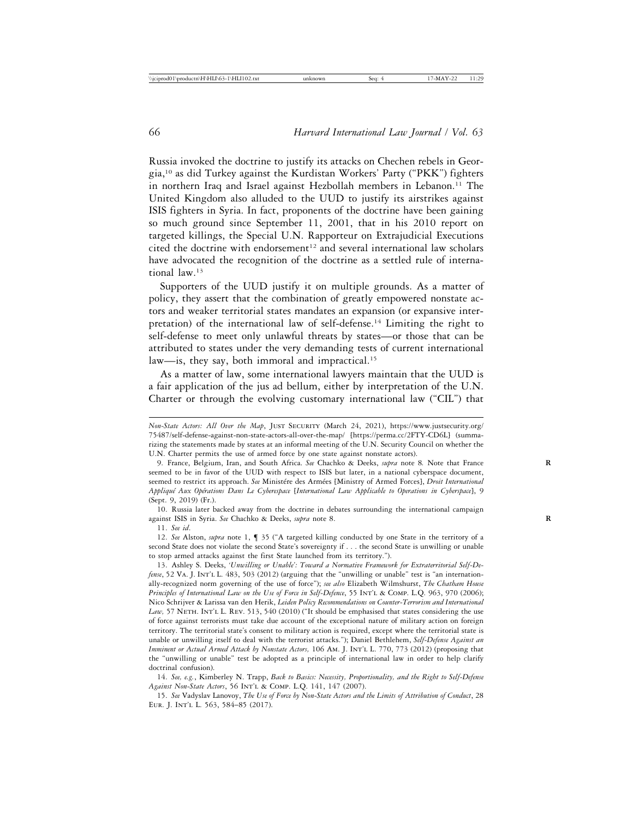Russia invoked the doctrine to justify its attacks on Chechen rebels in Georgia,10 as did Turkey against the Kurdistan Workers' Party ("PKK") fighters in northern Iraq and Israel against Hezbollah members in Lebanon.11 The United Kingdom also alluded to the UUD to justify its airstrikes against ISIS fighters in Syria. In fact, proponents of the doctrine have been gaining so much ground since September 11, 2001, that in his 2010 report on targeted killings, the Special U.N. Rapporteur on Extrajudicial Executions cited the doctrine with endorsement<sup>12</sup> and several international law scholars have advocated the recognition of the doctrine as a settled rule of international law.13

Supporters of the UUD justify it on multiple grounds. As a matter of policy, they assert that the combination of greatly empowered nonstate actors and weaker territorial states mandates an expansion (or expansive interpretation) of the international law of self-defense.14 Limiting the right to self-defense to meet only unlawful threats by states—or those that can be attributed to states under the very demanding tests of current international law—is, they say, both immoral and impractical.<sup>15</sup>

As a matter of law, some international lawyers maintain that the UUD is a fair application of the jus ad bellum, either by interpretation of the U.N. Charter or through the evolving customary international law ("CIL") that

10. Russia later backed away from the doctrine in debates surrounding the international campaign against ISIS in Syria. *See* Chachko & Deeks, *supra* note 8. **R**

11. *See id*.

12. *See* Alston, *supra* note 1, ¶ 35 ("A targeted killing conducted by one State in the territory of a second State does not violate the second State's sovereignty if . . . the second State is unwilling or unable to stop armed attacks against the first State launched from its territory.").

13. Ashley S. Deeks, *'Unwilling or Unable': Toward a Normative Framework for Extraterritorial Self-Defense*, 52 VA. J. INT'L L. 483, 503 (2012) (arguing that the "unwilling or unable" test is "an internationally-recognized norm governing of the use of force"); *see also* Elizabeth Wilmshurst, *The Chatham House Principles of International Law on the Use of Force in Self-Defence*, 55 Int'l & Comp. L.Q. 963, 970 (2006); Nico Schrijver & Larissa van den Herik, *Leiden Policy Recommendations on Counter-Terrorism and International* Law, 57 NETH. INT'L L. REV. 513, 540 (2010) ("It should be emphasised that states considering the use of force against terrorists must take due account of the exceptional nature of military action on foreign territory. The territorial state's consent to military action is required, except where the territorial state is unable or unwilling itself to deal with the terrorist attacks."); Daniel Bethlehem, *Self-Defense Against an Imminent or Actual Armed Attack by Nonstate Actors,* 106 Am. J. Int'l L. 770, 773 (2012) (proposing that the "unwilling or unable" test be adopted as a principle of international law in order to help clarify doctrinal confusion).

14. *See, e.g.*, Kimberley N. Trapp, *Back to Basics: Necessity, Proportionality, and the Right to Self-Defense Against Non-State Actors*, 56 Int'l & Comp. L.Q. 141, 147 (2007).

15. *See* Vadyslav Lanovoy, *The Use of Force by Non-State Actors and the Limits of Attribution of Conduct*, 28 Eur. J. Int'l L. 563, 584–85 (2017).

*Non-State Actors: All Over the Map*, Just Security (March 24, 2021), https://www.justsecurity.org/ 75487/self-defense-against-non-state-actors-all-over-the-map/ [https://perma.cc/2FTY-CD6L] (summarizing the statements made by states at an informal meeting of the U.N. Security Council on whether the U.N. Charter permits the use of armed force by one state against nonstate actors).

<sup>9.</sup> France, Belgium, Iran, and South Africa. *See* Chachko & Deeks, *supra* note 8*.* Note that France **R** seemed to be in favor of the UUD with respect to ISIS but later, in a national cyberspace document, seemed to restrict its approach. See Ministére des Armées [Ministry of Armed Forces], *Droit International Appliqu´e Aux Op´erations Dans Le Cyberespace* [*International Law Applicable to Operations in Cyberspace*], 9 (Sept. 9, 2019) (Fr.).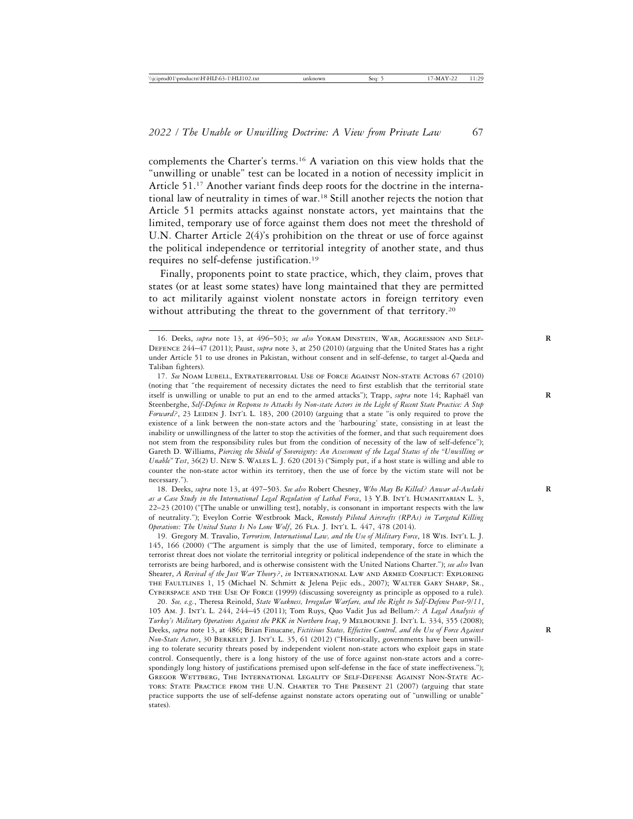complements the Charter's terms.16 A variation on this view holds that the "unwilling or unable" test can be located in a notion of necessity implicit in Article 51.17 Another variant finds deep roots for the doctrine in the international law of neutrality in times of war.18 Still another rejects the notion that Article 51 permits attacks against nonstate actors, yet maintains that the limited, temporary use of force against them does not meet the threshold of U.N. Charter Article  $2(4)$ 's prohibition on the threat or use of force against the political independence or territorial integrity of another state, and thus requires no self-defense justification.19

Finally, proponents point to state practice, which, they claim, proves that states (or at least some states) have long maintained that they are permitted to act militarily against violent nonstate actors in foreign territory even without attributing the threat to the government of that territory.<sup>20</sup>

18. Deeks, *supra* note 13, at 497–503. *See also* Robert Chesney, *Who May Be Killed? Anwar al-Awlaki* **R** *as a Case Study in the International Legal Regulation of Lethal Force*, 13 Y.B. Int'l Humanitarian L. 3, 22–23 (2010) ("[The unable or unwilling test], notably, is consonant in important respects with the law of neutrality."); Eveylon Corrie Westbrook Mack, *Remotely Piloted Aircrafts (RPAs) in Targeted Killing Operations: The United States Is No Lone Wolf, 26 FLA. J. INT'L L. 447, 478 (2014).* 

19. Gregory M. Travalio, *Terrorism, International Law, and the Use of Military Force*, 18 Wis. Int'l L. J. 145, 166 (2000) ("The argument is simply that the use of limited, temporary, force to eliminate a terrorist threat does not violate the territorial integrity or political independence of the state in which the terrorists are being harbored, and is otherwise consistent with the United Nations Charter."); *see also* Ivan Shearer, *A Revival of the Just War Theory?*, *in* International Law and Armed Conflict: Exploring the Faultlines 1, 15 (Michael N. Schmitt & Jelena Pejic eds., 2007); Walter Gary Sharp, Sr., Cyberspace and the Use Of Force (1999) (discussing sovereignty as principle as opposed to a rule).

20. *See, e.g.*, Theresa Reinold, *State Weakness, Irregular Warfare, and the Right to Self-Defense Post-9/11*, 105 Am. J. Int'l L. 244, 244–45 (2011); Tom Ruys, Quo Vadit Jus ad Bellum*?: A Legal Analysis of Turkey's Military Operations Against the PKK in Northern Iraq*, 9 Melbourne J. Int'l L. 334, 355 (2008); Deeks, *supra* note 13, at 486; Brian Finucane, *Fictitious States, Effective Control, and the Use of Force Against* **R** *Non-State Actors*, 30 Berkeley J. Int'l L. 35, 61 (2012) ("Historically, governments have been unwilling to tolerate security threats posed by independent violent non-state actors who exploit gaps in state control. Consequently, there is a long history of the use of force against non-state actors and a correspondingly long history of justifications premised upon self-defense in the face of state ineffectiveness."); Gregor Wettberg, The International Legality of Self-Defense Against Non-State Actors: State Practice from the U.N. Charter to The Present 21 (2007) (arguing that state practice supports the use of self-defense against nonstate actors operating out of "unwilling or unable" states).

<sup>16.</sup> Deeks, *supra* note 13, at 496–503; *see also* Yoram Dinstein, War, Aggression and Self- **R** Defence 244–47 (2011); Paust, *supra* note 3, at 250 (2010) (arguing that the United States has a right under Article 51 to use drones in Pakistan, without consent and in self-defense, to target al-Qaeda and Taliban fighters).

<sup>17.</sup> *See* Noam Lubell, Extraterritorial Use of Force Against Non-state Actors 67 (2010) (noting that "the requirement of necessity dictates the need to first establish that the territorial state itself is unwilling or unable to put an end to the armed attacks"); Trapp, *supra* note 14; Raphaël van Steenberghe, *Self-Defence in Response to Attacks by Non-state Actors in the Light of Recent State Practice: A Step Forward?*, 23 LEIDEN J. INT'L L. 183, 200 (2010) (arguing that a state "is only required to prove the existence of a link between the non-state actors and the 'harbouring' state, consisting in at least the inability or unwillingness of the latter to stop the activities of the former, and that such requirement does not stem from the responsibility rules but from the condition of necessity of the law of self-defence"); Gareth D. Williams, *Piercing the Shield of Sovereignty: An Assessment of the Legal Status of the "Unwilling or Unable" Test*, 36(2) U. New S. Wales L. J. 620 (2013) ("Simply put, if a host state is willing and able to counter the non-state actor within its territory, then the use of force by the victim state will not be necessary.").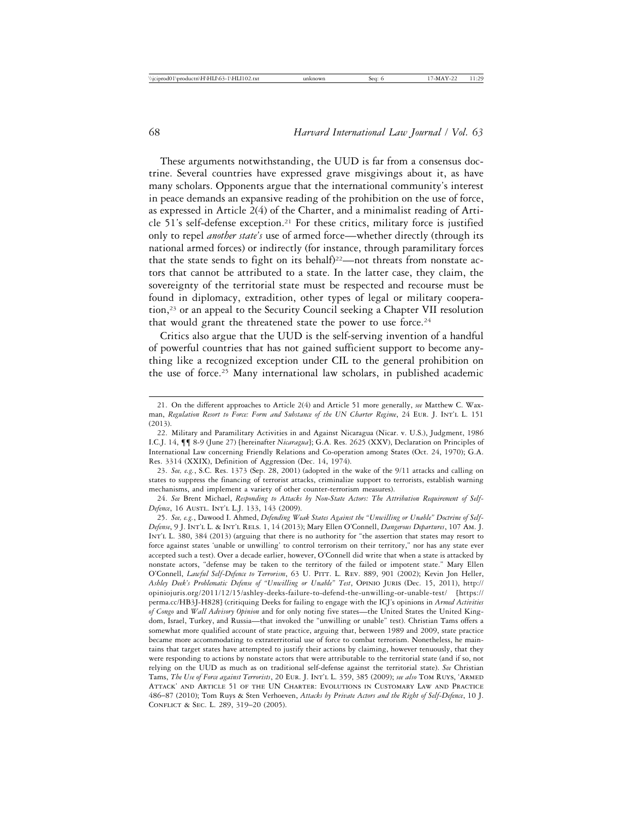These arguments notwithstanding, the UUD is far from a consensus doctrine. Several countries have expressed grave misgivings about it, as have many scholars. Opponents argue that the international community's interest in peace demands an expansive reading of the prohibition on the use of force, as expressed in Article 2(4) of the Charter, and a minimalist reading of Article 51's self-defense exception.<sup>21</sup> For these critics, military force is justified only to repel *another state's* use of armed force—whether directly (through its national armed forces) or indirectly (for instance, through paramilitary forces that the state sends to fight on its behalf)<sup>22</sup>—not threats from nonstate actors that cannot be attributed to a state. In the latter case, they claim, the sovereignty of the territorial state must be respected and recourse must be found in diplomacy, extradition, other types of legal or military cooperation,23 or an appeal to the Security Council seeking a Chapter VII resolution that would grant the threatened state the power to use force.<sup>24</sup>

Critics also argue that the UUD is the self-serving invention of a handful of powerful countries that has not gained sufficient support to become anything like a recognized exception under CIL to the general prohibition on the use of force.25 Many international law scholars, in published academic

23. *See, e.g.*, S.C. Res. 1373 (Sep. 28, 2001) (adopted in the wake of the 9/11 attacks and calling on states to suppress the financing of terrorist attacks, criminalize support to terrorists, establish warning mechanisms, and implement a variety of other counter-terrorism measures).

24. *See* Brent Michael, *Responding to Attacks by Non-State Actors: The Attribution Requirement of Self-Defence*, 16 AUSTL. INT'L L.J. 133, 143 (2009).

25. *See, e.g.*, Dawood I. Ahmed, *Defending Weak States Against the "Unwilling or Unable" Doctrine of Self-Defense*, 9 J. Int'l L. & Int'l Rels. 1, 14 (2013); Mary Ellen O'Connell, *Dangerous Departures*, 107 Am. J. Int'l L. 380, 384 (2013) (arguing that there is no authority for "the assertion that states may resort to force against states 'unable or unwilling' to control terrorism on their territory," nor has any state ever accepted such a test). Over a decade earlier, however, O'Connell did write that when a state is attacked by nonstate actors, "defense may be taken to the territory of the failed or impotent state." Mary Ellen O'Connell, *Lawful Self-Defence to Terrorism*, 63 U. PITT. L. REV. 889, 901 (2002); Kevin Jon Heller, *Ashley Deek's Problematic Defense of "Unwilling or Unable" Test*, Opinio Juris (Dec. 15, 2011), http:// opiniojuris.org/2011/12/15/ashley-deeks-failure-to-defend-the-unwilling-or-unable-test/ [https:// perma.cc/HB3J-H828] (critiquing Deeks for failing to engage with the ICJ's opinions in *Armed Activities of Congo* and *Wall Advisory Opinion* and for only noting five states—the United States the United Kingdom, Israel, Turkey, and Russia—that invoked the "unwilling or unable" test). Christian Tams offers a somewhat more qualified account of state practice, arguing that, between 1989 and 2009, state practice became more accommodating to extraterritorial use of force to combat terrorism. Nonetheless, he maintains that target states have attempted to justify their actions by claiming, however tenuously, that they were responding to actions by nonstate actors that were attributable to the territorial state (and if so, not relying on the UUD as much as on traditional self-defense against the territorial state). *See* Christian Tams, *The Use of Force against Terrorists*, 20 Eur. J. Int'l L. 359, 385 (2009); *see also* Tom Ruys, 'Armed Attack' and Article 51 of the UN Charter: Evolutions in Customary Law and Practice 486–87 (2010); Tom Ruys & Sten Verhoeven, *Attacks by Private Actors and the Right of Self-Defence*, 10 J. Conflict & Sec. L. 289, 319–20 (2005).

<sup>21.</sup> On the different approaches to Article 2(4) and Article 51 more generally, *see* Matthew C. Waxman, *Regulation Resort to Force: Form and Substance of the UN Charter Regime*, 24 Eur. J. Int'l L. 151 (2013).

<sup>22.</sup> Military and Paramilitary Activities in and Against Nicaragua (Nicar. v. U.S.), Judgment, 1986 I.C.J. 14, ¶¶ 8-9 (June 27) [hereinafter *Nicaragua*]; G.A. Res. 2625 (XXV), Declaration on Principles of International Law concerning Friendly Relations and Co-operation among States (Oct. 24, 1970); G.A. Res. 3314 (XXIX), Definition of Aggression (Dec. 14, 1974).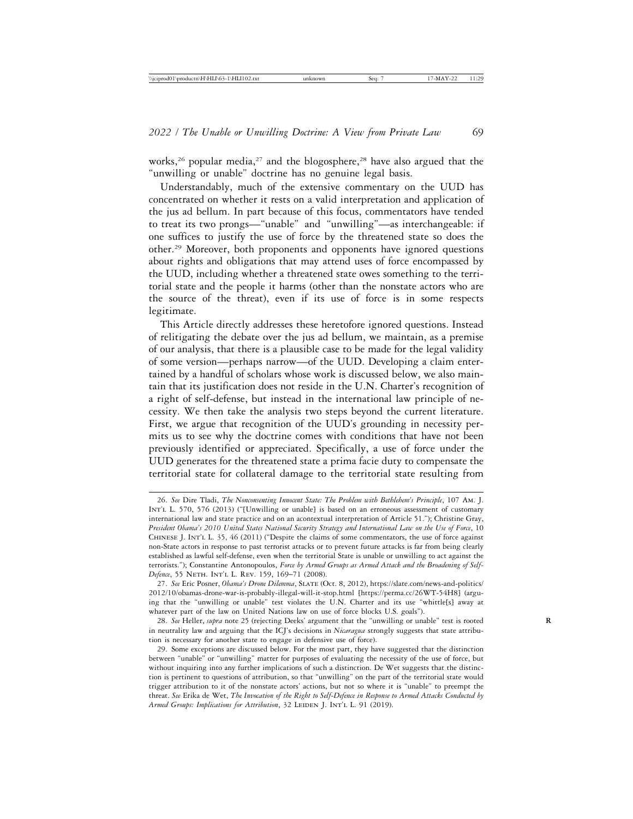works,<sup>26</sup> popular media,<sup>27</sup> and the blogosphere,<sup>28</sup> have also argued that the "unwilling or unable" doctrine has no genuine legal basis.

Understandably, much of the extensive commentary on the UUD has concentrated on whether it rests on a valid interpretation and application of the jus ad bellum. In part because of this focus, commentators have tended to treat its two prongs—"unable" and "unwilling"—as interchangeable: if one suffices to justify the use of force by the threatened state so does the other.29 Moreover, both proponents and opponents have ignored questions about rights and obligations that may attend uses of force encompassed by the UUD, including whether a threatened state owes something to the territorial state and the people it harms (other than the nonstate actors who are the source of the threat), even if its use of force is in some respects legitimate.

This Article directly addresses these heretofore ignored questions. Instead of relitigating the debate over the jus ad bellum, we maintain, as a premise of our analysis, that there is a plausible case to be made for the legal validity of some version—perhaps narrow—of the UUD. Developing a claim entertained by a handful of scholars whose work is discussed below, we also maintain that its justification does not reside in the U.N. Charter's recognition of a right of self-defense, but instead in the international law principle of necessity. We then take the analysis two steps beyond the current literature. First, we argue that recognition of the UUD's grounding in necessity permits us to see why the doctrine comes with conditions that have not been previously identified or appreciated. Specifically, a use of force under the UUD generates for the threatened state a prima facie duty to compensate the territorial state for collateral damage to the territorial state resulting from

<sup>26.</sup> *See* Dire Tladi, *The Nonconsenting Innocent State: The Problem with Bethlehem's Principle*, 107 Am. J. INT'L L. 570, 576 (2013) ("[Unwilling or unable] is based on an erroneous assessment of customary international law and state practice and on an acontextual interpretation of Article 51."); Christine Gray, *President Obama's 2010 United States National Security Strategy and International Law on the Use of Force*, 10 Chinese J. Int'l L. 35, 46 (2011) ("Despite the claims of some commentators, the use of force against non-State actors in response to past terrorist attacks or to prevent future attacks is far from being clearly established as lawful self-defense, even when the territorial State is unable or unwilling to act against the terrorists."); Constantine Antonopoulos, *Force by Armed Groups as Armed Attack and the Broadening of Self-Defence*, 55 Neth. Int'l L. Rev. 159, 169–71 (2008).

<sup>27.</sup> See Eric Posner, *Obama's Drone Dilemma*, SLATE (Oct. 8, 2012), https://slate.com/news-and-politics/ 2012/10/obamas-drone-war-is-probably-illegal-will-it-stop.html [https://perma.cc/26WT-54H8] (arguing that the "unwilling or unable" test violates the U.N. Charter and its use "whittle[s] away at whatever part of the law on United Nations law on use of force blocks U.S. goals").

<sup>28.</sup> *See* Heller, *supra* note 25 (rejecting Deeks' argument that the "unwilling or unable" test is rooted **R** in neutrality law and arguing that the ICJ's decisions in *Nicaragua* strongly suggests that state attribution is necessary for another state to engage in defensive use of force).

<sup>29.</sup> Some exceptions are discussed below. For the most part, they have suggested that the distinction between "unable" or "unwilling" matter for purposes of evaluating the necessity of the use of force, but without inquiring into any further implications of such a distinction. De Wet suggests that the distinction is pertinent to questions of attribution, so that "unwilling" on the part of the territorial state would trigger attribution to it of the nonstate actors' actions, but not so where it is "unable" to preempt the threat. *See* Erika de Wet, *The Invocation of the Right to Self-Defence in Response to Armed Attacks Conducted by Armed Groups: Implications for Attribution*, 32 LEIDEN J. INT'L L. 91 (2019).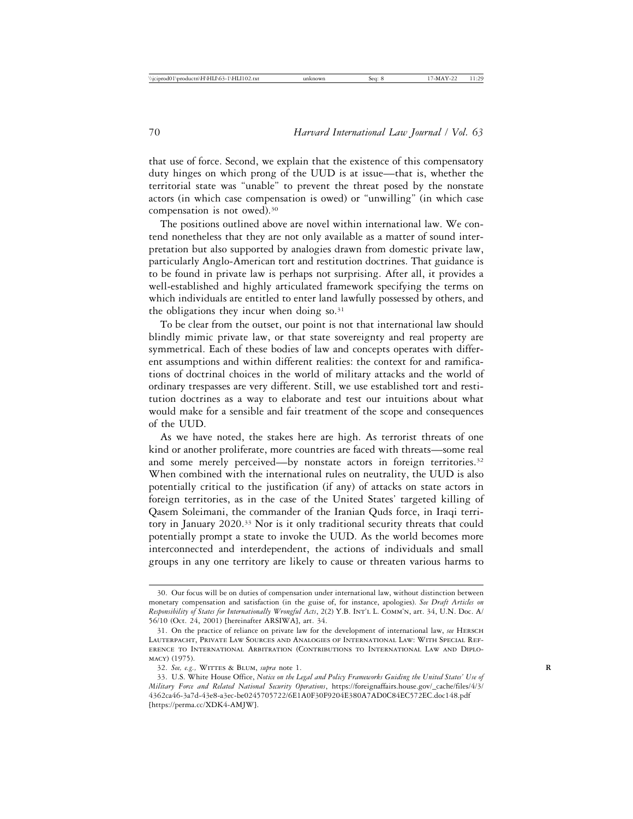that use of force. Second, we explain that the existence of this compensatory duty hinges on which prong of the UUD is at issue—that is, whether the territorial state was "unable" to prevent the threat posed by the nonstate actors (in which case compensation is owed) or "unwilling" (in which case compensation is not owed).30

The positions outlined above are novel within international law. We contend nonetheless that they are not only available as a matter of sound interpretation but also supported by analogies drawn from domestic private law, particularly Anglo-American tort and restitution doctrines. That guidance is to be found in private law is perhaps not surprising. After all, it provides a well-established and highly articulated framework specifying the terms on which individuals are entitled to enter land lawfully possessed by others, and the obligations they incur when doing  $so.^{31}$ 

To be clear from the outset, our point is not that international law should blindly mimic private law, or that state sovereignty and real property are symmetrical. Each of these bodies of law and concepts operates with different assumptions and within different realities: the context for and ramifications of doctrinal choices in the world of military attacks and the world of ordinary trespasses are very different. Still, we use established tort and restitution doctrines as a way to elaborate and test our intuitions about what would make for a sensible and fair treatment of the scope and consequences of the UUD.

As we have noted, the stakes here are high. As terrorist threats of one kind or another proliferate, more countries are faced with threats—some real and some merely perceived—by nonstate actors in foreign territories.<sup>32</sup> When combined with the international rules on neutrality, the UUD is also potentially critical to the justification (if any) of attacks on state actors in foreign territories, as in the case of the United States' targeted killing of Qasem Soleimani, the commander of the Iranian Quds force, in Iraqi territory in January 2020.33 Nor is it only traditional security threats that could potentially prompt a state to invoke the UUD. As the world becomes more interconnected and interdependent, the actions of individuals and small groups in any one territory are likely to cause or threaten various harms to

<sup>30.</sup> Our focus will be on duties of compensation under international law, without distinction between monetary compensation and satisfaction (in the guise of, for instance, apologies). *See Draft Articles on Responsibility of States for Internationally Wrongful Acts*, 2(2) Y.B. Int'l L. Comm'n, art. 34, U.N. Doc. A/ 56/10 (Oct. 24, 2001) [hereinafter ARSIWA], art. 34.

<sup>31.</sup> On the practice of reliance on private law for the development of international law, *see* Hersch Lauterpacht, Private Law Sources and Analogies of International Law: With Special Reference to International Arbitration (Contributions to International Law and Diplomacy) (1975).

<sup>32.</sup> See, e.g., WITTES & BLUM, *supra* note 1.

<sup>33.</sup> U.S. White House Office, *Notice on the Legal and Policy Frameworks Guiding the United States' Use of Military Force and Related National Security Operations*, https://foreignaffairs.house.gov/\_cache/files/4/3/ 4362ca46-3a7d-43e8-a3ec-be0245705722/6E1A0F30F9204E380A7AD0C84EC572EC.doc148.pdf [https://perma.cc/XDK4-AMJW].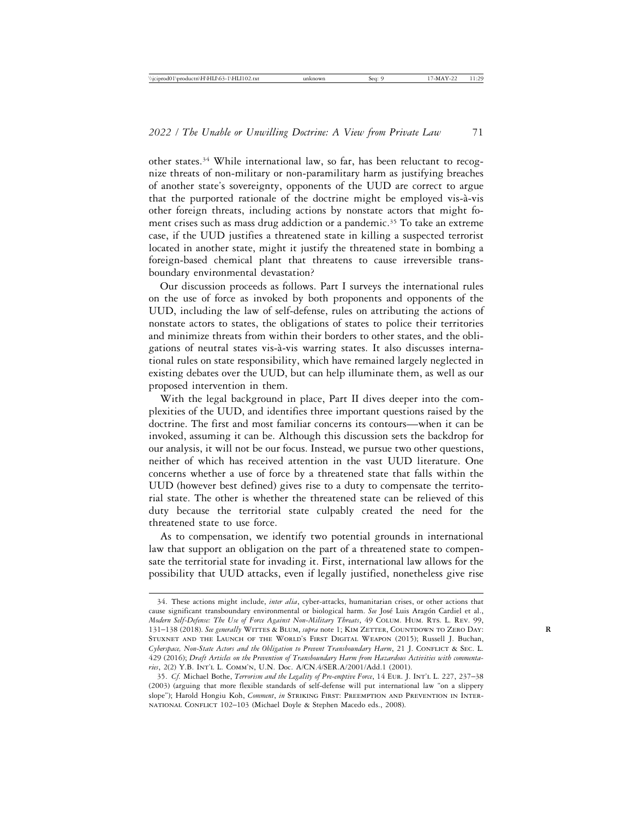other states.34 While international law, so far, has been reluctant to recognize threats of non-military or non-paramilitary harm as justifying breaches of another state's sovereignty, opponents of the UUD are correct to argue that the purported rationale of the doctrine might be employed vis-à-vis other foreign threats, including actions by nonstate actors that might foment crises such as mass drug addiction or a pandemic.<sup>35</sup> To take an extreme case, if the UUD justifies a threatened state in killing a suspected terrorist located in another state, might it justify the threatened state in bombing a foreign-based chemical plant that threatens to cause irreversible transboundary environmental devastation?

Our discussion proceeds as follows. Part I surveys the international rules on the use of force as invoked by both proponents and opponents of the UUD, including the law of self-defense, rules on attributing the actions of nonstate actors to states, the obligations of states to police their territories and minimize threats from within their borders to other states, and the obligations of neutral states vis-à-vis warring states. It also discusses international rules on state responsibility, which have remained largely neglected in existing debates over the UUD, but can help illuminate them, as well as our proposed intervention in them.

With the legal background in place, Part II dives deeper into the complexities of the UUD, and identifies three important questions raised by the doctrine. The first and most familiar concerns its contours—when it can be invoked, assuming it can be. Although this discussion sets the backdrop for our analysis, it will not be our focus. Instead, we pursue two other questions, neither of which has received attention in the vast UUD literature. One concerns whether a use of force by a threatened state that falls within the UUD (however best defined) gives rise to a duty to compensate the territorial state. The other is whether the threatened state can be relieved of this duty because the territorial state culpably created the need for the threatened state to use force.

As to compensation, we identify two potential grounds in international law that support an obligation on the part of a threatened state to compensate the territorial state for invading it. First, international law allows for the possibility that UUD attacks, even if legally justified, nonetheless give rise

<sup>34.</sup> These actions might include, *inter alia*, cyber-attacks, humanitarian crises, or other actions that cause significant transboundary environmental or biological harm. See José Luis Aragón Cardiel et al., *Modern Self-Defense: The Use of Force Against Non-Military Threats*, 49 Colum. Hum. Rts. L. Rev. 99, 131-138 (2018). See generally WITTES & BLUM, supra note 1; KIM ZETTER, COUNTDOWN TO ZERO DAY: Stuxnet and the Launch of the World's First Digital Weapon (2015); Russell J. Buchan, *Cyberspace, Non-State Actors and the Obligation to Prevent Transboundary Harm*, 21 J. CONFLICT & SEC. L. 429 (2016); *Draft Articles on the Prevention of Transboundary Harm from Hazardous Activities with commentaries*, 2(2) Y.B. Int'l L. Comm'n, U.N. Doc. A/CN.4/SER.A/2001/Add.1 (2001).

<sup>35.</sup> *Cf.* Michael Bothe, *Terrorism and the Legality of Pre-emptive Force*, 14 Eur. J. Int'l L. 227, 237–38 (2003) (arguing that more flexible standards of self-defense will put international law "on a slippery slope"); Harold Hongiu Koh, *Comment*, *in* STRIKING FIRST: PREEMPTION AND PREVENTION IN INTER-NATIONAL CONFLICT 102-103 (Michael Doyle & Stephen Macedo eds., 2008).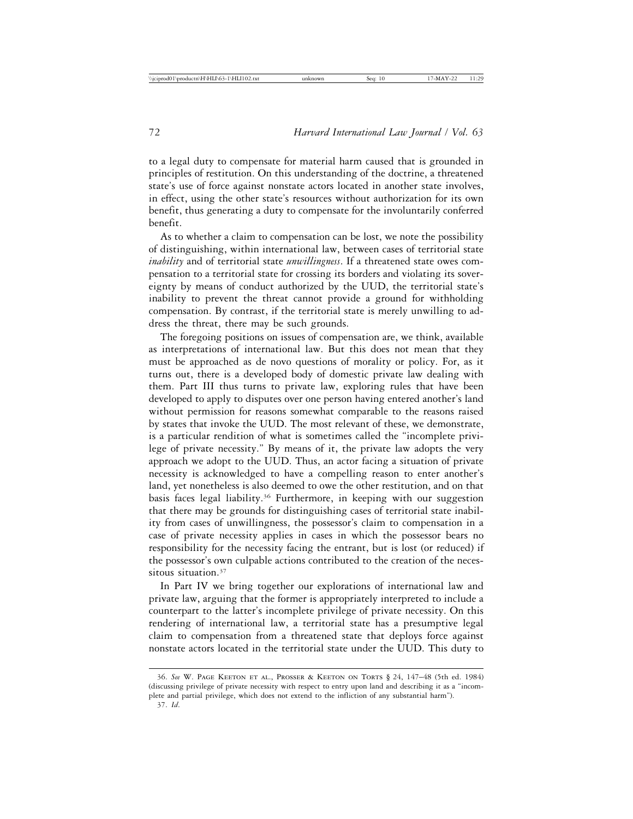to a legal duty to compensate for material harm caused that is grounded in principles of restitution. On this understanding of the doctrine, a threatened state's use of force against nonstate actors located in another state involves, in effect, using the other state's resources without authorization for its own benefit, thus generating a duty to compensate for the involuntarily conferred benefit.

As to whether a claim to compensation can be lost, we note the possibility of distinguishing, within international law, between cases of territorial state *inability* and of territorial state *unwillingness*. If a threatened state owes compensation to a territorial state for crossing its borders and violating its sovereignty by means of conduct authorized by the UUD, the territorial state's inability to prevent the threat cannot provide a ground for withholding compensation. By contrast, if the territorial state is merely unwilling to address the threat, there may be such grounds.

The foregoing positions on issues of compensation are, we think, available as interpretations of international law. But this does not mean that they must be approached as de novo questions of morality or policy. For, as it turns out, there is a developed body of domestic private law dealing with them. Part III thus turns to private law, exploring rules that have been developed to apply to disputes over one person having entered another's land without permission for reasons somewhat comparable to the reasons raised by states that invoke the UUD. The most relevant of these, we demonstrate, is a particular rendition of what is sometimes called the "incomplete privilege of private necessity." By means of it, the private law adopts the very approach we adopt to the UUD. Thus, an actor facing a situation of private necessity is acknowledged to have a compelling reason to enter another's land, yet nonetheless is also deemed to owe the other restitution, and on that basis faces legal liability.<sup>36</sup> Furthermore, in keeping with our suggestion that there may be grounds for distinguishing cases of territorial state inability from cases of unwillingness, the possessor's claim to compensation in a case of private necessity applies in cases in which the possessor bears no responsibility for the necessity facing the entrant, but is lost (or reduced) if the possessor's own culpable actions contributed to the creation of the necessitous situation.<sup>37</sup>

In Part IV we bring together our explorations of international law and private law, arguing that the former is appropriately interpreted to include a counterpart to the latter's incomplete privilege of private necessity. On this rendering of international law, a territorial state has a presumptive legal claim to compensation from a threatened state that deploys force against nonstate actors located in the territorial state under the UUD. This duty to

<sup>36.</sup> *See* W. Page Keeton et al., Prosser & Keeton on Torts § 24, 147–48 (5th ed. 1984) (discussing privilege of private necessity with respect to entry upon land and describing it as a "incomplete and partial privilege, which does not extend to the infliction of any substantial harm").

<sup>37.</sup> *Id*.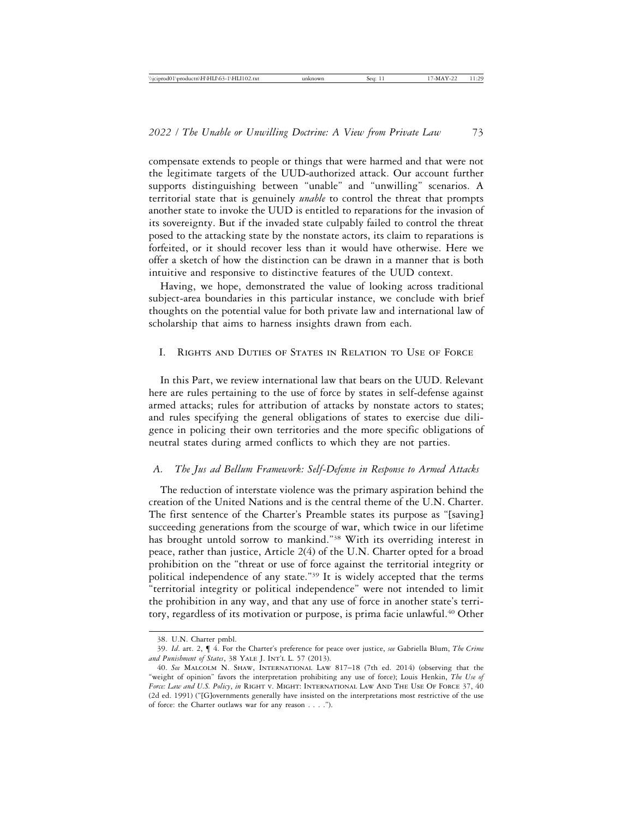compensate extends to people or things that were harmed and that were not the legitimate targets of the UUD-authorized attack. Our account further supports distinguishing between "unable" and "unwilling" scenarios. A territorial state that is genuinely *unable* to control the threat that prompts another state to invoke the UUD is entitled to reparations for the invasion of its sovereignty. But if the invaded state culpably failed to control the threat posed to the attacking state by the nonstate actors, its claim to reparations is forfeited, or it should recover less than it would have otherwise. Here we offer a sketch of how the distinction can be drawn in a manner that is both intuitive and responsive to distinctive features of the UUD context.

Having, we hope, demonstrated the value of looking across traditional subject-area boundaries in this particular instance, we conclude with brief thoughts on the potential value for both private law and international law of scholarship that aims to harness insights drawn from each.

#### I. Rights and Duties of States in Relation to Use of Force

In this Part, we review international law that bears on the UUD. Relevant here are rules pertaining to the use of force by states in self-defense against armed attacks; rules for attribution of attacks by nonstate actors to states; and rules specifying the general obligations of states to exercise due diligence in policing their own territories and the more specific obligations of neutral states during armed conflicts to which they are not parties.

#### *A. The Jus ad Bellum Framework: Self-Defense in Response to Armed Attacks*

The reduction of interstate violence was the primary aspiration behind the creation of the United Nations and is the central theme of the U.N. Charter. The first sentence of the Charter's Preamble states its purpose as "[saving] succeeding generations from the scourge of war, which twice in our lifetime has brought untold sorrow to mankind."38 With its overriding interest in peace, rather than justice, Article 2(4) of the U.N. Charter opted for a broad prohibition on the "threat or use of force against the territorial integrity or political independence of any state."39 It is widely accepted that the terms "territorial integrity or political independence" were not intended to limit the prohibition in any way, and that any use of force in another state's territory, regardless of its motivation or purpose, is prima facie unlawful.<sup>40</sup> Other

<sup>38.</sup> U.N. Charter pmbl.

<sup>39.</sup> *Id*. art. 2, ¶ 4. For the Charter's preference for peace over justice, *see* Gabriella Blum, *The Crime* and Punishment of States, 38 YALE J. INT'L L. 57 (2013).

<sup>40.</sup> *See* Malcolm N. Shaw, International Law 817–18 (7th ed. 2014) (observing that the "weight of opinion" favors the interpretation prohibiting any use of force); Louis Henkin, *The Use of* Force: Law and U.S. Policy, in RIGHT V. MIGHT: INTERNATIONAL LAW AND THE USE OF FORCE 37, 40 (2d ed. 1991) ("[G]overnments generally have insisted on the interpretations most restrictive of the use of force: the Charter outlaws war for any reason . . . .").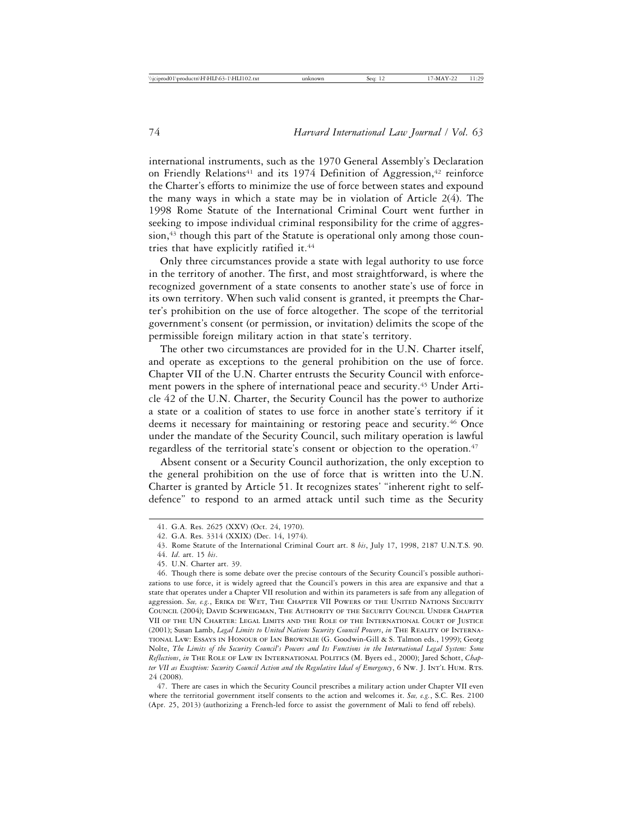international instruments, such as the 1970 General Assembly's Declaration on Friendly Relations<sup>41</sup> and its 1974 Definition of Aggression,<sup>42</sup> reinforce the Charter's efforts to minimize the use of force between states and expound the many ways in which a state may be in violation of Article 2(4). The 1998 Rome Statute of the International Criminal Court went further in seeking to impose individual criminal responsibility for the crime of aggression, $43$  though this part of the Statute is operational only among those countries that have explicitly ratified it.<sup>44</sup>

Only three circumstances provide a state with legal authority to use force in the territory of another. The first, and most straightforward, is where the recognized government of a state consents to another state's use of force in its own territory. When such valid consent is granted, it preempts the Charter's prohibition on the use of force altogether. The scope of the territorial government's consent (or permission, or invitation) delimits the scope of the permissible foreign military action in that state's territory.

The other two circumstances are provided for in the U.N. Charter itself, and operate as exceptions to the general prohibition on the use of force. Chapter VII of the U.N. Charter entrusts the Security Council with enforcement powers in the sphere of international peace and security.<sup>45</sup> Under Article 42 of the U.N. Charter, the Security Council has the power to authorize a state or a coalition of states to use force in another state's territory if it deems it necessary for maintaining or restoring peace and security.<sup>46</sup> Once under the mandate of the Security Council, such military operation is lawful regardless of the territorial state's consent or objection to the operation.<sup>47</sup>

Absent consent or a Security Council authorization, the only exception to the general prohibition on the use of force that is written into the U.N. Charter is granted by Article 51. It recognizes states' "inherent right to selfdefence" to respond to an armed attack until such time as the Security

47. There are cases in which the Security Council prescribes a military action under Chapter VII even where the territorial government itself consents to the action and welcomes it. *See, e.g.*, S.C. Res. 2100 (Apr. 25, 2013) (authorizing a French-led force to assist the government of Mali to fend off rebels).

<sup>41.</sup> G.A. Res. 2625 (XXV) (Oct. 24, 1970).

<sup>42.</sup> G.A. Res. 3314 (XXIX) (Dec. 14, 1974).

<sup>43.</sup> Rome Statute of the International Criminal Court art. 8 *bis*, July 17, 1998, 2187 U.N.T.S. 90.

<sup>44.</sup> *Id*. art. 15 *bis*.

<sup>45.</sup> U.N. Charter art. 39.

<sup>46.</sup> Though there is some debate over the precise contours of the Security Council's possible authorizations to use force, it is widely agreed that the Council's powers in this area are expansive and that a state that operates under a Chapter VII resolution and within its parameters is safe from any allegation of aggression. *See, e.g.*, ERIKA DE WET, THE CHAPTER VII POWERS OF THE UNITED NATIONS SECURITY Council (2004); David Schweigman, The Authority of the Security Council Under Chapter VII of the UN Charter: Legal Limits and the Role of the International Court of Justice (2001); Susan Lamb, *Legal Limits to United Nations Security Council Powers*, *in* THE REALITY OF INTERNAtional Law: Essays in Honour of Ian Brownlie (G. Goodwin-Gill & S. Talmon eds., 1999); Georg Nolte, *The Limits of the Security Council's Powers and Its Functions in the International Legal System: Some Reflections*, *in* The Role of Law in International Politics (M. Byers ed., 2000); Jared Schott, *Chapter VII as Exception: Security Council Action and the Regulative Ideal of Emergency*, 6 Nw. J. Int'l Hum. Rts. 24 (2008).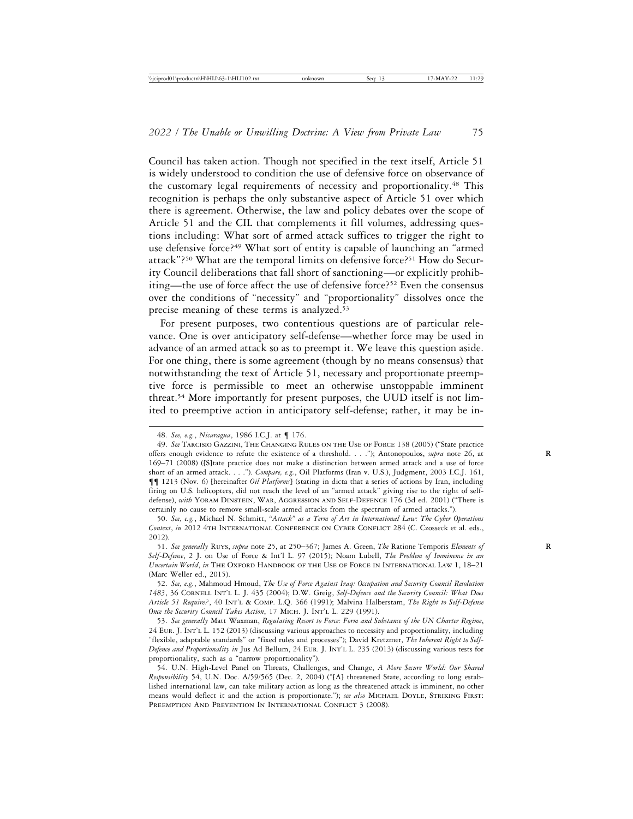Council has taken action. Though not specified in the text itself, Article 51 is widely understood to condition the use of defensive force on observance of the customary legal requirements of necessity and proportionality.48 This recognition is perhaps the only substantive aspect of Article 51 over which there is agreement. Otherwise, the law and policy debates over the scope of Article 51 and the CIL that complements it fill volumes, addressing questions including: What sort of armed attack suffices to trigger the right to use defensive force?49 What sort of entity is capable of launching an "armed attack"?50 What are the temporal limits on defensive force?51 How do Security Council deliberations that fall short of sanctioning—or explicitly prohibiting—the use of force affect the use of defensive force?52 Even the consensus over the conditions of "necessity" and "proportionality" dissolves once the precise meaning of these terms is analyzed.<sup>53</sup>

For present purposes, two contentious questions are of particular relevance. One is over anticipatory self-defense—whether force may be used in advance of an armed attack so as to preempt it. We leave this question aside. For one thing, there is some agreement (though by no means consensus) that notwithstanding the text of Article 51, necessary and proportionate preemptive force is permissible to meet an otherwise unstoppable imminent threat.54 More importantly for present purposes, the UUD itself is not limited to preemptive action in anticipatory self-defense; rather, it may be in-

<sup>48.</sup> *See, e.g.*, *Nicaragua*, 1986 I.C.J. at ¶ 176.

<sup>49.</sup> *See* Tarcisio Gazzini, The Changing Rules on the Use of Force 138 (2005) ("State practice offers enough evidence to refute the existence of a threshold. . . ."); Antonopoulos, *supra* note 26, at 169–71 (2008) ([S]tate practice does not make a distinction between armed attack and a use of force short of an armed attack. . . ."). *Compare, e.g.*, Oil Platforms (Iran v. U.S.), Judgment, 2003 I.C.J. 161, ¶¶ 1213 (Nov. 6) [hereinafter *Oil Platforms*] (stating in dicta that a series of actions by Iran, including firing on U.S. helicopters, did not reach the level of an "armed attack" giving rise to the right of selfdefense), with YORAM DINSTEIN, WAR, AGGRESSION AND SELF-DEFENCE 176 (3d ed. 2001) ("There is certainly no cause to remove small-scale armed attacks from the spectrum of armed attacks.").

<sup>50.</sup> *See, e.g.*, Michael N. Schmitt, *"Attack" as a Term of Art in International Law: The Cyber Operations Context*, *in* 2012 4th International Conference on Cyber Conflict 284 (C. Czosseck et al. eds., 2012).

<sup>51.</sup> *See generally* Ruys, *supra* note 25, at 250–367; James A. Green, *The* Ratione Temporis *Elements of* **R** *Self-Defence*, 2 J. on Use of Force & Int'l L. 97 (2015); Noam Lubell, *The Problem of Imminence in an Uncertain World*, *in* The Oxford Handbook of the Use of Force in International Law 1, 18–21 (Marc Weller ed., 2015).

<sup>52.</sup> *See, e.g.*, Mahmoud Hmoud, *The Use of Force Against Iraq: Occupation and Security Council Resolution 1483*, 36 Cornell Int'l L. J. 435 (2004); D.W. Greig, *Self-Defence and the Security Council: What Does Article 51 Require?*, 40 Int'l & Comp. L.Q. 366 (1991); Malvina Halberstam, *The Right to Self-Defense Once the Security Council Takes Action*, 17 Mich. J. Int'l L. 229 (1991).

<sup>53.</sup> *See generally* Matt Waxman, *Regulating Resort to Force: Form and Substance of the UN Charter Regime*, 24 Eur. J. Int'l L. 152 (2013) (discussing various approaches to necessity and proportionality, including "flexible, adaptable standards" or "fixed rules and processes"); David Kretzmer, *The Inherent Right to Self-Defence and Proportionality in* Jus Ad Bellum, 24 Eur. J. Int'l L. 235 (2013) (discussing various tests for proportionality, such as a "narrow proportionality").

<sup>54.</sup> U.N. High-Level Panel on Threats, Challenges, and Change, *A More Secure World: Our Shared Responsibility* 54, U.N. Doc. A/59/565 (Dec. 2, 2004) ("[A] threatened State, according to long established international law, can take military action as long as the threatened attack is imminent, no other means would deflect it and the action is proportionate."); *see also* MICHAEL DOYLE, STRIKING FIRST: PREEMPTION AND PREVENTION IN INTERNATIONAL CONFLICT 3 (2008).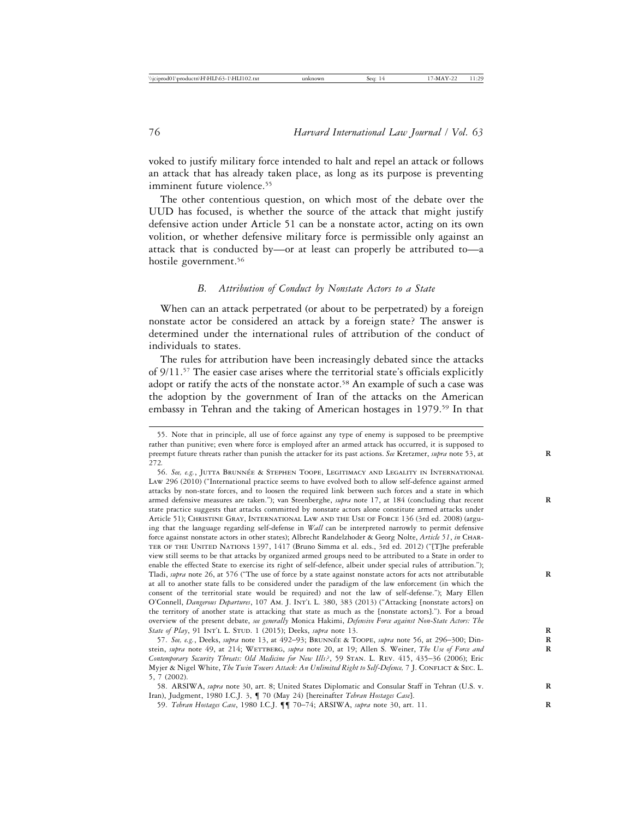voked to justify military force intended to halt and repel an attack or follows an attack that has already taken place, as long as its purpose is preventing imminent future violence.<sup>55</sup>

The other contentious question, on which most of the debate over the UUD has focused, is whether the source of the attack that might justify defensive action under Article 51 can be a nonstate actor, acting on its own volition, or whether defensive military force is permissible only against an attack that is conducted by—or at least can properly be attributed to—a hostile government.<sup>56</sup>

#### *B. Attribution of Conduct by Nonstate Actors to a State*

When can an attack perpetrated (or about to be perpetrated) by a foreign nonstate actor be considered an attack by a foreign state? The answer is determined under the international rules of attribution of the conduct of individuals to states.

The rules for attribution have been increasingly debated since the attacks of 9/11.57 The easier case arises where the territorial state's officials explicitly adopt or ratify the acts of the nonstate actor.<sup>58</sup> An example of such a case was the adoption by the government of Iran of the attacks on the American embassy in Tehran and the taking of American hostages in 1979.59 In that

<sup>55.</sup> Note that in principle, all use of force against any type of enemy is supposed to be preemptive rather than punitive; even where force is employed after an armed attack has occurred, it is supposed to preempt future threats rather than punish the attacker for its past actions. *See* Kretzmer, *supra* note 53, at **R** 272*.*

<sup>56.</sup> See, e.g., JUTTA BRUNNÉE & STEPHEN TOOPE, LEGITIMACY AND LEGALITY IN INTERNATIONAL Law 296 (2010) ("International practice seems to have evolved both to allow self-defence against armed attacks by non-state forces, and to loosen the required link between such forces and a state in which armed defensive measures are taken."); van Steenberghe, *supra* note 17, at 184 (concluding that recent state practice suggests that attacks committed by nonstate actors alone constitute armed attacks under Article 51); CHRISTINE GRAY, INTERNATIONAL LAW AND THE USE OF FORCE 136 (3rd ed. 2008) (arguing that the language regarding self-defense in *Wall* can be interpreted narrowly to permit defensive force against nonstate actors in other states); Albrecht Randelzhoder & Georg Nolte, *Article 51*, *in* Charter of the United Nations 1397, 1417 (Bruno Simma et al. eds., 3rd ed. 2012) ("[T]he preferable view still seems to be that attacks by organized armed groups need to be attributed to a State in order to enable the effected State to exercise its right of self-defence, albeit under special rules of attribution."); Tladi, *supra* note 26, at 576 ("The use of force by a state against nonstate actors for acts not attributable **R** at all to another state falls to be considered under the paradigm of the law enforcement (in which the consent of the territorial state would be required) and not the law of self-defense."); Mary Ellen O'Connell, *Dangerous Departures*, 107 Am. J. Int'l L. 380, 383 (2013) ("Attacking [nonstate actors] on the territory of another state is attacking that state as much as the [nonstate actors]."). For a broad overview of the present debate, *see generally* Monica Hakimi, *Defensive Force against Non-State Actors: The State of Play*, 91 INT'L L. STUD. 1 (2015); Deeks, *supra* note 13.

<sup>57.</sup> See, e.g., Deeks, *supra* note 13, at 492–93; BRUNNÉE & TOOPE, *supra* note 56, at 296–300; Dinstein, *supra* note 49, at 214; WETTBERG, *supra* note 20, at 19; Allen S. Weiner, The Use of Force and *Contemporary Security Threats: Old Medicine for New Ills?*, 59 Stan. L. Rev. 415, 435–36 (2006); Eric Myjer & Nigel White, *The Twin Towers Attack: An Unlimited Right to Self-Defence*, 7 J. CONFLICT & SEC. L. 5, 7 (2002).

<sup>58.</sup> ARSIWA, *supra* note 30, art. 8; United States Diplomatic and Consular Staff in Tehran (U.S. v. **R** Iran), Judgment, 1980 I.C.J. 3, ¶ 70 (May 24) [hereinafter *Tehran Hostages Case*].

<sup>59.</sup> *Tehran Hostages Case*, 1980 I.C.J. ¶¶ 70–74; ARSIWA, *supra* note 30, art. 11. **R**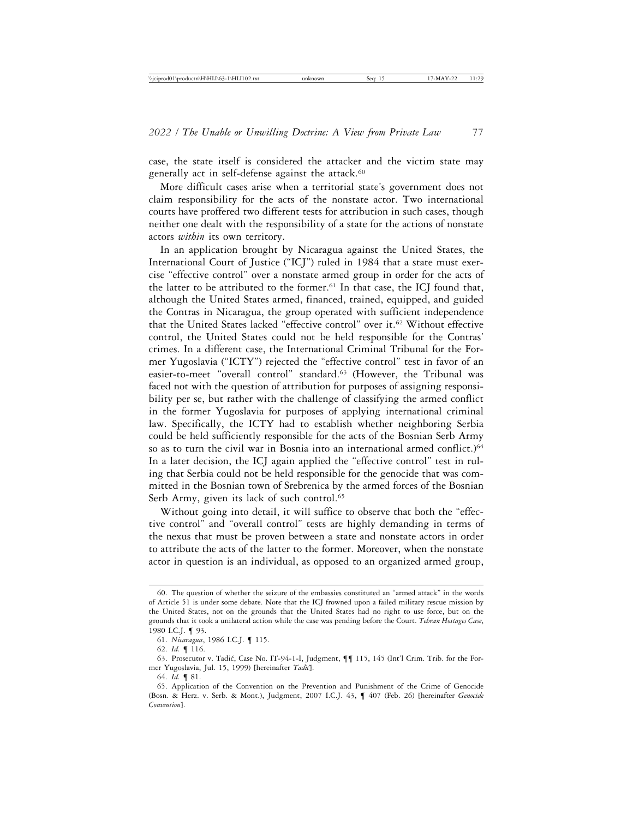case, the state itself is considered the attacker and the victim state may generally act in self-defense against the attack.<sup>60</sup>

More difficult cases arise when a territorial state's government does not claim responsibility for the acts of the nonstate actor. Two international courts have proffered two different tests for attribution in such cases, though neither one dealt with the responsibility of a state for the actions of nonstate actors *within* its own territory.

In an application brought by Nicaragua against the United States, the International Court of Justice ("ICJ") ruled in 1984 that a state must exercise "effective control" over a nonstate armed group in order for the acts of the latter to be attributed to the former.<sup>61</sup> In that case, the ICJ found that, although the United States armed, financed, trained, equipped, and guided the Contras in Nicaragua, the group operated with sufficient independence that the United States lacked "effective control" over it.62 Without effective control, the United States could not be held responsible for the Contras' crimes. In a different case, the International Criminal Tribunal for the Former Yugoslavia ("ICTY") rejected the "effective control" test in favor of an easier-to-meet "overall control" standard.<sup>63</sup> (However, the Tribunal was faced not with the question of attribution for purposes of assigning responsibility per se, but rather with the challenge of classifying the armed conflict in the former Yugoslavia for purposes of applying international criminal law. Specifically, the ICTY had to establish whether neighboring Serbia could be held sufficiently responsible for the acts of the Bosnian Serb Army so as to turn the civil war in Bosnia into an international armed conflict.)<sup>64</sup> In a later decision, the ICJ again applied the "effective control" test in ruling that Serbia could not be held responsible for the genocide that was committed in the Bosnian town of Srebrenica by the armed forces of the Bosnian Serb Army, given its lack of such control.<sup>65</sup>

Without going into detail, it will suffice to observe that both the "effective control" and "overall control" tests are highly demanding in terms of the nexus that must be proven between a state and nonstate actors in order to attribute the acts of the latter to the former. Moreover, when the nonstate actor in question is an individual, as opposed to an organized armed group,

<sup>60.</sup> The question of whether the seizure of the embassies constituted an "armed attack" in the words of Article 51 is under some debate. Note that the ICJ frowned upon a failed military rescue mission by the United States, not on the grounds that the United States had no right to use force, but on the grounds that it took a unilateral action while the case was pending before the Court. *Tehran Hostages Case*, 1980 I.C.J. ¶ 93.

<sup>61.</sup> *Nicaragua*, 1986 I.C.J. ¶ 115.

<sup>62.</sup> *Id.* ¶ 116.

<sup>63.</sup> Prosecutor v. Tadić, Case No. IT-94-1-I, Judgment,  $\P\P$  115, 145 (Int'l Crim. Trib. for the Former Yugoslavia, Jul. 15, 1999) [hereinafter *Tadi´c*].

<sup>64.</sup> *Id.* ¶ 81.

<sup>65.</sup> Application of the Convention on the Prevention and Punishment of the Crime of Genocide (Bosn. & Herz. v. Serb. & Mont.), Judgment, 2007 I.C.J. 43, ¶ 407 (Feb. 26) [hereinafter *Genocide Convention*].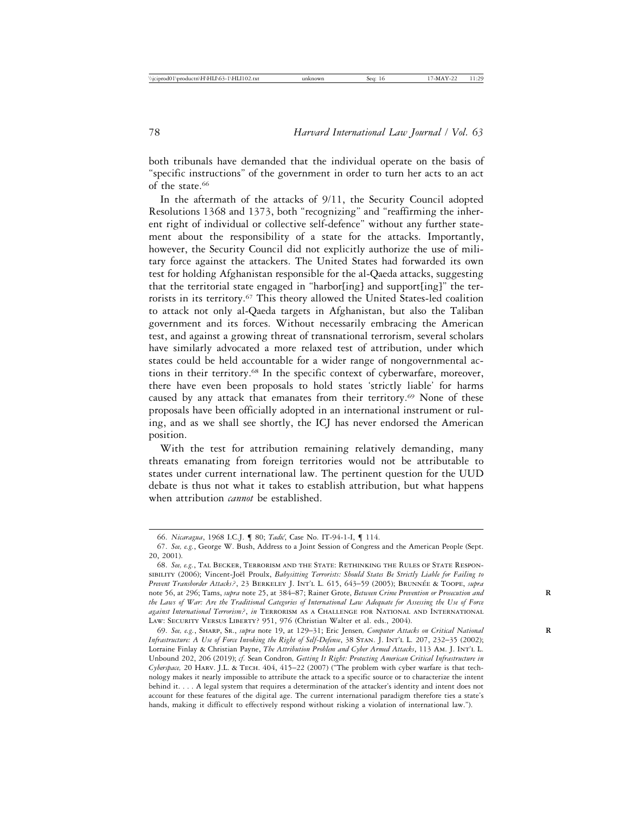both tribunals have demanded that the individual operate on the basis of "specific instructions" of the government in order to turn her acts to an act of the state.<sup>66</sup>

In the aftermath of the attacks of 9/11, the Security Council adopted Resolutions 1368 and 1373, both "recognizing" and "reaffirming the inherent right of individual or collective self-defence" without any further statement about the responsibility of a state for the attacks. Importantly, however, the Security Council did not explicitly authorize the use of military force against the attackers. The United States had forwarded its own test for holding Afghanistan responsible for the al-Qaeda attacks, suggesting that the territorial state engaged in "harbor[ing] and support[ing]" the terrorists in its territory.<sup>67</sup> This theory allowed the United States-led coalition to attack not only al-Qaeda targets in Afghanistan, but also the Taliban government and its forces. Without necessarily embracing the American test, and against a growing threat of transnational terrorism, several scholars have similarly advocated a more relaxed test of attribution, under which states could be held accountable for a wider range of nongovernmental actions in their territory.68 In the specific context of cyberwarfare, moreover, there have even been proposals to hold states 'strictly liable' for harms caused by any attack that emanates from their territory.<sup>69</sup> None of these proposals have been officially adopted in an international instrument or ruling, and as we shall see shortly, the ICJ has never endorsed the American position.

With the test for attribution remaining relatively demanding, many threats emanating from foreign territories would not be attributable to states under current international law. The pertinent question for the UUD debate is thus not what it takes to establish attribution, but what happens when attribution *cannot* be established.

<sup>66.</sup> *Nicaragua*, 1968 I.C.J. ¶ 80; *Tadi´c*, Case No. IT-94-1-I, ¶ 114.

<sup>67.</sup> *See, e.g.*, George W. Bush, Address to a Joint Session of Congress and the American People (Sept. 20, 2001).

<sup>68.</sup> *See, e.g.*, Tal Becker, Terrorism and the State: Rethinking the Rules of State Responsibility (2006); Vincent-Joël Proulx, *Babysitting Terrorists: Should States Be Strictly Liable for Failing to Prevent Transborder Attacks?*, 23 Berkeley J. Int'l L. 615, 643–59 (2005); Brunn ´ee & Toope, *supra* note 56, at 296; Tams, *supra* note 25, at 384–87; Rainer Grote, *Between Crime Prevention or Prosecution and* **R** *the Laws of War: Are the Traditional Categories of International Law Adequate for Assessing the Use of Force against International Terrorism?*, *in* Terrorism as a Challenge for National and International LAW: SECURITY VERSUS LIBERTY? 951, 976 (Christian Walter et al. eds., 2004).

<sup>69.</sup> *See, e.g.*, Sharp, Sr., *supra* note 19, at 129–31; Eric Jensen*, Computer Attacks on Critical National* **R** *Infrastructure: A Use of Force Invoking the Right of Self-Defense*, 38 Stan. J. Int'l L. 207, 232–35 (2002); Lorraine Finlay & Christian Payne, *The Attribution Problem and Cyber Armed Attacks*, 113 Am. J. Int'l L. Unbound 202, 206 (2019); *cf.* Sean Condron*, Getting It Right: Protecting American Critical Infrastructure in Cyberspace,* 20 Harv. J.L. & Tech. 404, 415–22 (2007) ("The problem with cyber warfare is that technology makes it nearly impossible to attribute the attack to a specific source or to characterize the intent behind it. . . . A legal system that requires a determination of the attacker's identity and intent does not account for these features of the digital age. The current international paradigm therefore ties a state's hands, making it difficult to effectively respond without risking a violation of international law.").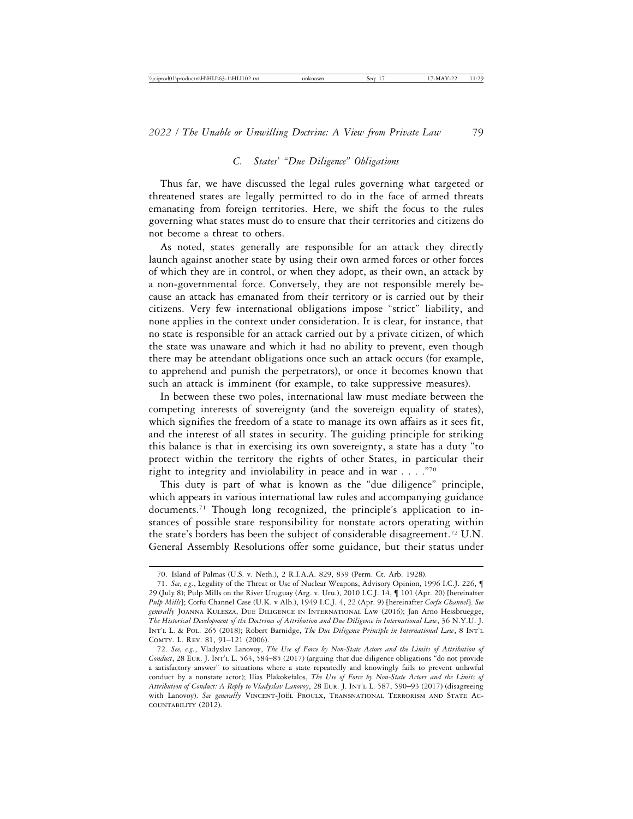## *C. States' "Due Diligence" Obligations*

Thus far, we have discussed the legal rules governing what targeted or threatened states are legally permitted to do in the face of armed threats emanating from foreign territories. Here, we shift the focus to the rules governing what states must do to ensure that their territories and citizens do not become a threat to others.

As noted, states generally are responsible for an attack they directly launch against another state by using their own armed forces or other forces of which they are in control, or when they adopt, as their own, an attack by a non-governmental force. Conversely, they are not responsible merely because an attack has emanated from their territory or is carried out by their citizens. Very few international obligations impose "strict" liability, and none applies in the context under consideration. It is clear, for instance, that no state is responsible for an attack carried out by a private citizen, of which the state was unaware and which it had no ability to prevent, even though there may be attendant obligations once such an attack occurs (for example, to apprehend and punish the perpetrators), or once it becomes known that such an attack is imminent (for example, to take suppressive measures).

In between these two poles, international law must mediate between the competing interests of sovereignty (and the sovereign equality of states), which signifies the freedom of a state to manage its own affairs as it sees fit, and the interest of all states in security. The guiding principle for striking this balance is that in exercising its own sovereignty, a state has a duty "to protect within the territory the rights of other States, in particular their right to integrity and inviolability in peace and in war . . . ."70

This duty is part of what is known as the "due diligence" principle, which appears in various international law rules and accompanying guidance documents.71 Though long recognized, the principle's application to instances of possible state responsibility for nonstate actors operating within the state's borders has been the subject of considerable disagreement.72 U.N. General Assembly Resolutions offer some guidance, but their status under

<sup>70.</sup> Island of Palmas (U.S. v. Neth.), 2 R.I.A.A. 829, 839 (Perm. Ct. Arb. 1928).

<sup>71.</sup> *See, e.g.*, Legality of the Threat or Use of Nuclear Weapons, Advisory Opinion, 1996 I.C.J. 226, ¶ 29 (July 8); Pulp Mills on the River Uruguay (Arg. v. Uru.), 2010 I.C.J. 14, ¶ 101 (Apr. 20) [hereinafter *Pulp Mills*]; Corfu Channel Case (U.K. v Alb.), 1949 I.C.J. 4, 22 (Apr. 9) [hereinafter *Corfu Channel*]. *See generally* Joanna Kulesza, Due Diligence in International Law (2016); Jan Arno Hessbruegge, *The Historical Development of the Doctrines of Attribution and Due Diligence in International Law*, 36 N.Y.U. J. Int'l L. & Pol. 265 (2018); Robert Barnidge, *The Due Diligence Principle in International Law*, 8 Int'l Comty. L. Rev. 81, 91–121 (2006).

<sup>72.</sup> *See, e.g.*, Vladyslav Lanovoy, *The Use of Force by Non-State Actors and the Limits of Attribution of* Conduct, 28 EUR. J. INT'L L. 563, 584-85 (2017) (arguing that due diligence obligations "do not provide a satisfactory answer" to situations where a state repeatedly and knowingly fails to prevent unlawful conduct by a nonstate actor); Ilias Plakokefalos, *The Use of Force by Non-State Actors and the Limits of Attribution of Conduct: A Reply to Vladyslav Lanovoy*, 28 Eur. J. Int'l L. 587, 590–93 (2017) (disagreeing with Lanovoy). See generally VINCENT-JOËL PROULX, TRANSNATIONAL TERRORISM AND STATE ACcountability (2012).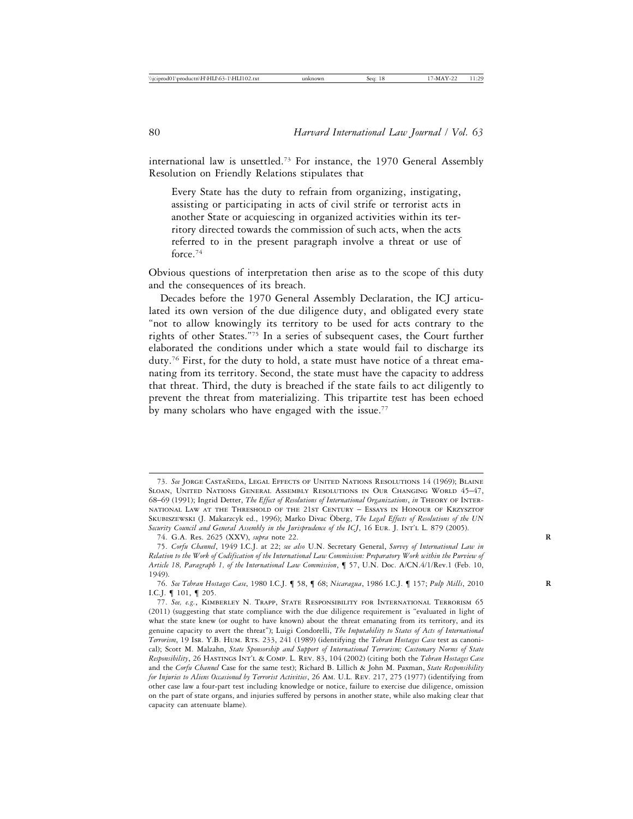international law is unsettled.73 For instance, the 1970 General Assembly Resolution on Friendly Relations stipulates that

Every State has the duty to refrain from organizing, instigating, assisting or participating in acts of civil strife or terrorist acts in another State or acquiescing in organized activities within its territory directed towards the commission of such acts, when the acts referred to in the present paragraph involve a threat or use of force.74

Obvious questions of interpretation then arise as to the scope of this duty and the consequences of its breach.

Decades before the 1970 General Assembly Declaration, the ICJ articulated its own version of the due diligence duty, and obligated every state "not to allow knowingly its territory to be used for acts contrary to the rights of other States."75 In a series of subsequent cases, the Court further elaborated the conditions under which a state would fail to discharge its duty.76 First, for the duty to hold, a state must have notice of a threat emanating from its territory. Second, the state must have the capacity to address that threat. Third, the duty is breached if the state fails to act diligently to prevent the threat from materializing. This tripartite test has been echoed by many scholars who have engaged with the issue.<sup>77</sup>

<sup>73.</sup> See JORGE CASTAÑEDA, LEGAL EFFECTS OF UNITED NATIONS RESOLUTIONS 14 (1969); BLAINE Sloan, United Nations General Assembly Resolutions in Our Changing World 45–47, 68–69 (1991); Ingrid Detter, *The Effect of Resolutions of International Organizations*, *in* Theory of International Law at the Threshold of the 21st Century – Essays in Honour of Krzysztof SKUBISZEWSKI (J. Makarzcyk ed., 1996); Marko Divac Öberg, The Legal Effects of Resolutions of the UN Security Council and General Assembly in the Jurisprudence of the ICJ, 16 EUR. J. INT'L L. 879 (2005).

<sup>74.</sup> G.A. Res. 2625 (XXV), *supra* note 22. **R**

<sup>75.</sup> *Corfu Channel*, 1949 I.C.J. at 22; *see also* U.N. Secretary General, *Survey of International Law in Relation to the Work of Codification of the International Law Commission: Preparatory Work within the Purview of Article 18, Paragraph 1, of the International Law Commission*, ¶ 57, U.N. Doc. A/CN.4/1/Rev.1 (Feb. 10, 1949).

<sup>76.</sup> *See Tehran Hostages Case*, 1980 I.C.J. ¶ 58, ¶ 68; *Nicaragua*, 1986 I.C.J. ¶ 157; *Pulp Mills*, 2010 **R** I.C.J. ¶ 101, ¶ 205.

<sup>77.</sup> *See, e.g.*, Kimberley N. Trapp, State Responsibility for International Terrorism 65 (2011) (suggesting that state compliance with the due diligence requirement is "evaluated in light of what the state knew (or ought to have known) about the threat emanating from its territory, and its genuine capacity to avert the threat"); Luigi Condorelli, *The Imputability to States of Acts of International Terrorism*, 19 Isr. Y.B. Hum. Rts. 233, 241 (1989) (identifying the *Tehran Hostages Case* test as canonical); Scott M. Malzahn, *State Sponsorship and Support of International Terrorism; Customary Norms of State Responsibility*, 26 Hastings Int'l & Comp. L. Rev. 83, 104 (2002) (citing both the *Tehran Hostages Case* and the *Corfu Channel* Case for the same test); Richard B. Lillich & John M. Paxman, *State Responsibility for Injuries to Aliens Occasioned by Terrorist Activities*, 26 Am. U.L. Rev. 217, 275 (1977) (identifying from other case law a four-part test including knowledge or notice, failure to exercise due diligence, omission on the part of state organs, and injuries suffered by persons in another state, while also making clear that capacity can attenuate blame).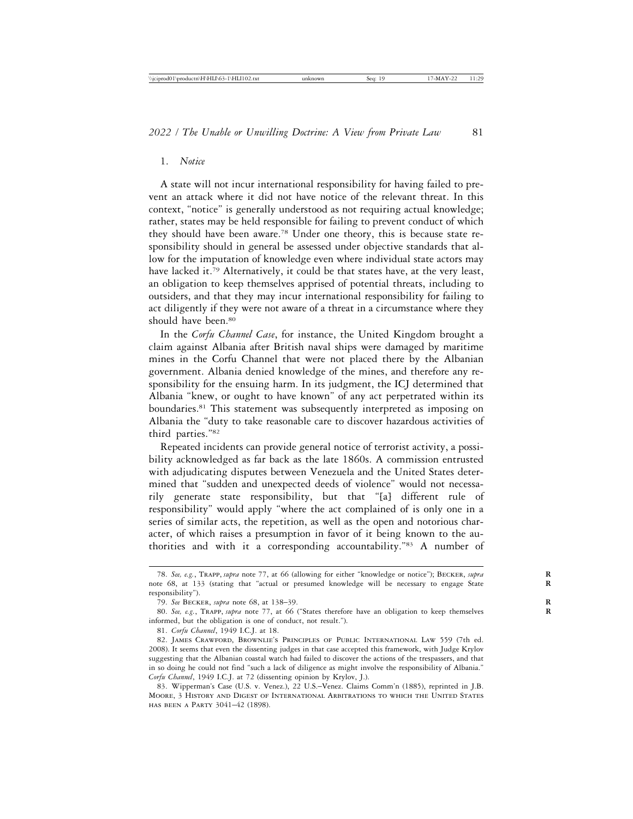#### 1. *Notice*

A state will not incur international responsibility for having failed to prevent an attack where it did not have notice of the relevant threat. In this context, "notice" is generally understood as not requiring actual knowledge; rather, states may be held responsible for failing to prevent conduct of which they should have been aware.78 Under one theory, this is because state responsibility should in general be assessed under objective standards that allow for the imputation of knowledge even where individual state actors may have lacked it.<sup>79</sup> Alternatively, it could be that states have, at the very least, an obligation to keep themselves apprised of potential threats, including to outsiders, and that they may incur international responsibility for failing to act diligently if they were not aware of a threat in a circumstance where they should have been.<sup>80</sup>

In the *Corfu Channel Case*, for instance, the United Kingdom brought a claim against Albania after British naval ships were damaged by maritime mines in the Corfu Channel that were not placed there by the Albanian government. Albania denied knowledge of the mines, and therefore any responsibility for the ensuing harm. In its judgment, the ICJ determined that Albania "knew, or ought to have known" of any act perpetrated within its boundaries.81 This statement was subsequently interpreted as imposing on Albania the "duty to take reasonable care to discover hazardous activities of third parties."82

Repeated incidents can provide general notice of terrorist activity, a possibility acknowledged as far back as the late 1860s. A commission entrusted with adjudicating disputes between Venezuela and the United States determined that "sudden and unexpected deeds of violence" would not necessarily generate state responsibility, but that "[a] different rule of responsibility" would apply "where the act complained of is only one in a series of similar acts, the repetition, as well as the open and notorious character, of which raises a presumption in favor of it being known to the authorities and with it a corresponding accountability."83 A number of

<sup>78.</sup> *See, e.g.*, Trapp, *supra* note 77, at 66 (allowing for either "knowledge or notice"); Becker, *supra* **R** note 68, at 133 (stating that "actual or presumed knowledge will be necessary to engage State **R** responsibility").

<sup>79.</sup> *See* Becker, *supra* note 68, at 138–39. **R**

<sup>80.</sup> *See, e.g.*, Trapp, *supra* note 77, at 66 ("States therefore have an obligation to keep themselves **R** informed, but the obligation is one of conduct, not result.").

<sup>81.</sup> *Corfu Channel*, 1949 I.C.J. at 18.

<sup>82.</sup> James Crawford, Brownlie's Principles of Public International Law 559 (7th ed. 2008). It seems that even the dissenting judges in that case accepted this framework, with Judge Krylov suggesting that the Albanian coastal watch had failed to discover the actions of the trespassers, and that in so doing he could not find "such a lack of diligence as might involve the responsibility of Albania." *Corfu Channel*, 1949 I.C.J. at 72 (dissenting opinion by Krylov, J.).

<sup>83.</sup> Wipperman's Case (U.S. v. Venez.), 22 U.S.–Venez. Claims Comm'n (1885), reprinted in J.B. Moore, 3 History and Digest of International Arbitrations to which the United States has been a Party 3041–42 (1898).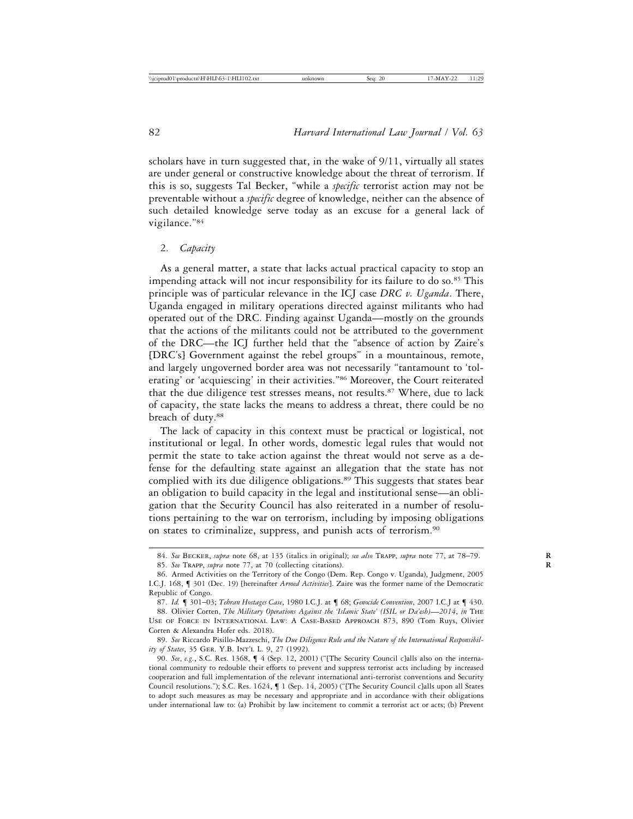scholars have in turn suggested that, in the wake of  $9/11$ , virtually all states are under general or constructive knowledge about the threat of terrorism. If this is so, suggests Tal Becker, "while a *specific* terrorist action may not be preventable without a *specific* degree of knowledge, neither can the absence of such detailed knowledge serve today as an excuse for a general lack of vigilance."84

#### 2. *Capacity*

As a general matter, a state that lacks actual practical capacity to stop an impending attack will not incur responsibility for its failure to do so.<sup>85</sup> This principle was of particular relevance in the ICJ case *DRC v. Uganda*. There, Uganda engaged in military operations directed against militants who had operated out of the DRC. Finding against Uganda—mostly on the grounds that the actions of the militants could not be attributed to the government of the DRC—the ICJ further held that the "absence of action by Zaire's [DRC's] Government against the rebel groups" in a mountainous, remote, and largely ungoverned border area was not necessarily "tantamount to 'tolerating' or 'acquiescing' in their activities."86 Moreover, the Court reiterated that the due diligence test stresses means, not results.<sup>87</sup> Where, due to lack of capacity, the state lacks the means to address a threat, there could be no breach of duty.88

The lack of capacity in this context must be practical or logistical, not institutional or legal. In other words, domestic legal rules that would not permit the state to take action against the threat would not serve as a defense for the defaulting state against an allegation that the state has not complied with its due diligence obligations.<sup>89</sup> This suggests that states bear an obligation to build capacity in the legal and institutional sense—an obligation that the Security Council has also reiterated in a number of resolutions pertaining to the war on terrorism, including by imposing obligations on states to criminalize, suppress, and punish acts of terrorism.90

<sup>84.</sup> *See* Becker, *supra* note 68, at 135 (italics in original); *see also* Trapp, *supra* note 77, at 78–79. **R**

<sup>85.</sup> See TRAPP, *supra* note 77, at 70 (collecting citations).

<sup>86.</sup> Armed Activities on the Territory of the Congo (Dem. Rep. Congo v. Uganda), Judgment, 2005 I.C.J. 168, ¶ 301 (Dec. 19) [hereinafter *Armed Activities*]. Zaire was the former name of the Democratic Republic of Congo.

<sup>87.</sup> *Id.* ¶ 301–03; *Tehran Hostages Case*, 1980 I.C.J. at ¶ 68; *Genocide Convention*, 2007 I.C.J at ¶ 430.

<sup>88.</sup> Olivier Corten, *The Military Operations Against the 'Islamic State' (ISIL or Da'esh)*—*2014*, *in* The Use of Force in International Law: A Case-Based Approach 873, 890 (Tom Ruys, Olivier Corten & Alexandra Hofer eds. 2018).

<sup>89.</sup> *See* Riccardo Pisillo-Mazzeschi, *The Due Diligence Rule and the Nature of the International Responsibility of States*, 35 Ger. Y.B. Int'l L. 9, 27 (1992).

<sup>90.</sup> *See*, *e.g.*, S.C. Res. 1368, ¶ 4 (Sep. 12, 2001) ("[The Security Council c]alls also on the international community to redouble their efforts to prevent and suppress terrorist acts including by increased cooperation and full implementation of the relevant international anti-terrorist conventions and Security Council resolutions."); S.C. Res. 1624, ¶ 1 (Sep. 14, 2005) ("[The Security Council c]alls upon all States to adopt such measures as may be necessary and appropriate and in accordance with their obligations under international law to: (a) Prohibit by law incitement to commit a terrorist act or acts; (b) Prevent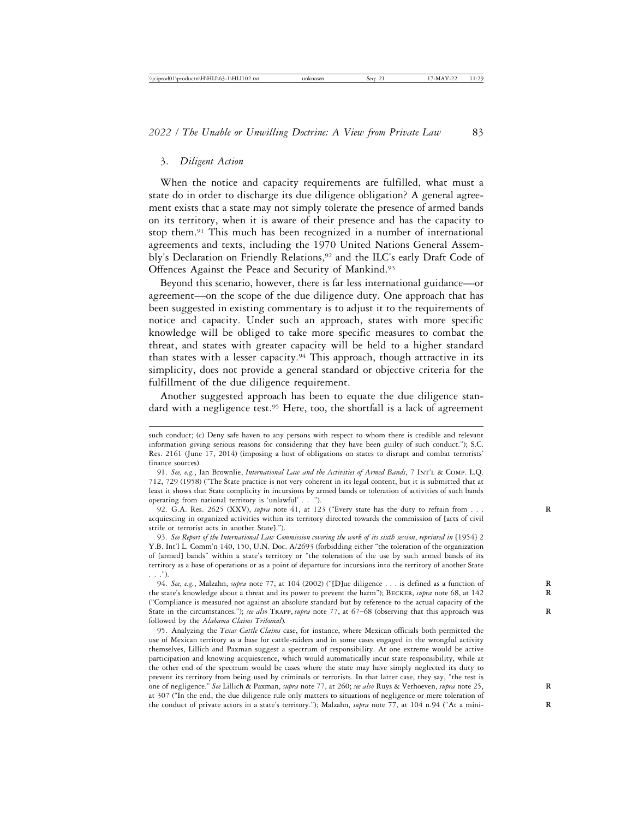#### 3. *Diligent Action*

When the notice and capacity requirements are fulfilled, what must a state do in order to discharge its due diligence obligation? A general agreement exists that a state may not simply tolerate the presence of armed bands on its territory, when it is aware of their presence and has the capacity to stop them.<sup>91</sup> This much has been recognized in a number of international agreements and texts, including the 1970 United Nations General Assembly's Declaration on Friendly Relations,<sup>92</sup> and the ILC's early Draft Code of Offences Against the Peace and Security of Mankind.<sup>93</sup>

Beyond this scenario, however, there is far less international guidance—or agreement—on the scope of the due diligence duty. One approach that has been suggested in existing commentary is to adjust it to the requirements of notice and capacity. Under such an approach, states with more specific knowledge will be obliged to take more specific measures to combat the threat, and states with greater capacity will be held to a higher standard than states with a lesser capacity.<sup>94</sup> This approach, though attractive in its simplicity, does not provide a general standard or objective criteria for the fulfillment of the due diligence requirement.

Another suggested approach has been to equate the due diligence standard with a negligence test.<sup>95</sup> Here, too, the shortfall is a lack of agreement

92. G.A. Res. 2625 (XXV), *supra* note 41, at 123 ("Every state has the duty to refrain from . . . **R** acquiescing in organized activities within its territory directed towards the commission of [acts of civil strife or terrorist acts in another State].").

93. *See Report of the International Law Commission covering the work of its sixth session*, *reprinted in* [1954] 2 Y.B. Int'l L. Comm'n 140, 150, U.N. Doc. A/2693 (forbidding either "the toleration of the organization of [armed] bands" within a state's territory or "the toleration of the use by such armed bands of its territory as a base of operations or as a point of departure for incursions into the territory of another State . . .").

94. *See, e.g.*, Malzahn, *supra* note 77, at 104 (2002) ("[D]ue diligence . . . is defined as a function of **R** the state's knowledge about a threat and its power to prevent the harm"); Becker, *supra* note 68, at 142 **R** ("Compliance is measured not against an absolute standard but by reference to the actual capacity of the State in the circumstances."); *see also* TRAPP, *supra* note 77, at 67–68 (observing that this approach was followed by the *Alabama Claims Tribunal*)*.*

95. Analyzing the *Texas Cattle Claims* case, for instance, where Mexican officials both permitted the use of Mexican territory as a base for cattle-raiders and in some cases engaged in the wrongful activity themselves, Lillich and Paxman suggest a spectrum of responsibility. At one extreme would be active participation and knowing acquiescence, which would automatically incur state responsibility, while at the other end of the spectrum would be cases where the state may have simply neglected its duty to prevent its territory from being used by criminals or terrorists. In that latter case, they say, "the test is one of negligence." *See* Lillich & Paxman, *supra* note 77, at 260; *see also* Ruys & Verhoeven, *supra* note 25, **R** at 307 ("In the end, the due diligence rule only matters to situations of negligence or mere toleration of the conduct of private actors in a state's territory."); Malzahn, *supra* note 77, at 104 n.94 ("At a mini-

such conduct; (c) Deny safe haven to any persons with respect to whom there is credible and relevant information giving serious reasons for considering that they have been guilty of such conduct."); S.C. Res. 2161 (June 17, 2014) (imposing a host of obligations on states to disrupt and combat terrorists' finance sources).

<sup>91.</sup> *See, e.g.*, Ian Brownlie, *International Law and the Activities of Armed Bands*, 7 Int'l & Comp. L.Q. 712, 729 (1958) ("The State practice is not very coherent in its legal content, but it is submitted that at least it shows that State complicity in incursions by armed bands or toleration of activities of such bands operating from national territory is 'unlawful' . . .").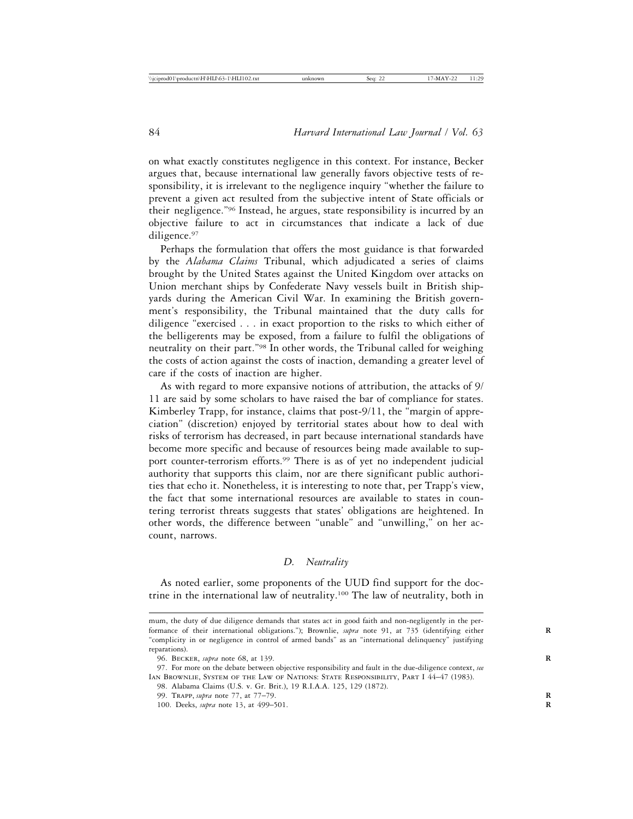on what exactly constitutes negligence in this context. For instance, Becker argues that, because international law generally favors objective tests of responsibility, it is irrelevant to the negligence inquiry "whether the failure to prevent a given act resulted from the subjective intent of State officials or their negligence."96 Instead, he argues, state responsibility is incurred by an objective failure to act in circumstances that indicate a lack of due diligence.97

Perhaps the formulation that offers the most guidance is that forwarded by the *Alabama Claims* Tribunal, which adjudicated a series of claims brought by the United States against the United Kingdom over attacks on Union merchant ships by Confederate Navy vessels built in British shipyards during the American Civil War. In examining the British government's responsibility, the Tribunal maintained that the duty calls for diligence "exercised . . . in exact proportion to the risks to which either of the belligerents may be exposed, from a failure to fulfil the obligations of neutrality on their part."98 In other words, the Tribunal called for weighing the costs of action against the costs of inaction, demanding a greater level of care if the costs of inaction are higher.

As with regard to more expansive notions of attribution, the attacks of 9/ 11 are said by some scholars to have raised the bar of compliance for states. Kimberley Trapp, for instance, claims that post-9/11, the "margin of appreciation" (discretion) enjoyed by territorial states about how to deal with risks of terrorism has decreased, in part because international standards have become more specific and because of resources being made available to support counter-terrorism efforts.<sup>99</sup> There is as of yet no independent judicial authority that supports this claim, nor are there significant public authorities that echo it. Nonetheless, it is interesting to note that, per Trapp's view, the fact that some international resources are available to states in countering terrorist threats suggests that states' obligations are heightened. In other words, the difference between "unable" and "unwilling," on her account, narrows.

#### *D. Neutrality*

As noted earlier, some proponents of the UUD find support for the doctrine in the international law of neutrality.100 The law of neutrality, both in

100. Deeks, *supra* note 13, at 499–501. **R**

mum, the duty of due diligence demands that states act in good faith and non-negligently in the performance of their international obligations."); Brownlie, *supra* note 91, at 735 (identifying either **R** "complicity in or negligence in control of armed bands" as an "international delinquency" justifying reparations).

<sup>96.</sup> Becker, *supra* note 68, at 139. **R**

<sup>97.</sup> For more on the debate between objective responsibility and fault in the due-diligence context, *see* IAN BROWNLIE, SYSTEM OF THE LAW OF NATIONS: STATE RESPONSIBILITY, PART I 44–47 (1983).

<sup>98.</sup> Alabama Claims (U.S. v. Gr. Brit.), 19 R.I.A.A. 125, 129 (1872).

<sup>99.</sup> Trapp, *supra* note 77, at 77–79. **R**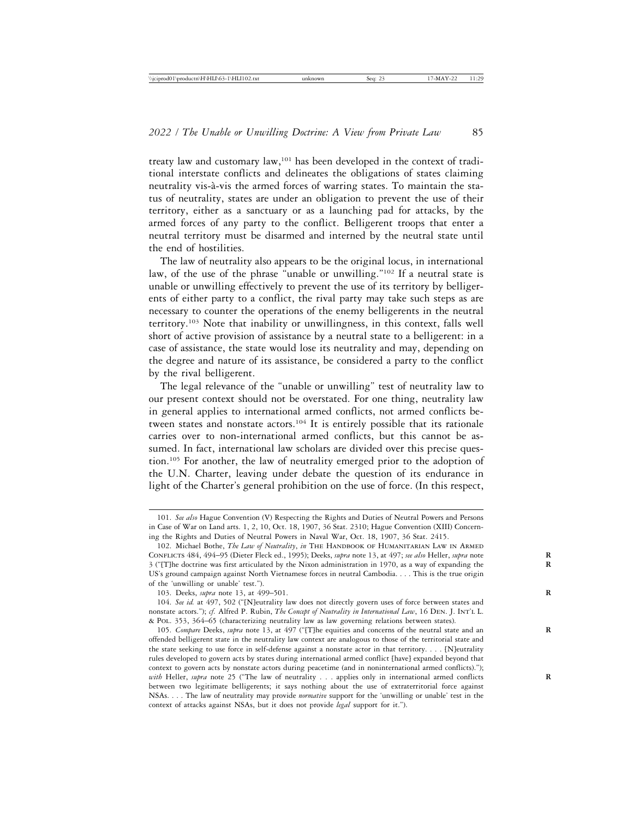treaty law and customary law,101 has been developed in the context of traditional interstate conflicts and delineates the obligations of states claiming neutrality vis-à-vis the armed forces of warring states. To maintain the status of neutrality, states are under an obligation to prevent the use of their territory, either as a sanctuary or as a launching pad for attacks, by the armed forces of any party to the conflict. Belligerent troops that enter a neutral territory must be disarmed and interned by the neutral state until the end of hostilities.

The law of neutrality also appears to be the original locus, in international law, of the use of the phrase "unable or unwilling."102 If a neutral state is unable or unwilling effectively to prevent the use of its territory by belligerents of either party to a conflict, the rival party may take such steps as are necessary to counter the operations of the enemy belligerents in the neutral territory.103 Note that inability or unwillingness, in this context, falls well short of active provision of assistance by a neutral state to a belligerent: in a case of assistance, the state would lose its neutrality and may, depending on the degree and nature of its assistance, be considered a party to the conflict by the rival belligerent.

The legal relevance of the "unable or unwilling" test of neutrality law to our present context should not be overstated. For one thing, neutrality law in general applies to international armed conflicts, not armed conflicts between states and nonstate actors.<sup>104</sup> It is entirely possible that its rationale carries over to non-international armed conflicts, but this cannot be assumed. In fact, international law scholars are divided over this precise question.105 For another, the law of neutrality emerged prior to the adoption of the U.N. Charter, leaving under debate the question of its endurance in light of the Charter's general prohibition on the use of force. (In this respect,

<sup>101.</sup> *See also* Hague Convention (V) Respecting the Rights and Duties of Neutral Powers and Persons in Case of War on Land arts. 1, 2, 10, Oct. 18, 1907, 36 Stat. 2310; Hague Convention (XIII) Concerning the Rights and Duties of Neutral Powers in Naval War, Oct. 18, 1907, 36 Stat. 2415.

<sup>102.</sup> Michael Bothe, *The Law of Neutrality*, *in* The Handbook of Humanitarian Law in Armed CONFLICTS 484, 494–95 (Dieter Fleck ed., 1995); Deeks, *supra* note 13, at 497; *see also* Heller, *supra* note 3 ("[T]he doctrine was first articulated by the Nixon administration in 1970, as a way of expanding the **R** US's ground campaign against North Vietnamese forces in neutral Cambodia. . . . This is the true origin of the 'unwilling or unable' test.").

<sup>103.</sup> Deeks, *supra* note 13, at 499–501. **R**

<sup>104.</sup> *See id.* at 497, 502 ("[N]eutrality law does not directly govern uses of force between states and nonstate actors."); *cf.* Alfred P. Rubin, *The Concept of Neutrality in International Law*, 16 Den. J. Int'l L. & Pol. 353, 364–65 (characterizing neutrality law as law governing relations between states).

<sup>105.</sup> *Compare* Deeks, *supra* note 13, at 497 ("[T]he equities and concerns of the neutral state and an **R** offended belligerent state in the neutrality law context are analogous to those of the territorial state and the state seeking to use force in self-defense against a nonstate actor in that territory. . . . [N]eutrality rules developed to govern acts by states during international armed conflict [have] expanded beyond that context to govern acts by nonstate actors during peacetime (and in noninternational armed conflicts)."); *with* Heller, *supra* note 25 ("The law of neutrality . . . applies only in international armed conflicts **R** between two legitimate belligerents; it says nothing about the use of extraterritorial force against NSAs. . . . The law of neutrality may provide *normative* support for the 'unwilling or unable' test in the context of attacks against NSAs, but it does not provide *legal* support for it.").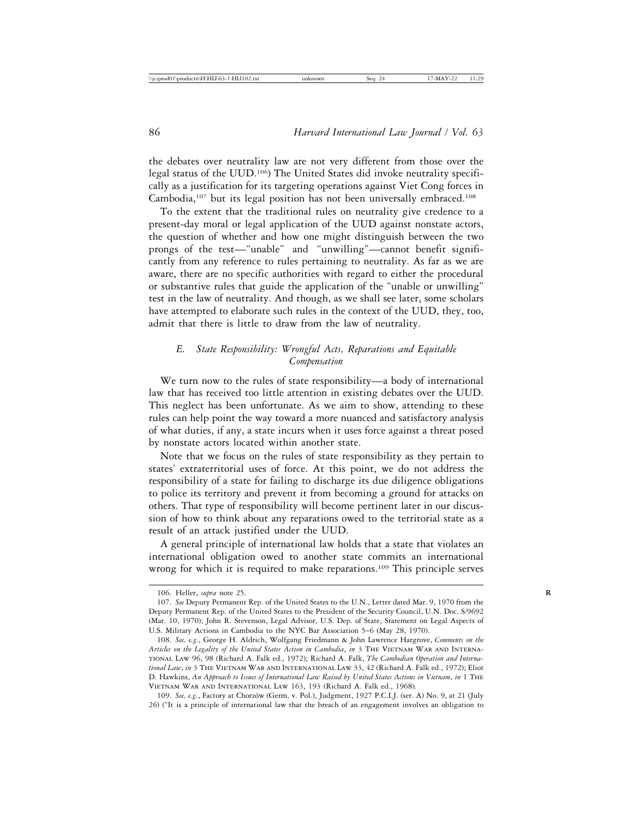the debates over neutrality law are not very different from those over the legal status of the UUD.106) The United States did invoke neutrality specifically as a justification for its targeting operations against Viet Cong forces in Cambodia,<sup>107</sup> but its legal position has not been universally embraced.<sup>108</sup>

To the extent that the traditional rules on neutrality give credence to a present-day moral or legal application of the UUD against nonstate actors, the question of whether and how one might distinguish between the two prongs of the test—"unable" and "unwilling"—cannot benefit significantly from any reference to rules pertaining to neutrality. As far as we are aware, there are no specific authorities with regard to either the procedural or substantive rules that guide the application of the "unable or unwilling" test in the law of neutrality. And though, as we shall see later, some scholars have attempted to elaborate such rules in the context of the UUD, they, too, admit that there is little to draw from the law of neutrality.

## *E. State Responsibility: Wrongful Acts, Reparations and Equitable Compensation*

We turn now to the rules of state responsibility—a body of international law that has received too little attention in existing debates over the UUD. This neglect has been unfortunate. As we aim to show, attending to these rules can help point the way toward a more nuanced and satisfactory analysis of what duties, if any, a state incurs when it uses force against a threat posed by nonstate actors located within another state.

Note that we focus on the rules of state responsibility as they pertain to states' extraterritorial uses of force. At this point, we do not address the responsibility of a state for failing to discharge its due diligence obligations to police its territory and prevent it from becoming a ground for attacks on others. That type of responsibility will become pertinent later in our discussion of how to think about any reparations owed to the territorial state as a result of an attack justified under the UUD.

A general principle of international law holds that a state that violates an international obligation owed to another state commits an international wrong for which it is required to make reparations.<sup>109</sup> This principle serves

<sup>106.</sup> Heller, *supra* note 25. **R**

<sup>107.</sup> *See* Deputy Permanent Rep. of the United States to the U.N., Letter dated Mar. 9, 1970 from the Deputy Permanent Rep. of the United States to the President of the Security Council, U.N. Doc. S/9692 (Mar. 10, 1970); John R. Stevenson, Legal Advisor, U.S. Dep. of State, Statement on Legal Aspects of U.S. Military Actions in Cambodia to the NYC Bar Association 5–6 (May 28, 1970).

<sup>108.</sup> *See, e.g.*, George H. Aldrich, Wolfgang Friedmann & John Lawrence Hargrove, *Comments on the Articles on the Legality of the United States Action in Cambodia*, *in* 3 The Vietnam War and International Law 96, 98 (Richard A. Falk ed., 1972); Richard A. Falk, *The Cambodian Operation and International Law*, *in* 3 The Vietnam War and International Law 33, 42 (Richard A. Falk ed., 1972); Eliot D. Hawkins, *An Approach to Issues of International Law Raised by United States Actions in Vietnam*, *in* 1 The Vietnam War and International Law 163, 193 (Richard A. Falk ed., 1968).

<sup>109.</sup> See, e.g., Factory at Chorzów (Germ. v. Pol.), Judgment, 1927 P.C.I.J. (ser. A) No. 9, at 21 (July 26) ("It is a principle of international law that the breach of an engagement involves an obligation to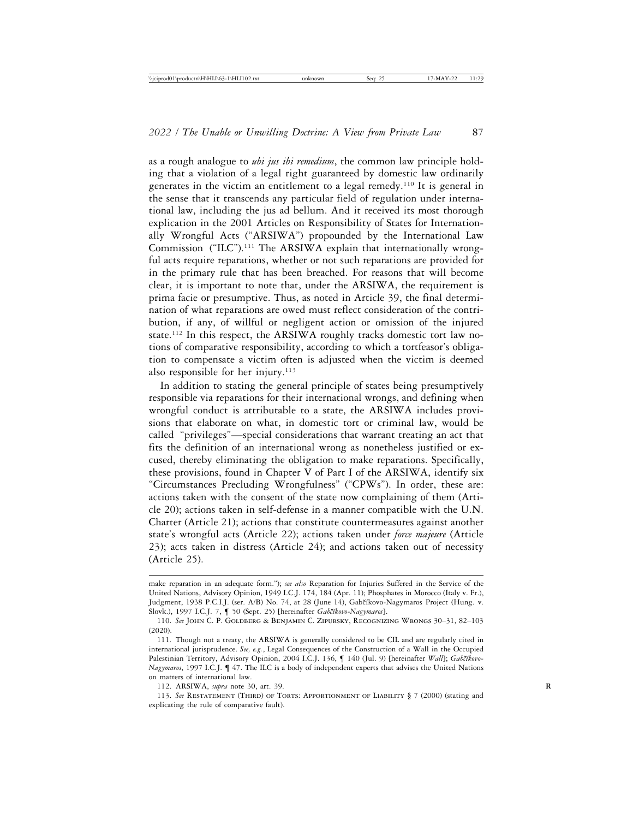as a rough analogue to *ubi jus ibi remedium*, the common law principle holding that a violation of a legal right guaranteed by domestic law ordinarily generates in the victim an entitlement to a legal remedy.110 It is general in the sense that it transcends any particular field of regulation under international law, including the jus ad bellum. And it received its most thorough explication in the 2001 Articles on Responsibility of States for Internationally Wrongful Acts ("ARSIWA") propounded by the International Law Commission ("ILC").<sup>111</sup> The ARSIWA explain that internationally wrongful acts require reparations, whether or not such reparations are provided for in the primary rule that has been breached. For reasons that will become clear, it is important to note that, under the ARSIWA, the requirement is prima facie or presumptive. Thus, as noted in Article 39, the final determination of what reparations are owed must reflect consideration of the contribution, if any, of willful or negligent action or omission of the injured state.112 In this respect, the ARSIWA roughly tracks domestic tort law notions of comparative responsibility, according to which a tortfeasor's obligation to compensate a victim often is adjusted when the victim is deemed also responsible for her injury. $113$ 

In addition to stating the general principle of states being presumptively responsible via reparations for their international wrongs, and defining when wrongful conduct is attributable to a state, the ARSIWA includes provisions that elaborate on what, in domestic tort or criminal law, would be called "privileges"—special considerations that warrant treating an act that fits the definition of an international wrong as nonetheless justified or excused, thereby eliminating the obligation to make reparations. Specifically, these provisions, found in Chapter V of Part I of the ARSIWA, identify six "Circumstances Precluding Wrongfulness" ("CPWs"). In order, these are: actions taken with the consent of the state now complaining of them (Article 20); actions taken in self-defense in a manner compatible with the U.N. Charter (Article 21); actions that constitute countermeasures against another state's wrongful acts (Article 22); actions taken under *force majeure* (Article 23); acts taken in distress (Article 24); and actions taken out of necessity (Article 25).

make reparation in an adequate form."); *see also* Reparation for Injuries Suffered in the Service of the United Nations, Advisory Opinion, 1949 I.C.J. 174, 184 (Apr. 11); Phosphates in Morocco (Italy v. Fr.), Judgment, 1938 P.C.I.J. (ser. A/B) No. 74, at 28 (June 14), Gabčíkovo-Nagymaros Project (Hung. v. Slovk.), 1997 I.C.J. 7, ¶ 50 (Sept. 25) [hereinafter *Gabčíkovo-Nagymaros*].

<sup>110.</sup> *See* John C. P. Goldberg & Benjamin C. Zipursky, Recognizing Wrongs 30–31, 82–103 (2020).

<sup>111.</sup> Though not a treaty, the ARSIWA is generally considered to be CIL and are regularly cited in international jurisprudence. *See, e.g.*, Legal Consequences of the Construction of a Wall in the Occupied Palestinian Territory, Advisory Opinion, 2004 I.C.J. 136,  $\P$  140 (Jul. 9) [hereinafter *Wall*]; *Gabčíkovo-Nagymaros*, 1997 I.C.J. ¶ 47. The ILC is a body of independent experts that advises the United Nations on matters of international law.

<sup>112.</sup> ARSIWA, *supra* note 30, art. 39. **R**

<sup>113.</sup> *See* Restatement (Third) of Torts: Apportionment of Liability § 7 (2000) (stating and explicating the rule of comparative fault).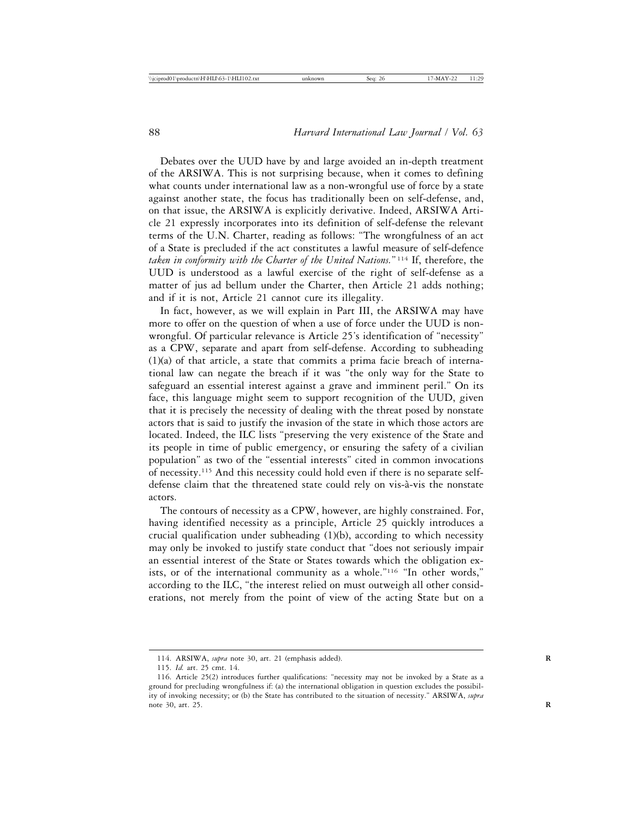Debates over the UUD have by and large avoided an in-depth treatment of the ARSIWA. This is not surprising because, when it comes to defining what counts under international law as a non-wrongful use of force by a state against another state, the focus has traditionally been on self-defense, and, on that issue, the ARSIWA is explicitly derivative. Indeed, ARSIWA Article 21 expressly incorporates into its definition of self-defense the relevant terms of the U.N. Charter, reading as follows: "The wrongfulness of an act of a State is precluded if the act constitutes a lawful measure of self-defence *taken in conformity with the Charter of the United Nations.*" 114 If, therefore, the UUD is understood as a lawful exercise of the right of self-defense as a matter of jus ad bellum under the Charter, then Article 21 adds nothing; and if it is not, Article 21 cannot cure its illegality.

In fact, however, as we will explain in Part III, the ARSIWA may have more to offer on the question of when a use of force under the UUD is nonwrongful. Of particular relevance is Article 25's identification of "necessity" as a CPW, separate and apart from self-defense. According to subheading (1)(a) of that article, a state that commits a prima facie breach of international law can negate the breach if it was "the only way for the State to safeguard an essential interest against a grave and imminent peril." On its face, this language might seem to support recognition of the UUD, given that it is precisely the necessity of dealing with the threat posed by nonstate actors that is said to justify the invasion of the state in which those actors are located. Indeed, the ILC lists "preserving the very existence of the State and its people in time of public emergency, or ensuring the safety of a civilian population" as two of the "essential interests" cited in common invocations of necessity.115 And this necessity could hold even if there is no separate selfdefense claim that the threatened state could rely on vis-à-vis the nonstate actors.

The contours of necessity as a CPW, however, are highly constrained. For, having identified necessity as a principle, Article 25 quickly introduces a crucial qualification under subheading (1)(b), according to which necessity may only be invoked to justify state conduct that "does not seriously impair an essential interest of the State or States towards which the obligation exists, or of the international community as a whole."116 "In other words," according to the ILC, "the interest relied on must outweigh all other considerations, not merely from the point of view of the acting State but on a

<sup>114.</sup> ARSIWA, *supra* note 30, art. 21 (emphasis added). **R**

<sup>115.</sup> *Id.* art. 25 cmt. 14.

<sup>116.</sup> Article 25(2) introduces further qualifications: "necessity may not be invoked by a State as a ground for precluding wrongfulness if: (a) the international obligation in question excludes the possibility of invoking necessity; or (b) the State has contributed to the situation of necessity." ARSIWA, *supra* note 30, art. 25. **R**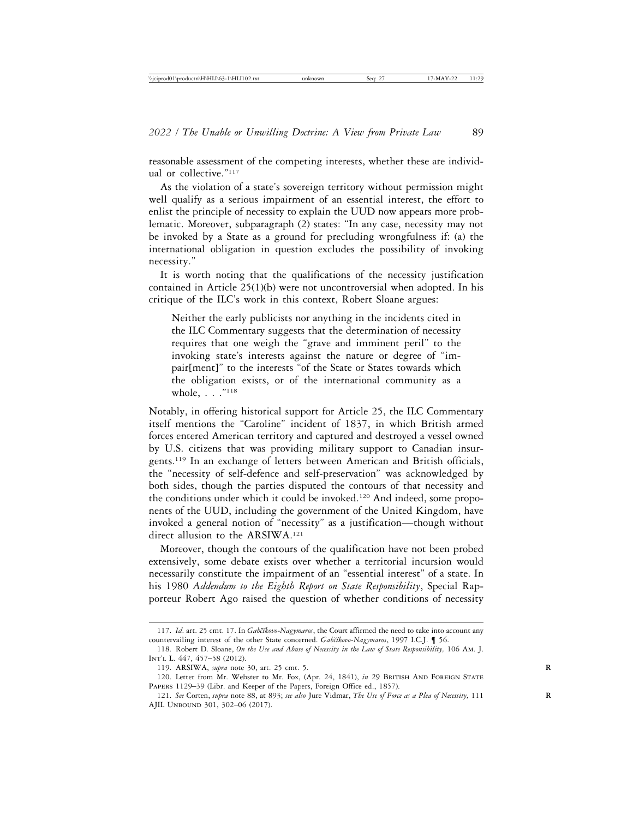reasonable assessment of the competing interests, whether these are individual or collective."117

As the violation of a state's sovereign territory without permission might well qualify as a serious impairment of an essential interest, the effort to enlist the principle of necessity to explain the UUD now appears more problematic. Moreover, subparagraph (2) states: "In any case, necessity may not be invoked by a State as a ground for precluding wrongfulness if: (a) the international obligation in question excludes the possibility of invoking necessity."

It is worth noting that the qualifications of the necessity justification contained in Article 25(1)(b) were not uncontroversial when adopted. In his critique of the ILC's work in this context, Robert Sloane argues:

Neither the early publicists nor anything in the incidents cited in the ILC Commentary suggests that the determination of necessity requires that one weigh the "grave and imminent peril" to the invoking state's interests against the nature or degree of "impair[ment]" to the interests "of the State or States towards which the obligation exists, or of the international community as a whole, . . . "<sup>118</sup>

Notably, in offering historical support for Article 25, the ILC Commentary itself mentions the "Caroline" incident of 1837, in which British armed forces entered American territory and captured and destroyed a vessel owned by U.S. citizens that was providing military support to Canadian insurgents.119 In an exchange of letters between American and British officials, the "necessity of self-defence and self-preservation" was acknowledged by both sides, though the parties disputed the contours of that necessity and the conditions under which it could be invoked.<sup>120</sup> And indeed, some proponents of the UUD, including the government of the United Kingdom, have invoked a general notion of "necessity" as a justification—though without direct allusion to the ARSIWA.121

Moreover, though the contours of the qualification have not been probed extensively, some debate exists over whether a territorial incursion would necessarily constitute the impairment of an "essential interest" of a state. In his 1980 *Addendum to the Eighth Report on State Responsibility*, Special Rapporteur Robert Ago raised the question of whether conditions of necessity

<sup>117.</sup> *Id*. art. 25 cmt. 17. In *Gab˘c´ıkovo-Nagymaros*, the Court affirmed the need to take into account any countervailing interest of the other State concerned. *Gab˘c´ıkovo-Nagymaros*, 1997 I.C.J. ¶ 56.

<sup>118.</sup> Robert D. Sloane, *On the Use and Abuse of Necessity in the Law of State Responsibility,* 106 Am. J. Int'l L. 447, 457–58 (2012).

<sup>119.</sup> ARSIWA, *supra* note 30, art. 25 cmt. 5. **R**

<sup>120.</sup> Letter from Mr. Webster to Mr. Fox, (Apr. 24, 1841), *in* 29 British And Foreign State Papers 1129–39 (Libr. and Keeper of the Papers, Foreign Office ed., 1857).

<sup>121.</sup> *See* Corten, *supra* note 88, at 893; *see also* Jure Vidmar, *The Use of Force as a Plea of Necessity,* 111 **R** AJIL Unbound 301, 302–06 (2017).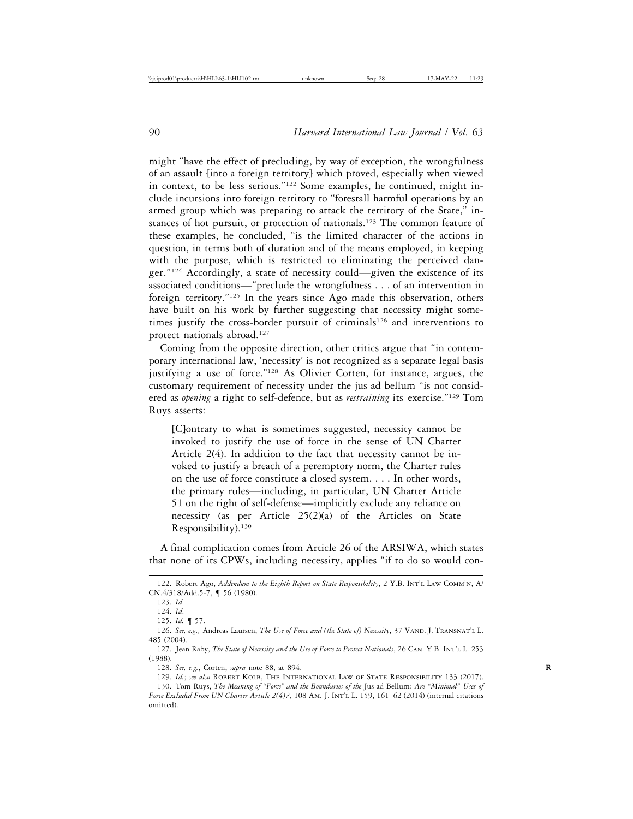might "have the effect of precluding, by way of exception, the wrongfulness of an assault [into a foreign territory] which proved, especially when viewed in context, to be less serious."122 Some examples, he continued, might include incursions into foreign territory to "forestall harmful operations by an armed group which was preparing to attack the territory of the State," instances of hot pursuit, or protection of nationals.<sup>123</sup> The common feature of these examples, he concluded, "is the limited character of the actions in question, in terms both of duration and of the means employed, in keeping with the purpose, which is restricted to eliminating the perceived danger."124 Accordingly, a state of necessity could—given the existence of its associated conditions—"preclude the wrongfulness . . . of an intervention in foreign territory."125 In the years since Ago made this observation, others have built on his work by further suggesting that necessity might sometimes justify the cross-border pursuit of criminals<sup>126</sup> and interventions to protect nationals abroad.127

Coming from the opposite direction, other critics argue that "in contemporary international law, 'necessity' is not recognized as a separate legal basis justifying a use of force."128 As Olivier Corten, for instance, argues, the customary requirement of necessity under the jus ad bellum "is not considered as *opening* a right to self-defence, but as *restraining* its exercise."129 Tom Ruys asserts:

[C]ontrary to what is sometimes suggested, necessity cannot be invoked to justify the use of force in the sense of UN Charter Article 2(4). In addition to the fact that necessity cannot be invoked to justify a breach of a peremptory norm, the Charter rules on the use of force constitute a closed system. . . . In other words, the primary rules—including, in particular, UN Charter Article 51 on the right of self-defense—implicitly exclude any reliance on necessity (as per Article 25(2)(a) of the Articles on State Responsibility).<sup>130</sup>

A final complication comes from Article 26 of the ARSIWA, which states that none of its CPWs, including necessity, applies "if to do so would con-

<sup>122.</sup> Robert Ago, *Addendum to the Eighth Report on State Responsibility*, 2 Y.B. Int'l Law Comm'n, A/ CN.4/318/Add.5-7, ¶ 56 (1980).

<sup>123.</sup> *Id*.

<sup>124.</sup> *Id*.

<sup>125.</sup> *Id.* ¶ 57.

<sup>126.</sup> *See, e.g.,* Andreas Laursen, *The Use of Force and (the State of) Necessity*, 37 Vand. J. Transnat'l L. 485 (2004).

<sup>127.</sup> Jean Raby, *The State of Necessity and the Use of Force to Protect Nationals*, 26 Can. Y.B. Int'l L. 253 (1988).

<sup>128.</sup> *See, e.g.*, Corten, *supra* note 88, at 894. **R**

<sup>129.</sup> *Id.*; *see also* Robert Kolb, The International Law of State Responsibility 133 (2017).

<sup>130.</sup> Tom Ruys, *The Meaning of "Force" and the Boundaries of the* Jus ad Bellum*: Are "Minimal" Uses of Force Excluded From UN Charter Article 2(4)?*, 108 Am. J. Int'l L. 159, 161–62 (2014) (internal citations omitted).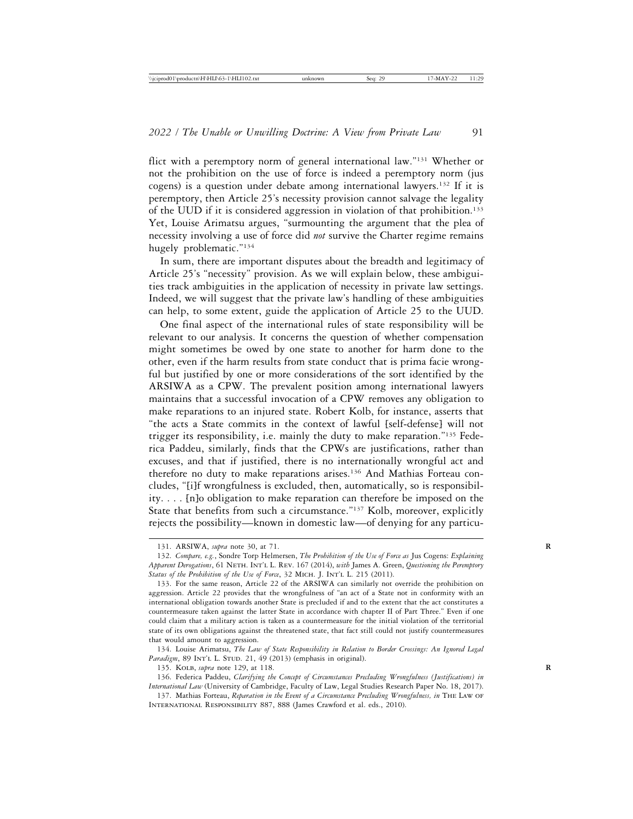flict with a peremptory norm of general international law."131 Whether or not the prohibition on the use of force is indeed a peremptory norm (jus cogens) is a question under debate among international lawyers.<sup>132</sup> If it is peremptory, then Article 25's necessity provision cannot salvage the legality of the UUD if it is considered aggression in violation of that prohibition.<sup>133</sup> Yet, Louise Arimatsu argues, "surmounting the argument that the plea of necessity involving a use of force did *not* survive the Charter regime remains hugely problematic."134

In sum, there are important disputes about the breadth and legitimacy of Article 25's "necessity" provision. As we will explain below, these ambiguities track ambiguities in the application of necessity in private law settings. Indeed, we will suggest that the private law's handling of these ambiguities can help, to some extent, guide the application of Article 25 to the UUD.

One final aspect of the international rules of state responsibility will be relevant to our analysis. It concerns the question of whether compensation might sometimes be owed by one state to another for harm done to the other, even if the harm results from state conduct that is prima facie wrongful but justified by one or more considerations of the sort identified by the ARSIWA as a CPW. The prevalent position among international lawyers maintains that a successful invocation of a CPW removes any obligation to make reparations to an injured state. Robert Kolb, for instance, asserts that "the acts a State commits in the context of lawful [self-defense] will not trigger its responsibility, i.e. mainly the duty to make reparation."135 Federica Paddeu, similarly, finds that the CPWs are justifications, rather than excuses, and that if justified, there is no internationally wrongful act and therefore no duty to make reparations arises.136 And Mathias Forteau concludes, "[i]f wrongfulness is excluded, then, automatically, so is responsibility. . . . [n]o obligation to make reparation can therefore be imposed on the State that benefits from such a circumstance."<sup>137</sup> Kolb, moreover, explicitly rejects the possibility—known in domestic law—of denying for any particu-

<sup>131.</sup> ARSIWA, *supra* note 30, at 71. **R**

<sup>132.</sup> *Compare, e.g.*, Sondre Torp Helmersen, *The Prohibition of the Use of Force as* Jus Cogens: *Explaining Apparent Derogations*, 61 Neth. Int'l L. Rev. 167 (2014), *with* James A. Green, *Questioning the Peremptory* Status of the Prohibition of the Use of Force, 32 MICH. J. INT'L L. 215 (2011).

<sup>133.</sup> For the same reason, Article 22 of the ARSIWA can similarly not override the prohibition on aggression. Article 22 provides that the wrongfulness of "an act of a State not in conformity with an international obligation towards another State is precluded if and to the extent that the act constitutes a countermeasure taken against the latter State in accordance with chapter II of Part Three." Even if one could claim that a military action is taken as a countermeasure for the initial violation of the territorial state of its own obligations against the threatened state, that fact still could not justify countermeasures that would amount to aggression.

<sup>134.</sup> Louise Arimatsu, *The Law of State Responsibility in Relation to Border Crossings: An Ignored Legal* Paradigm, 89 INT'L L. STUD. 21, 49 (2013) (emphasis in original).

<sup>135.</sup> KOLB, *supra* note 129, at 118.

<sup>136.</sup> Federica Paddeu, *Clarifying the Concept of Circumstances Precluding Wrongfulness (Justifications) in International Law* (University of Cambridge, Faculty of Law, Legal Studies Research Paper No. 18, 2017).

<sup>137.</sup> Mathias Forteau, *Reparation in the Event of a Circumstance Precluding Wrongfulness, in* The Law of International Responsibility 887, 888 (James Crawford et al. eds., 2010).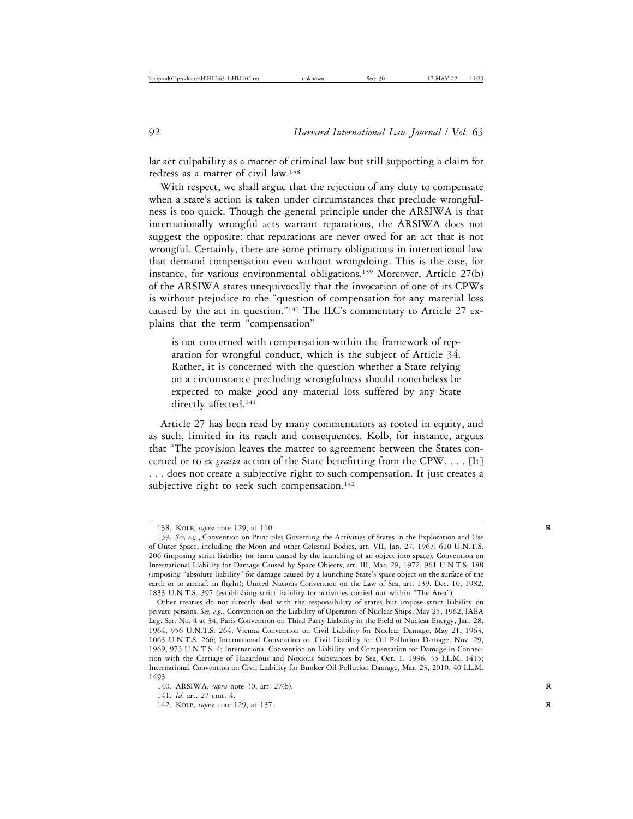lar act culpability as a matter of criminal law but still supporting a claim for redress as a matter of civil law.138

With respect, we shall argue that the rejection of any duty to compensate when a state's action is taken under circumstances that preclude wrongfulness is too quick. Though the general principle under the ARSIWA is that internationally wrongful acts warrant reparations, the ARSIWA does not suggest the opposite: that reparations are never owed for an act that is not wrongful. Certainly, there are some primary obligations in international law that demand compensation even without wrongdoing. This is the case, for instance, for various environmental obligations.139 Moreover, Article 27(b) of the ARSIWA states unequivocally that the invocation of one of its CPWs is without prejudice to the "question of compensation for any material loss caused by the act in question."140 The ILC's commentary to Article 27 explains that the term "compensation"

is not concerned with compensation within the framework of reparation for wrongful conduct, which is the subject of Article 34. Rather, it is concerned with the question whether a State relying on a circumstance precluding wrongfulness should nonetheless be expected to make good any material loss suffered by any State directly affected.<sup>141</sup>

Article 27 has been read by many commentators as rooted in equity, and as such, limited in its reach and consequences. Kolb, for instance, argues that "The provision leaves the matter to agreement between the States concerned or to *ex gratia* action of the State benefitting from the CPW. . . . [It] . . . does not create a subjective right to such compensation. It just creates a subjective right to seek such compensation.<sup>142</sup>

<sup>138.</sup> KOLB, *supra* note 129, at 110.

<sup>139.</sup> *See, e.g.*, Convention on Principles Governing the Activities of States in the Exploration and Use of Outer Space, including the Moon and other Celestial Bodies, art. VII, Jan. 27, 1967, 610 U.N.T.S. 206 (imposing strict liability for harm caused by the launching of an object into space); Convention on International Liability for Damage Caused by Space Objects, art. III, Mar. 29, 1972, 961 U.N.T.S. 188 (imposing "absolute liability" for damage caused by a launching State's space object on the surface of the earth or to aircraft in flight); United Nations Convention on the Law of Sea, art. 139, Dec. 10, 1982, 1833 U.N.T.S. 397 (establishing strict liability for activities carried out within "The Area").

Other treaties do not directly deal with the responsibility of states but impose strict liability on private persons. *See, e.g.*, Convention on the Liability of Operators of Nuclear Ships, May 25, 1962, IAEA Leg. Ser. No. 4 at 34; Paris Convention on Third Party Liability in the Field of Nuclear Energy, Jan. 28, 1964, 956 U.N.T.S. 264; Vienna Convention on Civil Liability for Nuclear Damage, May 21, 1963, 1063 U.N.T.S. 266; International Convention on Civil Liability for Oil Pollution Damage, Nov. 29, 1969, 973 U.N.T.S. 4; International Convention on Liability and Compensation for Damage in Connection with the Carriage of Hazardous and Noxious Substances by Sea, Oct. 1, 1996, 35 I.L.M. 1415; International Convention on Civil Liability for Bunker Oil Pollution Damage, Mar. 23, 2010, 40 I.L.M. 1493.

<sup>140.</sup> ARSIWA, *supra* note 30, art. 27(b). **R**

<sup>141.</sup> *Id*. art. 27 cmt. 4.

<sup>142.</sup> KOLB, *supra* note 129, at 137.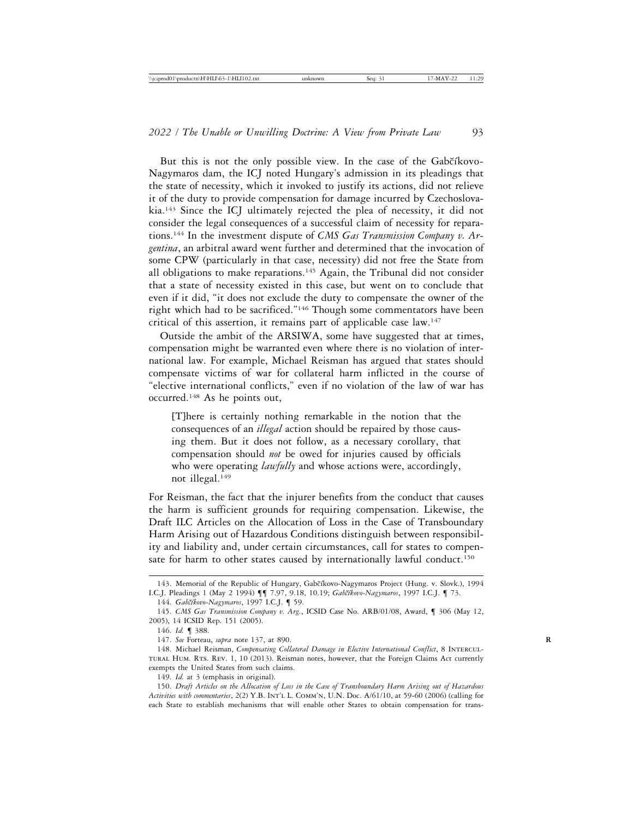But this is not the only possible view. In the case of the Gabčíkovo-Nagymaros dam, the ICJ noted Hungary's admission in its pleadings that the state of necessity, which it invoked to justify its actions, did not relieve it of the duty to provide compensation for damage incurred by Czechoslovakia.143 Since the ICJ ultimately rejected the plea of necessity, it did not consider the legal consequences of a successful claim of necessity for reparations.144 In the investment dispute of *CMS Gas Transmission Company v. Argentina*, an arbitral award went further and determined that the invocation of some CPW (particularly in that case, necessity) did not free the State from all obligations to make reparations.145 Again, the Tribunal did not consider that a state of necessity existed in this case, but went on to conclude that even if it did, "it does not exclude the duty to compensate the owner of the right which had to be sacrificed."146 Though some commentators have been critical of this assertion, it remains part of applicable case law.147

Outside the ambit of the ARSIWA, some have suggested that at times, compensation might be warranted even where there is no violation of international law. For example, Michael Reisman has argued that states should compensate victims of war for collateral harm inflicted in the course of "elective international conflicts," even if no violation of the law of war has occurred.148 As he points out,

[T]here is certainly nothing remarkable in the notion that the consequences of an *illegal* action should be repaired by those causing them. But it does not follow, as a necessary corollary, that compensation should *not* be owed for injuries caused by officials who were operating *lawfully* and whose actions were, accordingly, not illegal.149

For Reisman, the fact that the injurer benefits from the conduct that causes the harm is sufficient grounds for requiring compensation. Likewise, the Draft ILC Articles on the Allocation of Loss in the Case of Transboundary Harm Arising out of Hazardous Conditions distinguish between responsibility and liability and, under certain circumstances, call for states to compensate for harm to other states caused by internationally lawful conduct.<sup>150</sup>

<sup>143.</sup> Memorial of the Republic of Hungary, Gabčíkovo-Nagymaros Project (Hung. v. Slovk.), 1994 I.C.J. Pleadings 1 (May 2 1994) ¶¶ 7.97, 9.18, 10.19; *Gab˘c´ıkovo-Nagymaros*, 1997 I.C.J. ¶ 73.

<sup>144.</sup> *Gabčíkovo-Nagymaros*, 1997 I.C.J. ¶ 59.

<sup>145.</sup> *CMS Gas Transmission Company v. Arg.*, ICSID Case No. ARB/01/08, Award, ¶ 306 (May 12, 2005), 14 ICSID Rep. 151 (2005).

<sup>146.</sup> *Id.* ¶ 388.

<sup>147.</sup> *See* Forteau, *supra* note 137, at 890. **R**

<sup>148.</sup> Michael Reisman, *Compensating Collateral Damage in Elective International Conflict*, 8 Intercultural Hum. Rts. Rev. 1, 10 (2013). Reisman notes, however, that the Foreign Claims Act currently exempts the United States from such claims.

<sup>149.</sup> *Id.* at 3 (emphasis in original).

<sup>150.</sup> *Draft Articles on the Allocation of Loss in the Case of Transboundary Harm Arising out of Hazardous Activities with commentaries*, 2(2) Y.B. Int'l L. Comm'n, U.N. Doc. A/61/10, at 59-60 (2006) (calling for each State to establish mechanisms that will enable other States to obtain compensation for trans-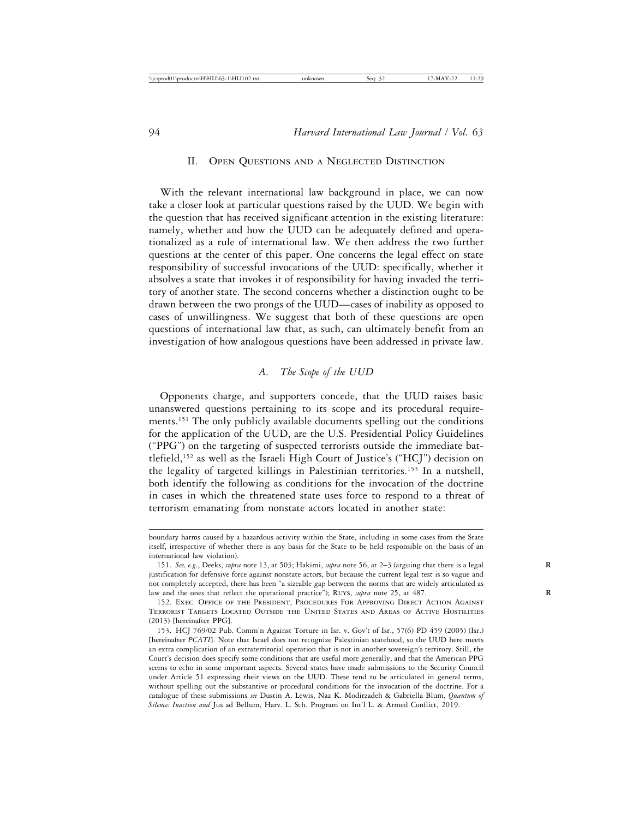#### II. Open Questions and a Neglected Distinction

With the relevant international law background in place, we can now take a closer look at particular questions raised by the UUD. We begin with the question that has received significant attention in the existing literature: namely, whether and how the UUD can be adequately defined and operationalized as a rule of international law. We then address the two further questions at the center of this paper. One concerns the legal effect on state responsibility of successful invocations of the UUD: specifically, whether it absolves a state that invokes it of responsibility for having invaded the territory of another state. The second concerns whether a distinction ought to be drawn between the two prongs of the UUD—cases of inability as opposed to cases of unwillingness. We suggest that both of these questions are open questions of international law that, as such, can ultimately benefit from an investigation of how analogous questions have been addressed in private law.

#### *A. The Scope of the UUD*

Opponents charge, and supporters concede, that the UUD raises basic unanswered questions pertaining to its scope and its procedural requirements.151 The only publicly available documents spelling out the conditions for the application of the UUD, are the U.S. Presidential Policy Guidelines ("PPG") on the targeting of suspected terrorists outside the immediate battlefield,152 as well as the Israeli High Court of Justice's ("HCJ") decision on the legality of targeted killings in Palestinian territories.153 In a nutshell, both identify the following as conditions for the invocation of the doctrine in cases in which the threatened state uses force to respond to a threat of terrorism emanating from nonstate actors located in another state:

boundary harms caused by a hazardous activity within the State, including in some cases from the State itself, irrespective of whether there is any basis for the State to be held responsible on the basis of an international law violation).

<sup>151.</sup> *See, e.g.*, Deeks, *supra* note 13, at 503; Hakimi, *supra* note 56, at 2–3 (arguing that there is a legal **R** justification for defensive force against nonstate actors, but because the current legal test is so vague and not completely accepted, there has been "a sizeable gap between the norms that are widely articulated as law and the ones that reflect the operational practice"); RUYS, *supra* note 25, at 487.

<sup>152.</sup> Exec. Office of the President, Procedures For Approving Direct Action Against Terrorist Targets Located Outside the United States and Areas of Active Hostilities (2013) [hereinafter PPG].

<sup>153.</sup> HCJ 769/02 Pub. Comm'n Against Torture in Isr. v. Gov't of Isr., 57(6) PD 459 (2005) (Isr.) [hereinafter *PCATI*]. Note that Israel does not recognize Palestinian statehood, so the UUD here meets an extra complication of an extraterritorial operation that is not in another sovereign's territory. Still, the Court's decision does specify some conditions that are useful more generally, and that the American PPG seems to echo in some important aspects. Several states have made submissions to the Security Council under Article 51 expressing their views on the UUD. These tend to be articulated in general terms, without spelling out the substantive or procedural conditions for the invocation of the doctrine. For a catalogue of these submissions *see* Dustin A. Lewis, Naz K. Modirzadeh & Gabriella Blum, *Quantum of Silence: Inaction and* Jus ad Bellum, Harv. L. Sch. Program on Int'l L. & Armed Conflict, 2019.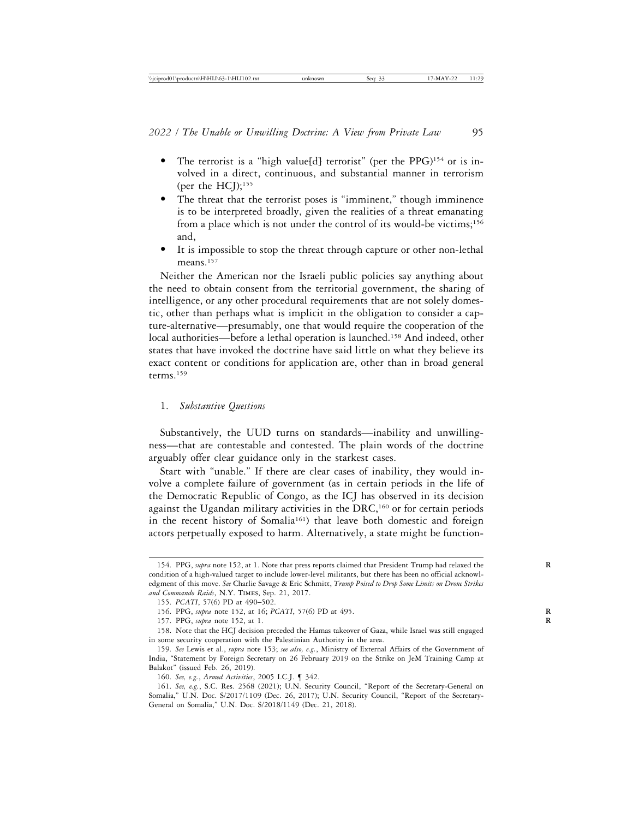- The terrorist is a "high value[d] terrorist" (per the PPG)<sup>154</sup> or is involved in a direct, continuous, and substantial manner in terrorism (per the  $HCJ$ );<sup>155</sup>
- The threat that the terrorist poses is "imminent," though imminence is to be interpreted broadly, given the realities of a threat emanating from a place which is not under the control of its would-be victims;<sup>156</sup> and,
- It is impossible to stop the threat through capture or other non-lethal means.<sup>157</sup>

Neither the American nor the Israeli public policies say anything about the need to obtain consent from the territorial government, the sharing of intelligence, or any other procedural requirements that are not solely domestic, other than perhaps what is implicit in the obligation to consider a capture-alternative—presumably, one that would require the cooperation of the local authorities—before a lethal operation is launched.<sup>158</sup> And indeed, other states that have invoked the doctrine have said little on what they believe its exact content or conditions for application are, other than in broad general terms.159

#### 1. *Substantive Questions*

Substantively, the UUD turns on standards—inability and unwillingness—that are contestable and contested. The plain words of the doctrine arguably offer clear guidance only in the starkest cases.

Start with "unable." If there are clear cases of inability, they would involve a complete failure of government (as in certain periods in the life of the Democratic Republic of Congo, as the ICJ has observed in its decision against the Ugandan military activities in the DRC,<sup>160</sup> or for certain periods in the recent history of Somalia<sup>161</sup>) that leave both domestic and foreign actors perpetually exposed to harm. Alternatively, a state might be function-

<sup>154.</sup> PPG, *supra* note 152, at 1. Note that press reports claimed that President Trump had relaxed the **R** condition of a high-valued target to include lower-level militants, but there has been no official acknowledgment of this move. *See* Charlie Savage & Eric Schmitt, *Trump Poised to Drop Some Limits on Drone Strikes and Commando Raids*, N.Y. Times, Sep. 21, 2017.

<sup>155.</sup> *PCATI*, 57(6) PD at 490–502.

<sup>156.</sup> PPG, *supra* note 152, at 16; *PCATI*, 57(6) PD at 495. **R**

<sup>157.</sup> PPG, *supra* note 152, at 1. **R**

<sup>158.</sup> Note that the HCJ decision preceded the Hamas takeover of Gaza, while Israel was still engaged in some security cooperation with the Palestinian Authority in the area.

<sup>159.</sup> *See* Lewis et al., *supra* note 153; *see also, e.g.*, Ministry of External Affairs of the Government of India, "Statement by Foreign Secretary on 26 February 2019 on the Strike on JeM Training Camp at Balakot" (issued Feb. 26, 2019).

<sup>160.</sup> *See, e.g.*, *Armed Activities*, 2005 I.C.J. ¶ 342.

<sup>161.</sup> *See, e.g.*, S.C. Res. 2568 (2021); U.N. Security Council, "Report of the Secretary-General on Somalia," U.N. Doc. S/2017/1109 (Dec. 26, 2017); U.N. Security Council, "Report of the Secretary-General on Somalia," U.N. Doc. S/2018/1149 (Dec. 21, 2018).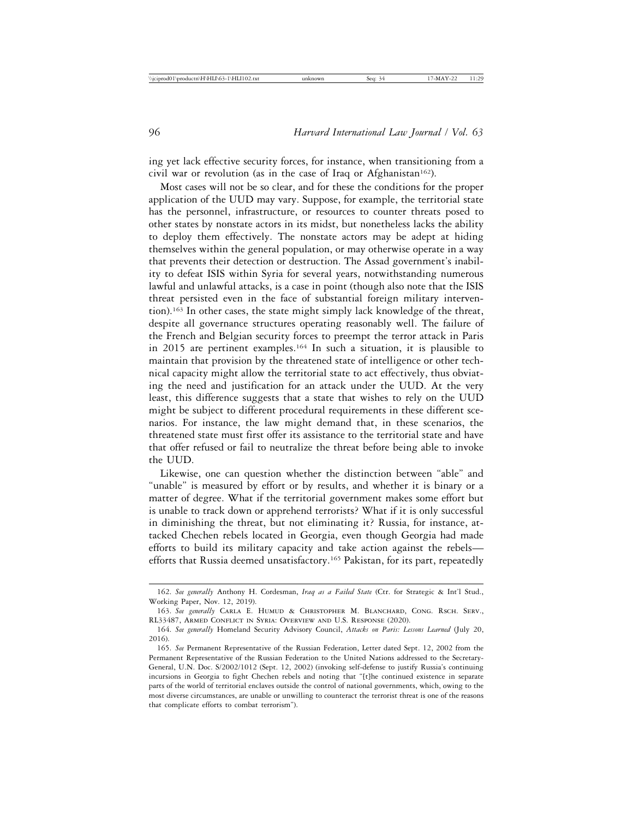ing yet lack effective security forces, for instance, when transitioning from a civil war or revolution (as in the case of Iraq or Afghanistan<sup>162</sup>).

Most cases will not be so clear, and for these the conditions for the proper application of the UUD may vary. Suppose, for example, the territorial state has the personnel, infrastructure, or resources to counter threats posed to other states by nonstate actors in its midst, but nonetheless lacks the ability to deploy them effectively. The nonstate actors may be adept at hiding themselves within the general population, or may otherwise operate in a way that prevents their detection or destruction. The Assad government's inability to defeat ISIS within Syria for several years, notwithstanding numerous lawful and unlawful attacks, is a case in point (though also note that the ISIS threat persisted even in the face of substantial foreign military intervention).163 In other cases, the state might simply lack knowledge of the threat, despite all governance structures operating reasonably well. The failure of the French and Belgian security forces to preempt the terror attack in Paris in 2015 are pertinent examples.164 In such a situation, it is plausible to maintain that provision by the threatened state of intelligence or other technical capacity might allow the territorial state to act effectively, thus obviating the need and justification for an attack under the UUD. At the very least, this difference suggests that a state that wishes to rely on the UUD might be subject to different procedural requirements in these different scenarios. For instance, the law might demand that, in these scenarios, the threatened state must first offer its assistance to the territorial state and have that offer refused or fail to neutralize the threat before being able to invoke the UUD.

Likewise, one can question whether the distinction between "able" and "unable" is measured by effort or by results, and whether it is binary or a matter of degree. What if the territorial government makes some effort but is unable to track down or apprehend terrorists? What if it is only successful in diminishing the threat, but not eliminating it? Russia, for instance, attacked Chechen rebels located in Georgia, even though Georgia had made efforts to build its military capacity and take action against the rebels efforts that Russia deemed unsatisfactory.<sup>165</sup> Pakistan, for its part, repeatedly

<sup>162.</sup> *See generally* Anthony H. Cordesman, *Iraq as a Failed State* (Ctr. for Strategic & Int'l Stud., Working Paper, Nov. 12, 2019).

<sup>163.</sup> *See generally* Carla E. Humud & Christopher M. Blanchard, Cong. Rsch. Serv., RL33487, Armed Conflict in Syria: Overview and U.S. Response (2020).

<sup>164.</sup> *See generally* Homeland Security Advisory Council, *Attacks on Paris: Lessons Learned* (July 20, 2016).

<sup>165.</sup> *See* Permanent Representative of the Russian Federation, Letter dated Sept. 12, 2002 from the Permanent Representative of the Russian Federation to the United Nations addressed to the Secretary-General, U.N. Doc. S/2002/1012 (Sept. 12, 2002) (invoking self-defense to justify Russia's continuing incursions in Georgia to fight Chechen rebels and noting that "[t]he continued existence in separate parts of the world of territorial enclaves outside the control of national governments, which, owing to the most diverse circumstances, are unable or unwilling to counteract the terrorist threat is one of the reasons that complicate efforts to combat terrorism").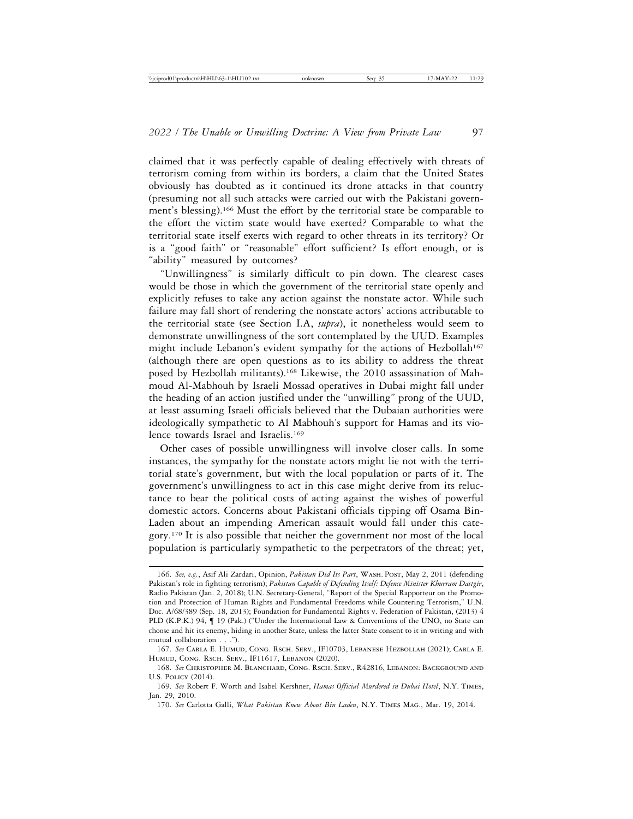claimed that it was perfectly capable of dealing effectively with threats of terrorism coming from within its borders, a claim that the United States obviously has doubted as it continued its drone attacks in that country (presuming not all such attacks were carried out with the Pakistani government's blessing).166 Must the effort by the territorial state be comparable to the effort the victim state would have exerted? Comparable to what the territorial state itself exerts with regard to other threats in its territory? Or is a "good faith" or "reasonable" effort sufficient? Is effort enough, or is "ability" measured by outcomes?

"Unwillingness" is similarly difficult to pin down. The clearest cases would be those in which the government of the territorial state openly and explicitly refuses to take any action against the nonstate actor. While such failure may fall short of rendering the nonstate actors' actions attributable to the territorial state (see Section I.A, *supra*), it nonetheless would seem to demonstrate unwillingness of the sort contemplated by the UUD. Examples might include Lebanon's evident sympathy for the actions of Hezbollah<sup>167</sup> (although there are open questions as to its ability to address the threat posed by Hezbollah militants).168 Likewise, the 2010 assassination of Mahmoud Al-Mabhouh by Israeli Mossad operatives in Dubai might fall under the heading of an action justified under the "unwilling" prong of the UUD, at least assuming Israeli officials believed that the Dubaian authorities were ideologically sympathetic to Al Mabhouh's support for Hamas and its violence towards Israel and Israelis.169

Other cases of possible unwillingness will involve closer calls. In some instances, the sympathy for the nonstate actors might lie not with the territorial state's government, but with the local population or parts of it. The government's unwillingness to act in this case might derive from its reluctance to bear the political costs of acting against the wishes of powerful domestic actors. Concerns about Pakistani officials tipping off Osama Bin-Laden about an impending American assault would fall under this category.170 It is also possible that neither the government nor most of the local population is particularly sympathetic to the perpetrators of the threat; yet,

<sup>166.</sup> *See, e.g.*, Asif Ali Zardari, Opinion, *Pakistan Did Its Part*, Wash. Post, May 2, 2011 (defending Pakistan's role in fighting terrorism); *Pakistan Capable of Defending Itself: Defence Minister Khurram Dastgir*, Radio Pakistan (Jan. 2, 2018); U.N. Secretary-General, "Report of the Special Rapporteur on the Promotion and Protection of Human Rights and Fundamental Freedoms while Countering Terrorism," U.N. Doc. A/68/389 (Sep. 18, 2013); Foundation for Fundamental Rights v. Federation of Pakistan, (2013) 4 PLD (K.P.K.) 94, ¶ 19 (Pak.) ("Under the International Law & Conventions of the UNO, no State can choose and hit its enemy, hiding in another State, unless the latter State consent to it in writing and with mutual collaboration . . .").

<sup>167.</sup> *See* Carla E. Humud, Cong. Rsch. Serv., IF10703, Lebanese Hezbollah (2021); Carla E. Humud, Cong. Rsch. Serv., IF11617, Lebanon (2020).

<sup>168.</sup> *See* Christopher M. Blanchard, Cong. Rsch. Serv., R42816, Lebanon: Background and U.S. Policy (2014).

<sup>169.</sup> *See* Robert F. Worth and Isabel Kershner, *Hamas Official Murdered in Dubai Hotel*, N.Y. Times, Jan. 29, 2010.

<sup>170.</sup> *See* Carlotta Galli, *What Pakistan Knew About Bin Laden*, N.Y. Times Mag., Mar. 19, 2014.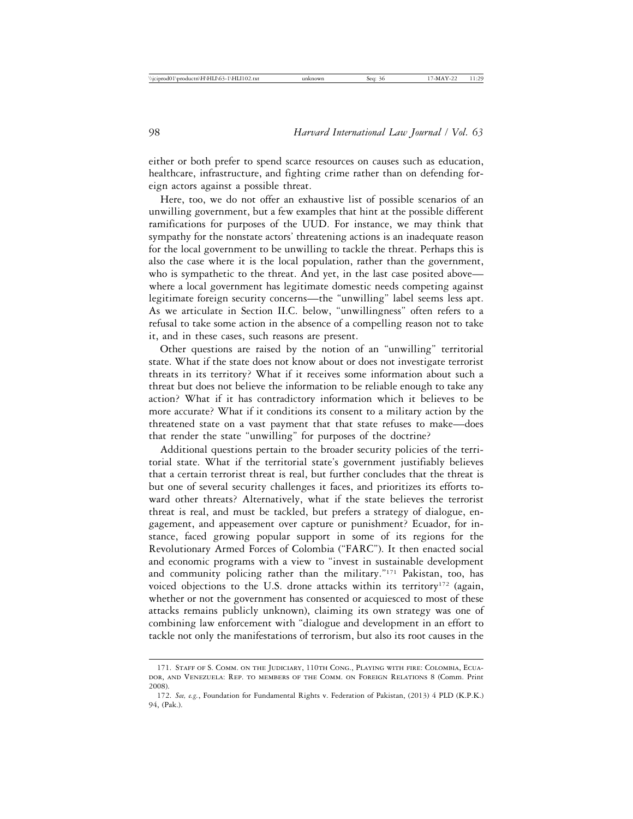either or both prefer to spend scarce resources on causes such as education, healthcare, infrastructure, and fighting crime rather than on defending foreign actors against a possible threat.

Here, too, we do not offer an exhaustive list of possible scenarios of an unwilling government, but a few examples that hint at the possible different ramifications for purposes of the UUD. For instance, we may think that sympathy for the nonstate actors' threatening actions is an inadequate reason for the local government to be unwilling to tackle the threat. Perhaps this is also the case where it is the local population, rather than the government, who is sympathetic to the threat. And yet, in the last case posited above where a local government has legitimate domestic needs competing against legitimate foreign security concerns—the "unwilling" label seems less apt. As we articulate in Section II.C. below, "unwillingness" often refers to a refusal to take some action in the absence of a compelling reason not to take it, and in these cases, such reasons are present.

Other questions are raised by the notion of an "unwilling" territorial state. What if the state does not know about or does not investigate terrorist threats in its territory? What if it receives some information about such a threat but does not believe the information to be reliable enough to take any action? What if it has contradictory information which it believes to be more accurate? What if it conditions its consent to a military action by the threatened state on a vast payment that that state refuses to make—does that render the state "unwilling" for purposes of the doctrine?

Additional questions pertain to the broader security policies of the territorial state. What if the territorial state's government justifiably believes that a certain terrorist threat is real, but further concludes that the threat is but one of several security challenges it faces, and prioritizes its efforts toward other threats? Alternatively, what if the state believes the terrorist threat is real, and must be tackled, but prefers a strategy of dialogue, engagement, and appeasement over capture or punishment? Ecuador, for instance, faced growing popular support in some of its regions for the Revolutionary Armed Forces of Colombia ("FARC"). It then enacted social and economic programs with a view to "invest in sustainable development and community policing rather than the military."171 Pakistan, too, has voiced objections to the U.S. drone attacks within its territory<sup>172</sup> (again, whether or not the government has consented or acquiesced to most of these attacks remains publicly unknown), claiming its own strategy was one of combining law enforcement with "dialogue and development in an effort to tackle not only the manifestations of terrorism, but also its root causes in the

<sup>171.</sup> Staff of S. Comm. on the Judiciary, 110th Cong., Playing with fire: Colombia, Ecuador, and Venezuela: Rep. to members of the Comm. on Foreign Relations 8 (Comm. Print 2008).

<sup>172.</sup> *See, e.g.*, Foundation for Fundamental Rights v. Federation of Pakistan, (2013) 4 PLD (K.P.K.) 94, (Pak.).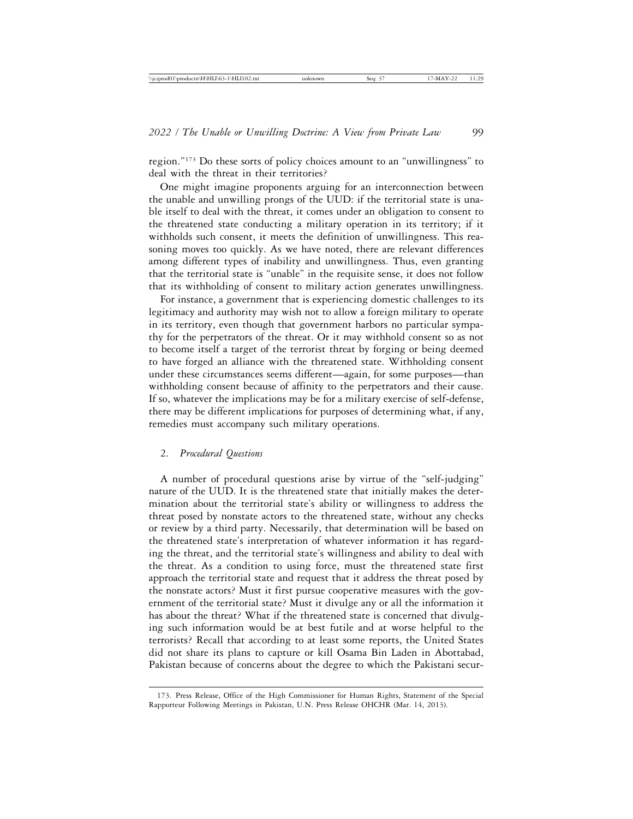region."173 Do these sorts of policy choices amount to an "unwillingness" to deal with the threat in their territories?

One might imagine proponents arguing for an interconnection between the unable and unwilling prongs of the UUD: if the territorial state is unable itself to deal with the threat, it comes under an obligation to consent to the threatened state conducting a military operation in its territory; if it withholds such consent, it meets the definition of unwillingness. This reasoning moves too quickly. As we have noted, there are relevant differences among different types of inability and unwillingness. Thus, even granting that the territorial state is "unable" in the requisite sense, it does not follow that its withholding of consent to military action generates unwillingness.

For instance, a government that is experiencing domestic challenges to its legitimacy and authority may wish not to allow a foreign military to operate in its territory, even though that government harbors no particular sympathy for the perpetrators of the threat. Or it may withhold consent so as not to become itself a target of the terrorist threat by forging or being deemed to have forged an alliance with the threatened state. Withholding consent under these circumstances seems different—again, for some purposes—than withholding consent because of affinity to the perpetrators and their cause. If so, whatever the implications may be for a military exercise of self-defense, there may be different implications for purposes of determining what, if any, remedies must accompany such military operations.

## 2. *Procedural Questions*

A number of procedural questions arise by virtue of the "self-judging" nature of the UUD. It is the threatened state that initially makes the determination about the territorial state's ability or willingness to address the threat posed by nonstate actors to the threatened state, without any checks or review by a third party. Necessarily, that determination will be based on the threatened state's interpretation of whatever information it has regarding the threat, and the territorial state's willingness and ability to deal with the threat. As a condition to using force, must the threatened state first approach the territorial state and request that it address the threat posed by the nonstate actors? Must it first pursue cooperative measures with the government of the territorial state? Must it divulge any or all the information it has about the threat? What if the threatened state is concerned that divulging such information would be at best futile and at worse helpful to the terrorists? Recall that according to at least some reports, the United States did not share its plans to capture or kill Osama Bin Laden in Abottabad, Pakistan because of concerns about the degree to which the Pakistani secur-

<sup>173.</sup> Press Release, Office of the High Commissioner for Human Rights, Statement of the Special Rapporteur Following Meetings in Pakistan, U.N. Press Release OHCHR (Mar. 14, 2013).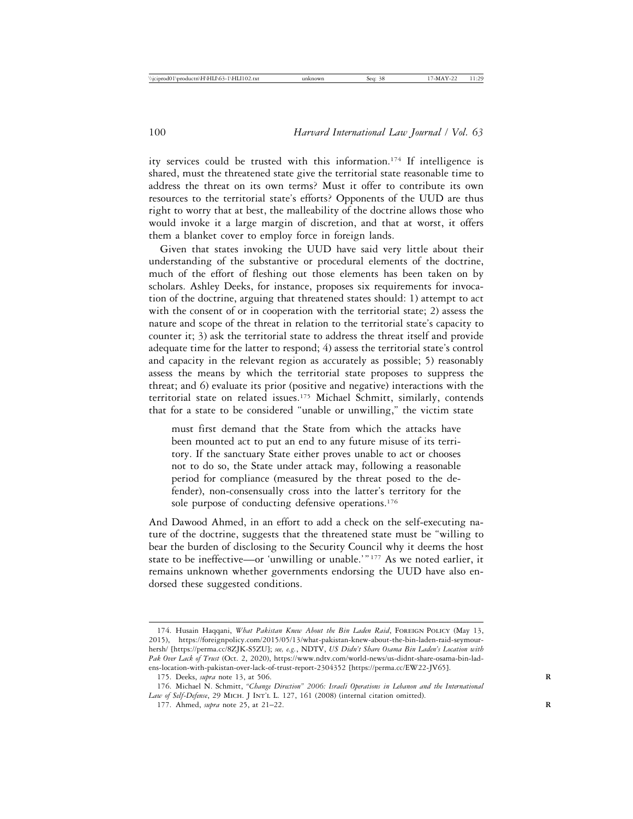ity services could be trusted with this information.174 If intelligence is shared, must the threatened state give the territorial state reasonable time to address the threat on its own terms? Must it offer to contribute its own resources to the territorial state's efforts? Opponents of the UUD are thus right to worry that at best, the malleability of the doctrine allows those who would invoke it a large margin of discretion, and that at worst, it offers them a blanket cover to employ force in foreign lands.

Given that states invoking the UUD have said very little about their understanding of the substantive or procedural elements of the doctrine, much of the effort of fleshing out those elements has been taken on by scholars. Ashley Deeks, for instance, proposes six requirements for invocation of the doctrine, arguing that threatened states should: 1) attempt to act with the consent of or in cooperation with the territorial state; 2) assess the nature and scope of the threat in relation to the territorial state's capacity to counter it; 3) ask the territorial state to address the threat itself and provide adequate time for the latter to respond; 4) assess the territorial state's control and capacity in the relevant region as accurately as possible; 5) reasonably assess the means by which the territorial state proposes to suppress the threat; and 6) evaluate its prior (positive and negative) interactions with the territorial state on related issues.175 Michael Schmitt, similarly, contends that for a state to be considered "unable or unwilling," the victim state

must first demand that the State from which the attacks have been mounted act to put an end to any future misuse of its territory. If the sanctuary State either proves unable to act or chooses not to do so, the State under attack may, following a reasonable period for compliance (measured by the threat posed to the defender), non-consensually cross into the latter's territory for the sole purpose of conducting defensive operations.<sup>176</sup>

And Dawood Ahmed, in an effort to add a check on the self-executing nature of the doctrine, suggests that the threatened state must be "willing to bear the burden of disclosing to the Security Council why it deems the host state to be ineffective—or 'unwilling or unable.'" 177 As we noted earlier, it remains unknown whether governments endorsing the UUD have also endorsed these suggested conditions.

<sup>174.</sup> Husain Haqqani, *What Pakistan Knew About the Bin Laden Raid*, Foreign Policy (May 13, 2015), https://foreignpolicy.com/2015/05/13/what-pakistan-knew-about-the-bin-laden-raid-seymourhersh/ [https://perma.cc/8ZJK-S5ZU]; *see, e.g.*, NDTV, *US Didn't Share Osama Bin Laden's Location with Pak Over Lack of Trust* (Oct. 2, 2020), https://www.ndtv.com/world-news/us-didnt-share-osama-bin-ladens-location-with-pakistan-over-lack-of-trust-report-2304352 [https://perma.cc/EW22-JV65].

<sup>175.</sup> Deeks, *supra* note 13, at 506. **R**

<sup>176.</sup> Michael N. Schmitt, *"Change Direction" 2006: Israeli Operations in Lebanon and the International* Law of Self-Defense, 29 MICH. J INT'L L. 127, 161 (2008) (internal citation omitted).

<sup>177.</sup> Ahmed, *supra* note 25, at 21–22. **R**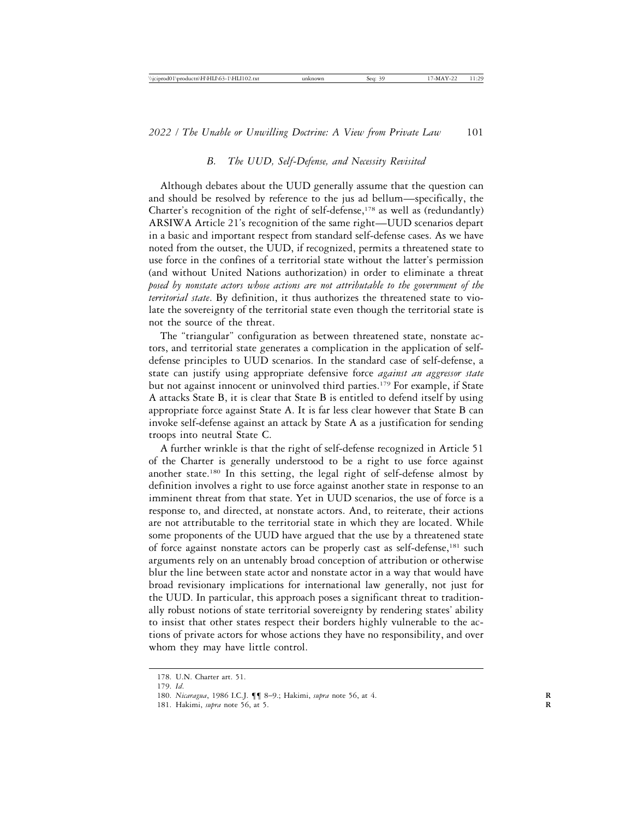### *B. The UUD, Self-Defense, and Necessity Revisited*

Although debates about the UUD generally assume that the question can and should be resolved by reference to the jus ad bellum—specifically, the Charter's recognition of the right of self-defense, $178$  as well as (redundantly) ARSIWA Article 21's recognition of the same right—UUD scenarios depart in a basic and important respect from standard self-defense cases. As we have noted from the outset, the UUD, if recognized, permits a threatened state to use force in the confines of a territorial state without the latter's permission (and without United Nations authorization) in order to eliminate a threat *posed by nonstate actors whose actions are not attributable to the government of the territorial state*. By definition, it thus authorizes the threatened state to violate the sovereignty of the territorial state even though the territorial state is not the source of the threat.

The "triangular" configuration as between threatened state, nonstate actors, and territorial state generates a complication in the application of selfdefense principles to UUD scenarios. In the standard case of self-defense, a state can justify using appropriate defensive force *against an aggressor state* but not against innocent or uninvolved third parties.179 For example, if State A attacks State B, it is clear that State B is entitled to defend itself by using appropriate force against State A. It is far less clear however that State B can invoke self-defense against an attack by State A as a justification for sending troops into neutral State C.

A further wrinkle is that the right of self-defense recognized in Article 51 of the Charter is generally understood to be a right to use force against another state.180 In this setting, the legal right of self-defense almost by definition involves a right to use force against another state in response to an imminent threat from that state. Yet in UUD scenarios, the use of force is a response to, and directed, at nonstate actors. And, to reiterate, their actions are not attributable to the territorial state in which they are located. While some proponents of the UUD have argued that the use by a threatened state of force against nonstate actors can be properly cast as self-defense,<sup>181</sup> such arguments rely on an untenably broad conception of attribution or otherwise blur the line between state actor and nonstate actor in a way that would have broad revisionary implications for international law generally, not just for the UUD. In particular, this approach poses a significant threat to traditionally robust notions of state territorial sovereignty by rendering states' ability to insist that other states respect their borders highly vulnerable to the actions of private actors for whose actions they have no responsibility, and over whom they may have little control.

<sup>178.</sup> U.N. Charter art. 51.

<sup>179.</sup> *Id*.

<sup>180.</sup> *Nicaragua*, 1986 I.C.J. ¶¶ 8–9.; Hakimi, *supra* note 56, at 4. **R**

<sup>181.</sup> Hakimi, *supra* note 56, at 5. **R**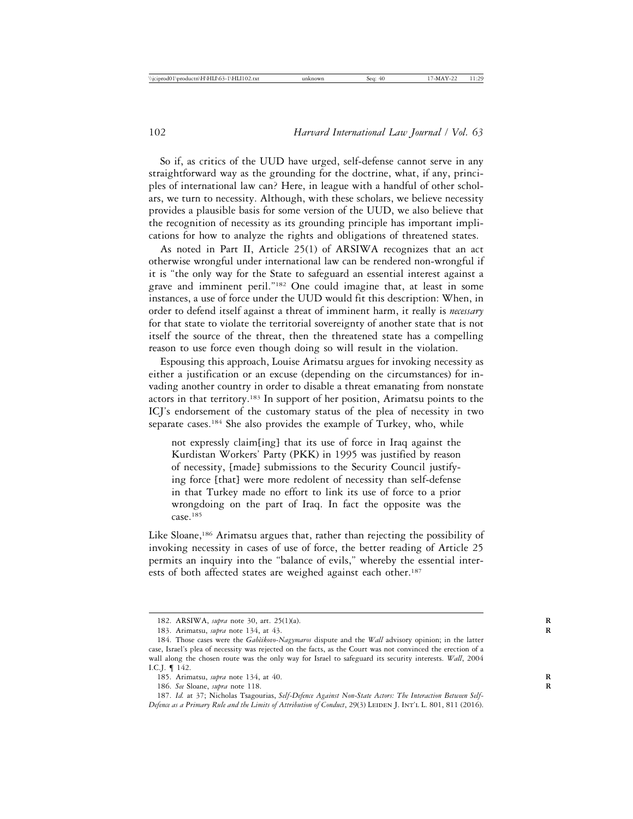So if, as critics of the UUD have urged, self-defense cannot serve in any straightforward way as the grounding for the doctrine, what, if any, principles of international law can? Here, in league with a handful of other scholars, we turn to necessity. Although, with these scholars, we believe necessity provides a plausible basis for some version of the UUD, we also believe that the recognition of necessity as its grounding principle has important implications for how to analyze the rights and obligations of threatened states.

As noted in Part II, Article 25(1) of ARSIWA recognizes that an act otherwise wrongful under international law can be rendered non-wrongful if it is "the only way for the State to safeguard an essential interest against a grave and imminent peril."182 One could imagine that, at least in some instances, a use of force under the UUD would fit this description: When, in order to defend itself against a threat of imminent harm, it really is *necessary* for that state to violate the territorial sovereignty of another state that is not itself the source of the threat, then the threatened state has a compelling reason to use force even though doing so will result in the violation.

Espousing this approach, Louise Arimatsu argues for invoking necessity as either a justification or an excuse (depending on the circumstances) for invading another country in order to disable a threat emanating from nonstate actors in that territory.183 In support of her position, Arimatsu points to the ICJ's endorsement of the customary status of the plea of necessity in two separate cases.<sup>184</sup> She also provides the example of Turkey, who, while

not expressly claim[ing] that its use of force in Iraq against the Kurdistan Workers' Party (PKK) in 1995 was justified by reason of necessity, [made] submissions to the Security Council justifying force [that] were more redolent of necessity than self-defense in that Turkey made no effort to link its use of force to a prior wrongdoing on the part of Iraq. In fact the opposite was the case.<sup>185</sup>

Like Sloane,<sup>186</sup> Arimatsu argues that, rather than rejecting the possibility of invoking necessity in cases of use of force, the better reading of Article 25 permits an inquiry into the "balance of evils," whereby the essential interests of both affected states are weighed against each other.<sup>187</sup>

<sup>182.</sup> ARSIWA, *supra* note 30, art. 25(1)(a). **R**

<sup>183.</sup> Arimatsu, *supra* note 134, at 43. **R**

<sup>184.</sup> Those cases were the *Gabèikovo-Nagymaros* dispute and the *Wall* advisory opinion; in the latter case, Israel's plea of necessity was rejected on the facts, as the Court was not convinced the erection of a wall along the chosen route was the only way for Israel to safeguard its security interests. *Wall*, 2004 I.C.J. ¶ 142.

<sup>185.</sup> Arimatsu, *supra* note 134, at 40. **R**

<sup>186.</sup> *See* Sloane, *supra* note 118. **R**

<sup>187.</sup> *Id.* at 37; Nicholas Tsagourias, *Self-Defence Against Non-State Actors: The Interaction Between Self-Defence as a Primary Rule and the Limits of Attribution of Conduct*, 29(3) LEIDEN J. INT'L L. 801, 811 (2016).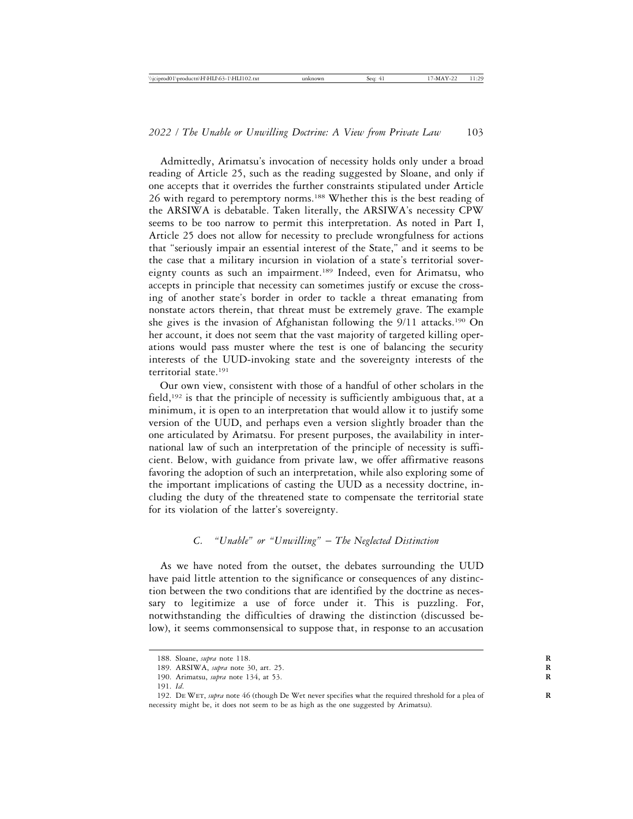Admittedly, Arimatsu's invocation of necessity holds only under a broad reading of Article 25, such as the reading suggested by Sloane, and only if one accepts that it overrides the further constraints stipulated under Article 26 with regard to peremptory norms.<sup>188</sup> Whether this is the best reading of the ARSIWA is debatable. Taken literally, the ARSIWA's necessity CPW seems to be too narrow to permit this interpretation. As noted in Part I, Article 25 does not allow for necessity to preclude wrongfulness for actions that "seriously impair an essential interest of the State," and it seems to be the case that a military incursion in violation of a state's territorial sovereignty counts as such an impairment.189 Indeed, even for Arimatsu, who accepts in principle that necessity can sometimes justify or excuse the crossing of another state's border in order to tackle a threat emanating from nonstate actors therein, that threat must be extremely grave. The example she gives is the invasion of Afghanistan following the 9/11 attacks.<sup>190</sup> On her account, it does not seem that the vast majority of targeted killing operations would pass muster where the test is one of balancing the security interests of the UUD-invoking state and the sovereignty interests of the territorial state.191

Our own view, consistent with those of a handful of other scholars in the field,<sup>192</sup> is that the principle of necessity is sufficiently ambiguous that, at a minimum, it is open to an interpretation that would allow it to justify some version of the UUD, and perhaps even a version slightly broader than the one articulated by Arimatsu. For present purposes, the availability in international law of such an interpretation of the principle of necessity is sufficient. Below, with guidance from private law, we offer affirmative reasons favoring the adoption of such an interpretation, while also exploring some of the important implications of casting the UUD as a necessity doctrine, including the duty of the threatened state to compensate the territorial state for its violation of the latter's sovereignty.

#### *C. "Unable" or "Unwilling"* – *The Neglected Distinction*

As we have noted from the outset, the debates surrounding the UUD have paid little attention to the significance or consequences of any distinction between the two conditions that are identified by the doctrine as necessary to legitimize a use of force under it. This is puzzling. For, notwithstanding the difficulties of drawing the distinction (discussed below), it seems commonsensical to suppose that, in response to an accusation

<sup>188.</sup> Sloane, *supra* note 118. **R**

<sup>189.</sup> ARSIWA, *supra* note 30, art. 25. **R**

<sup>190.</sup> Arimatsu, *supra* note 134, at 53. **R**

<sup>191.</sup> *Id*.

<sup>192.</sup> De Wet, *supra* note 46 (though De Wet never specifies what the required threshold for a plea of **R** necessity might be, it does not seem to be as high as the one suggested by Arimatsu).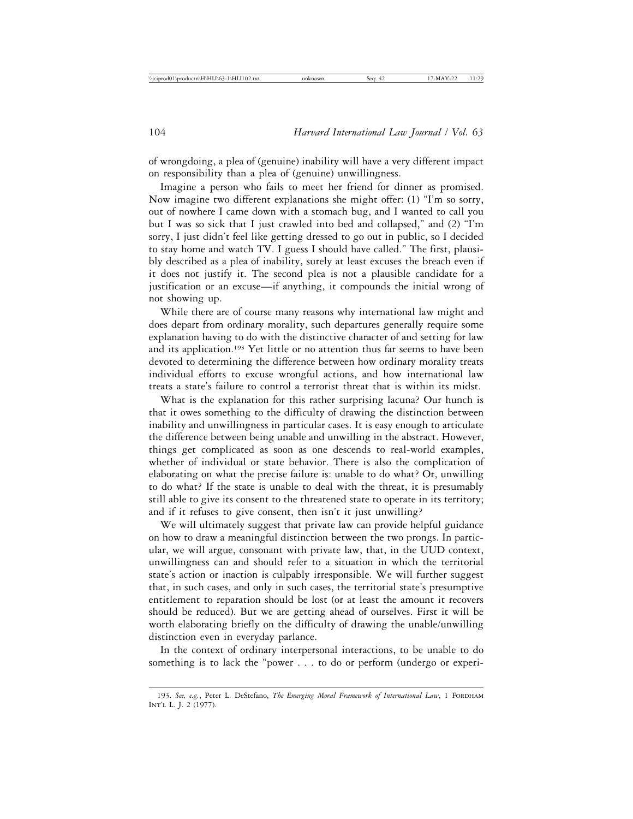of wrongdoing, a plea of (genuine) inability will have a very different impact on responsibility than a plea of (genuine) unwillingness.

Imagine a person who fails to meet her friend for dinner as promised. Now imagine two different explanations she might offer: (1) "I'm so sorry, out of nowhere I came down with a stomach bug, and I wanted to call you but I was so sick that I just crawled into bed and collapsed," and (2) "I'm sorry, I just didn't feel like getting dressed to go out in public, so I decided to stay home and watch TV. I guess I should have called." The first, plausibly described as a plea of inability, surely at least excuses the breach even if it does not justify it. The second plea is not a plausible candidate for a justification or an excuse—if anything, it compounds the initial wrong of not showing up.

While there are of course many reasons why international law might and does depart from ordinary morality, such departures generally require some explanation having to do with the distinctive character of and setting for law and its application.<sup>193</sup> Yet little or no attention thus far seems to have been devoted to determining the difference between how ordinary morality treats individual efforts to excuse wrongful actions, and how international law treats a state's failure to control a terrorist threat that is within its midst.

What is the explanation for this rather surprising lacuna? Our hunch is that it owes something to the difficulty of drawing the distinction between inability and unwillingness in particular cases. It is easy enough to articulate the difference between being unable and unwilling in the abstract. However, things get complicated as soon as one descends to real-world examples, whether of individual or state behavior. There is also the complication of elaborating on what the precise failure is: unable to do what? Or, unwilling to do what? If the state is unable to deal with the threat, it is presumably still able to give its consent to the threatened state to operate in its territory; and if it refuses to give consent, then isn't it just unwilling?

We will ultimately suggest that private law can provide helpful guidance on how to draw a meaningful distinction between the two prongs. In particular, we will argue, consonant with private law, that, in the UUD context, unwillingness can and should refer to a situation in which the territorial state's action or inaction is culpably irresponsible. We will further suggest that, in such cases, and only in such cases, the territorial state's presumptive entitlement to reparation should be lost (or at least the amount it recovers should be reduced). But we are getting ahead of ourselves. First it will be worth elaborating briefly on the difficulty of drawing the unable/unwilling distinction even in everyday parlance.

In the context of ordinary interpersonal interactions, to be unable to do something is to lack the "power . . . to do or perform (undergo or experi-

<sup>193.</sup> See, e.g., Peter L. DeStefano, *The Emerging Moral Framework of International Law*, 1 FORDHAM Int'l L. J. 2 (1977).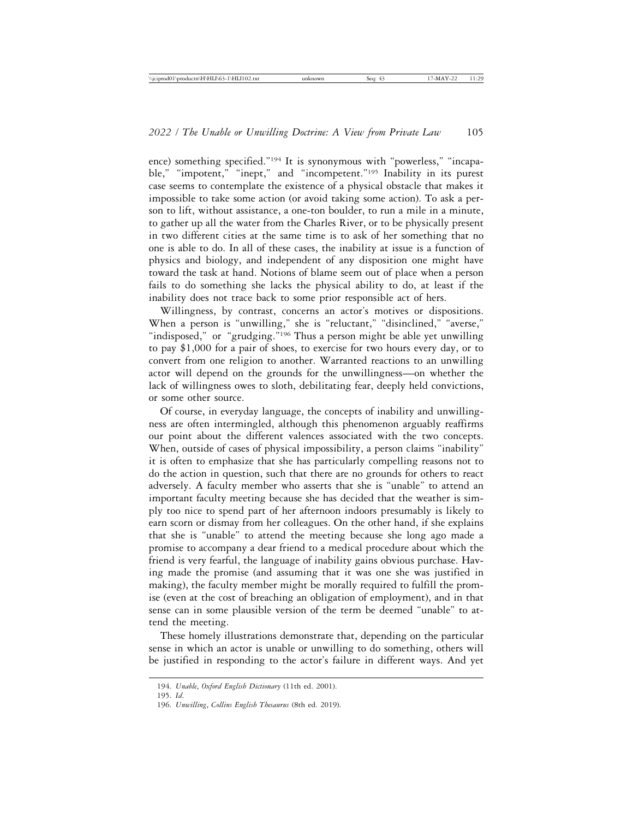ence) something specified."194 It is synonymous with "powerless," "incapable," "impotent," "inept," and "incompetent."195 Inability in its purest case seems to contemplate the existence of a physical obstacle that makes it impossible to take some action (or avoid taking some action). To ask a person to lift, without assistance, a one-ton boulder, to run a mile in a minute, to gather up all the water from the Charles River, or to be physically present in two different cities at the same time is to ask of her something that no one is able to do. In all of these cases, the inability at issue is a function of physics and biology, and independent of any disposition one might have toward the task at hand. Notions of blame seem out of place when a person fails to do something she lacks the physical ability to do, at least if the inability does not trace back to some prior responsible act of hers.

Willingness, by contrast, concerns an actor's motives or dispositions. When a person is "unwilling," she is "reluctant," "disinclined," "averse," "indisposed," or "grudging."<sup>196</sup> Thus a person might be able yet unwilling to pay \$1,000 for a pair of shoes, to exercise for two hours every day, or to convert from one religion to another. Warranted reactions to an unwilling actor will depend on the grounds for the unwillingness—on whether the lack of willingness owes to sloth, debilitating fear, deeply held convictions, or some other source.

Of course, in everyday language, the concepts of inability and unwillingness are often intermingled, although this phenomenon arguably reaffirms our point about the different valences associated with the two concepts. When, outside of cases of physical impossibility, a person claims "inability" it is often to emphasize that she has particularly compelling reasons not to do the action in question, such that there are no grounds for others to react adversely. A faculty member who asserts that she is "unable" to attend an important faculty meeting because she has decided that the weather is simply too nice to spend part of her afternoon indoors presumably is likely to earn scorn or dismay from her colleagues. On the other hand, if she explains that she is "unable" to attend the meeting because she long ago made a promise to accompany a dear friend to a medical procedure about which the friend is very fearful, the language of inability gains obvious purchase. Having made the promise (and assuming that it was one she was justified in making), the faculty member might be morally required to fulfill the promise (even at the cost of breaching an obligation of employment), and in that sense can in some plausible version of the term be deemed "unable" to attend the meeting.

These homely illustrations demonstrate that, depending on the particular sense in which an actor is unable or unwilling to do something, others will be justified in responding to the actor's failure in different ways. And yet

<sup>194.</sup> *Unable*, *Oxford English Dictionary* (11th ed. 2001).

<sup>196.</sup> *Unwilling*, *Collins English Thesaurus* (8th ed. 2019).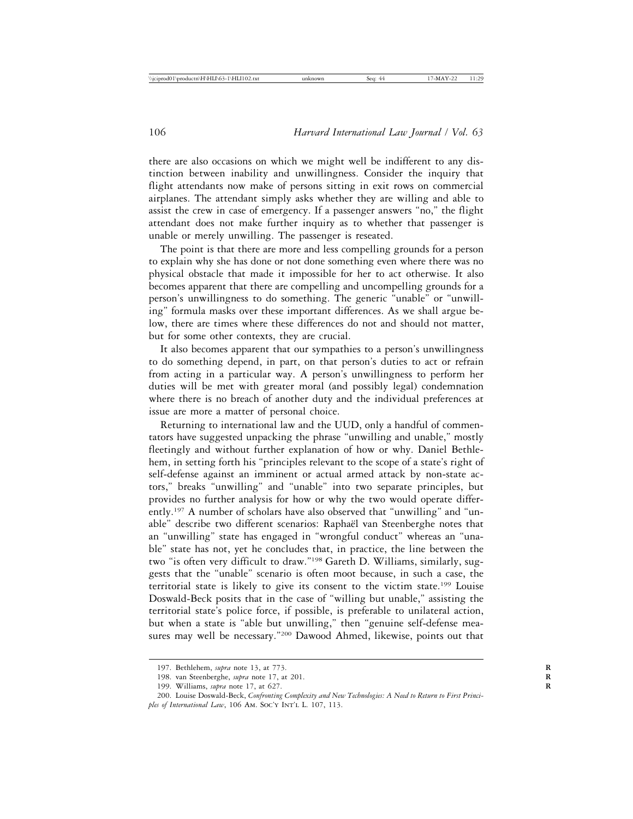there are also occasions on which we might well be indifferent to any distinction between inability and unwillingness. Consider the inquiry that flight attendants now make of persons sitting in exit rows on commercial airplanes. The attendant simply asks whether they are willing and able to assist the crew in case of emergency. If a passenger answers "no," the flight attendant does not make further inquiry as to whether that passenger is unable or merely unwilling. The passenger is reseated.

The point is that there are more and less compelling grounds for a person to explain why she has done or not done something even where there was no physical obstacle that made it impossible for her to act otherwise. It also becomes apparent that there are compelling and uncompelling grounds for a person's unwillingness to do something. The generic "unable" or "unwilling" formula masks over these important differences. As we shall argue below, there are times where these differences do not and should not matter, but for some other contexts, they are crucial.

It also becomes apparent that our sympathies to a person's unwillingness to do something depend, in part, on that person's duties to act or refrain from acting in a particular way. A person's unwillingness to perform her duties will be met with greater moral (and possibly legal) condemnation where there is no breach of another duty and the individual preferences at issue are more a matter of personal choice.

Returning to international law and the UUD, only a handful of commentators have suggested unpacking the phrase "unwilling and unable," mostly fleetingly and without further explanation of how or why. Daniel Bethlehem, in setting forth his "principles relevant to the scope of a state's right of self-defense against an imminent or actual armed attack by non-state actors," breaks "unwilling" and "unable" into two separate principles, but provides no further analysis for how or why the two would operate differently.197 A number of scholars have also observed that "unwilling" and "unable" describe two different scenarios: Raphaël van Steenberghe notes that an "unwilling" state has engaged in "wrongful conduct" whereas an "unable" state has not, yet he concludes that, in practice, the line between the two "is often very difficult to draw."198 Gareth D. Williams, similarly, suggests that the "unable" scenario is often moot because, in such a case, the territorial state is likely to give its consent to the victim state.199 Louise Doswald-Beck posits that in the case of "willing but unable," assisting the territorial state's police force, if possible, is preferable to unilateral action, but when a state is "able but unwilling," then "genuine self-defense measures may well be necessary."200 Dawood Ahmed, likewise, points out that

<sup>197.</sup> Bethlehem, *supra* note 13, at 773. **R**

<sup>198.</sup> van Steenberghe, *supra* note 17, at 201. **R**

<sup>199.</sup> Williams, *supra* note 17, at 627. **R**

<sup>200.</sup> Louise Doswald-Beck, *Confronting Complexity and New Technologies: A Need to Return to First Princi*ples of International Law, 106 AM. Soc'y INT'L L. 107, 113.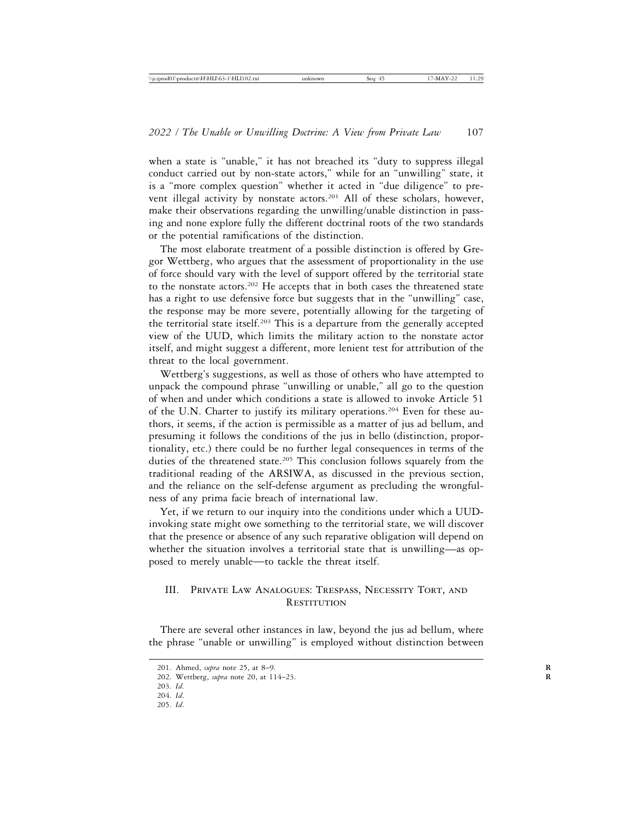when a state is "unable," it has not breached its "duty to suppress illegal conduct carried out by non-state actors," while for an "unwilling" state, it is a "more complex question" whether it acted in "due diligence" to prevent illegal activity by nonstate actors.<sup>201</sup> All of these scholars, however, make their observations regarding the unwilling/unable distinction in passing and none explore fully the different doctrinal roots of the two standards or the potential ramifications of the distinction.

The most elaborate treatment of a possible distinction is offered by Gregor Wettberg, who argues that the assessment of proportionality in the use of force should vary with the level of support offered by the territorial state to the nonstate actors.202 He accepts that in both cases the threatened state has a right to use defensive force but suggests that in the "unwilling" case, the response may be more severe, potentially allowing for the targeting of the territorial state itself.203 This is a departure from the generally accepted view of the UUD, which limits the military action to the nonstate actor itself, and might suggest a different, more lenient test for attribution of the threat to the local government.

Wettberg's suggestions, as well as those of others who have attempted to unpack the compound phrase "unwilling or unable," all go to the question of when and under which conditions a state is allowed to invoke Article 51 of the U.N. Charter to justify its military operations.204 Even for these authors, it seems, if the action is permissible as a matter of jus ad bellum, and presuming it follows the conditions of the jus in bello (distinction, proportionality, etc.) there could be no further legal consequences in terms of the duties of the threatened state.<sup>205</sup> This conclusion follows squarely from the traditional reading of the ARSIWA, as discussed in the previous section, and the reliance on the self-defense argument as precluding the wrongfulness of any prima facie breach of international law.

Yet, if we return to our inquiry into the conditions under which a UUDinvoking state might owe something to the territorial state, we will discover that the presence or absence of any such reparative obligation will depend on whether the situation involves a territorial state that is unwilling—as opposed to merely unable—to tackle the threat itself.

## III. Private Law Analogues: Trespass, Necessity Tort, and **RESTITUTION**

There are several other instances in law, beyond the jus ad bellum, where the phrase "unable or unwilling" is employed without distinction between

<sup>201.</sup> Ahmed, *supra* note 25, at 8–9. **R**

<sup>202.</sup> Wettberg, *supra* note 20, at 114–23. **R**

<sup>203.</sup> *Id*.

<sup>204.</sup> *Id*.

<sup>205.</sup> *Id*.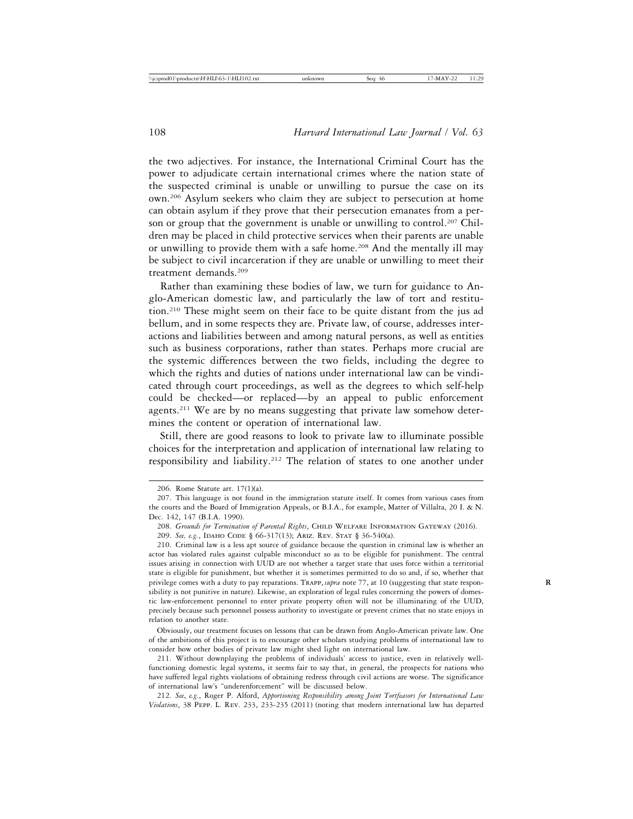the two adjectives. For instance, the International Criminal Court has the power to adjudicate certain international crimes where the nation state of the suspected criminal is unable or unwilling to pursue the case on its own.206 Asylum seekers who claim they are subject to persecution at home can obtain asylum if they prove that their persecution emanates from a person or group that the government is unable or unwilling to control.<sup>207</sup> Children may be placed in child protective services when their parents are unable or unwilling to provide them with a safe home.<sup>208</sup> And the mentally ill may be subject to civil incarceration if they are unable or unwilling to meet their treatment demands.209

Rather than examining these bodies of law, we turn for guidance to Anglo-American domestic law, and particularly the law of tort and restitution.210 These might seem on their face to be quite distant from the jus ad bellum, and in some respects they are. Private law, of course, addresses interactions and liabilities between and among natural persons, as well as entities such as business corporations, rather than states. Perhaps more crucial are the systemic differences between the two fields, including the degree to which the rights and duties of nations under international law can be vindicated through court proceedings, as well as the degrees to which self-help could be checked—or replaced—by an appeal to public enforcement agents.<sup>211</sup> We are by no means suggesting that private law somehow determines the content or operation of international law.

Still, there are good reasons to look to private law to illuminate possible choices for the interpretation and application of international law relating to responsibility and liability.212 The relation of states to one another under

Obviously, our treatment focuses on lessons that can be drawn from Anglo-American private law. One of the ambitions of this project is to encourage other scholars studying problems of international law to consider how other bodies of private law might shed light on international law.

211. Without downplaying the problems of individuals' access to justice, even in relatively wellfunctioning domestic legal systems, it seems fair to say that, in general, the prospects for nations who have suffered legal rights violations of obtaining redress through civil actions are worse. The significance of international law's "underenforcement" will be discussed below.

212. *See*, *e.g.*, Roger P. Alford, *Apportioning Responsibility among Joint Tortfeasors for International Law Violations*, 38 Pepp. L. Rev. 233, 233-235 (2011) (noting that modern international law has departed

<sup>206.</sup> Rome Statute art. 17(1)(a).

<sup>207.</sup> This language is not found in the immigration statute itself. It comes from various cases from the courts and the Board of Immigration Appeals, or B.I.A., for example, Matter of Villalta, 20 I. & N. Dec. 142, 147 (B.I.A. 1990).

<sup>208.</sup> *Grounds for Termination of Parental Rights*, CHILD WELFARE INFORMATION GATEWAY (2016).

<sup>209.</sup> *See, e.g.*, Idaho Code § 66-317(13); Ariz. Rev. Stat § 36-540(a).

<sup>210.</sup> Criminal law is a less apt source of guidance because the question in criminal law is whether an actor has violated rules against culpable misconduct so as to be eligible for punishment. The central issues arising in connection with UUD are not whether a target state that uses force within a territorial state is eligible for punishment, but whether it is sometimes permitted to do so and, if so, whether that privilege comes with a duty to pay reparations. TRAPP, *supra* note 77, at 10 (suggesting that state responsibility is not punitive in nature). Likewise, an exploration of legal rules concerning the powers of domestic law-enforcement personnel to enter private property often will not be illuminating of the UUD, precisely because such personnel possess authority to investigate or prevent crimes that no state enjoys in relation to another state.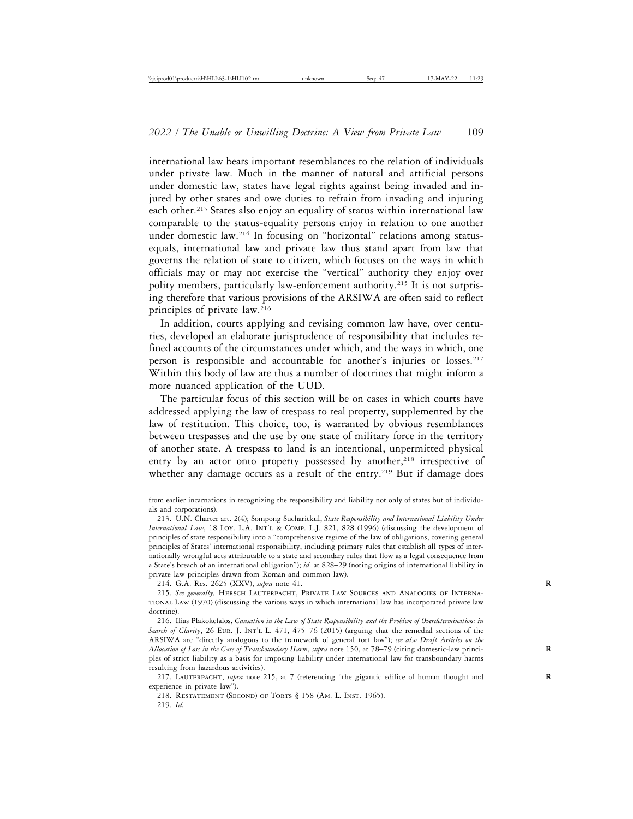international law bears important resemblances to the relation of individuals under private law. Much in the manner of natural and artificial persons under domestic law, states have legal rights against being invaded and injured by other states and owe duties to refrain from invading and injuring each other.<sup>213</sup> States also enjoy an equality of status within international law comparable to the status-equality persons enjoy in relation to one another under domestic law.214 In focusing on "horizontal" relations among statusequals, international law and private law thus stand apart from law that governs the relation of state to citizen, which focuses on the ways in which officials may or may not exercise the "vertical" authority they enjoy over polity members, particularly law-enforcement authority.215 It is not surprising therefore that various provisions of the ARSIWA are often said to reflect principles of private law.216

In addition, courts applying and revising common law have, over centuries, developed an elaborate jurisprudence of responsibility that includes refined accounts of the circumstances under which, and the ways in which, one person is responsible and accountable for another's injuries or losses.<sup>217</sup> Within this body of law are thus a number of doctrines that might inform a more nuanced application of the UUD.

The particular focus of this section will be on cases in which courts have addressed applying the law of trespass to real property, supplemented by the law of restitution. This choice, too, is warranted by obvious resemblances between trespasses and the use by one state of military force in the territory of another state. A trespass to land is an intentional, unpermitted physical entry by an actor onto property possessed by another, $218$  irrespective of whether any damage occurs as a result of the entry.<sup>219</sup> But if damage does

214. G.A. Res. 2625 (XXV), *supra* note 41. **R**

218. Restatement (Second) of Torts § 158 (Am. L. Inst. 1965). 219. *Id.*

from earlier incarnations in recognizing the responsibility and liability not only of states but of individuals and corporations).

<sup>213.</sup> U.N. Charter art. 2(4); Sompong Sucharitkul, *State Responsibility and International Liability Under International Law*, 18 Loy. L.A. Int'l & Comp. L.J. 821, 828 (1996) (discussing the development of principles of state responsibility into a "comprehensive regime of the law of obligations, covering general principles of States' international responsibility, including primary rules that establish all types of internationally wrongful acts attributable to a state and secondary rules that flow as a legal consequence from a State's breach of an international obligation"); *id*. at 828–29 (noting origins of international liability in private law principles drawn from Roman and common law).

<sup>215.</sup> *See generally,* Hersch Lauterpacht, Private Law Sources and Analogies of International Law (1970) (discussing the various ways in which international law has incorporated private law doctrine).

<sup>216.</sup> Ilias Plakokefalos, *Causation in the Law of State Responsibility and the Problem of Overdetermination: in* Search of Clarity, 26 EUR. J. INT'L L. 471, 475-76 (2015) (arguing that the remedial sections of the ARSIWA are "directly analogous to the framework of general tort law"); *see also Draft Articles on the Allocation of Loss in the Case of Transboundary Harm*, *supra* note 150, at 78–79 (citing domestic-law princi- **R** ples of strict liability as a basis for imposing liability under international law for transboundary harms resulting from hazardous activities).

<sup>217.</sup> LAUTERPACHT, *supra* note 215, at 7 (referencing "the gigantic edifice of human thought and experience in private law").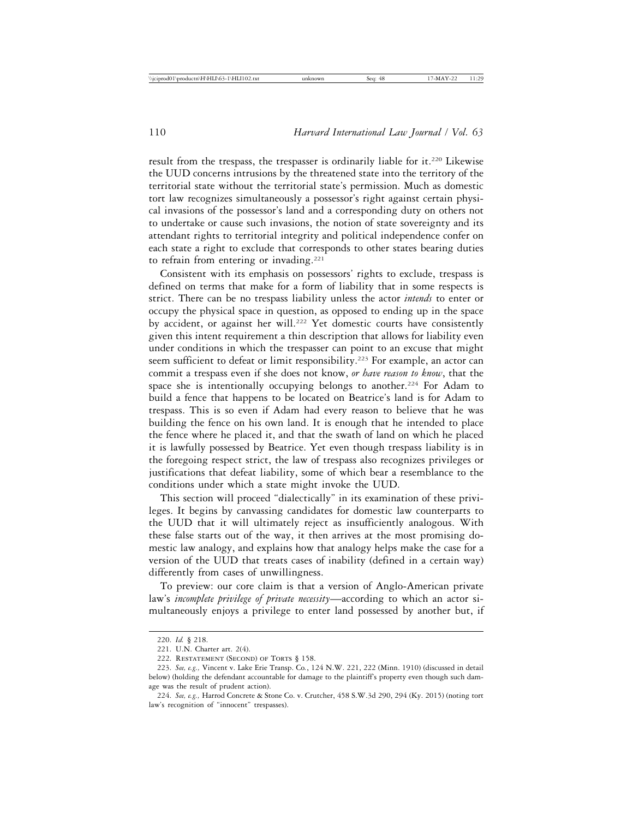result from the trespass, the trespasser is ordinarily liable for it.<sup>220</sup> Likewise the UUD concerns intrusions by the threatened state into the territory of the territorial state without the territorial state's permission. Much as domestic tort law recognizes simultaneously a possessor's right against certain physical invasions of the possessor's land and a corresponding duty on others not to undertake or cause such invasions, the notion of state sovereignty and its attendant rights to territorial integrity and political independence confer on each state a right to exclude that corresponds to other states bearing duties to refrain from entering or invading.<sup>221</sup>

Consistent with its emphasis on possessors' rights to exclude, trespass is defined on terms that make for a form of liability that in some respects is strict. There can be no trespass liability unless the actor *intends* to enter or occupy the physical space in question, as opposed to ending up in the space by accident, or against her will.<sup>222</sup> Yet domestic courts have consistently given this intent requirement a thin description that allows for liability even under conditions in which the trespasser can point to an excuse that might seem sufficient to defeat or limit responsibility.<sup>223</sup> For example, an actor can commit a trespass even if she does not know, *or have reason to know*, that the space she is intentionally occupying belongs to another.<sup>224</sup> For Adam to build a fence that happens to be located on Beatrice's land is for Adam to trespass. This is so even if Adam had every reason to believe that he was building the fence on his own land. It is enough that he intended to place the fence where he placed it, and that the swath of land on which he placed it is lawfully possessed by Beatrice. Yet even though trespass liability is in the foregoing respect strict, the law of trespass also recognizes privileges or justifications that defeat liability, some of which bear a resemblance to the conditions under which a state might invoke the UUD.

This section will proceed "dialectically" in its examination of these privileges. It begins by canvassing candidates for domestic law counterparts to the UUD that it will ultimately reject as insufficiently analogous. With these false starts out of the way, it then arrives at the most promising domestic law analogy, and explains how that analogy helps make the case for a version of the UUD that treats cases of inability (defined in a certain way) differently from cases of unwillingness.

To preview: our core claim is that a version of Anglo-American private law's *incomplete privilege of private necessity*—according to which an actor simultaneously enjoys a privilege to enter land possessed by another but, if

<sup>220.</sup> *Id.* § 218.

<sup>221.</sup> U.N. Charter art. 2(4).

<sup>222.</sup> RESTATEMENT (SECOND) OF TORTS § 158.

<sup>223.</sup> *See, e.g.,* Vincent v. Lake Erie Transp. Co*.*, 124 N.W. 221, 222 (Minn. 1910) (discussed in detail below) (holding the defendant accountable for damage to the plaintiff's property even though such damage was the result of prudent action).

<sup>224.</sup> *See, e.g.,* Harrod Concrete & Stone Co. v. Crutcher, 458 S.W.3d 290, 294 (Ky. 2015) (noting tort law's recognition of "innocent" trespasses).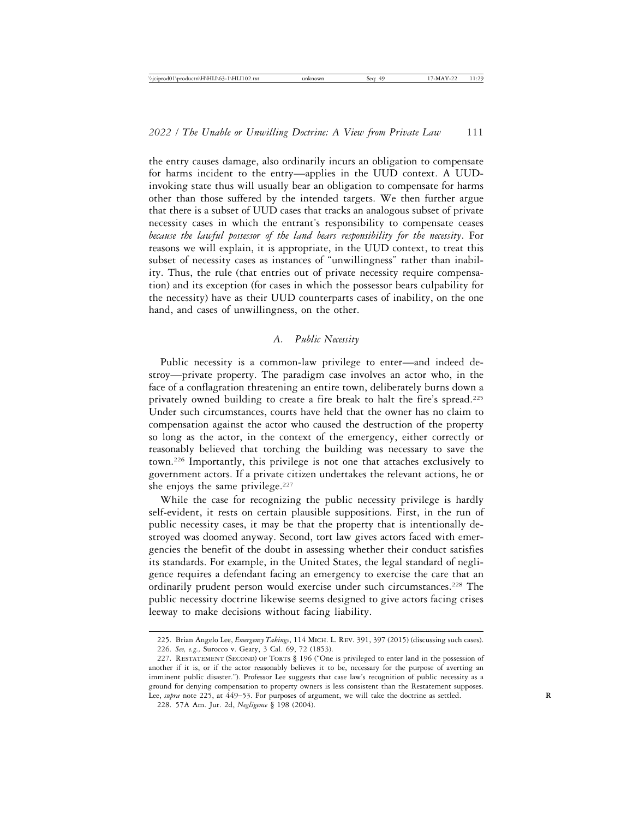the entry causes damage, also ordinarily incurs an obligation to compensate for harms incident to the entry—applies in the UUD context. A UUDinvoking state thus will usually bear an obligation to compensate for harms other than those suffered by the intended targets. We then further argue that there is a subset of UUD cases that tracks an analogous subset of private necessity cases in which the entrant's responsibility to compensate ceases *because the lawful possessor of the land bears responsibility for the necessity*. For reasons we will explain, it is appropriate, in the UUD context, to treat this subset of necessity cases as instances of "unwillingness" rather than inability. Thus, the rule (that entries out of private necessity require compensation) and its exception (for cases in which the possessor bears culpability for the necessity) have as their UUD counterparts cases of inability, on the one hand, and cases of unwillingness, on the other.

## *A. Public Necessity*

Public necessity is a common-law privilege to enter—and indeed destroy—private property. The paradigm case involves an actor who, in the face of a conflagration threatening an entire town, deliberately burns down a privately owned building to create a fire break to halt the fire's spread.225 Under such circumstances, courts have held that the owner has no claim to compensation against the actor who caused the destruction of the property so long as the actor, in the context of the emergency, either correctly or reasonably believed that torching the building was necessary to save the town.226 Importantly, this privilege is not one that attaches exclusively to government actors. If a private citizen undertakes the relevant actions, he or she enjoys the same privilege.<sup>227</sup>

While the case for recognizing the public necessity privilege is hardly self-evident, it rests on certain plausible suppositions. First, in the run of public necessity cases, it may be that the property that is intentionally destroyed was doomed anyway. Second, tort law gives actors faced with emergencies the benefit of the doubt in assessing whether their conduct satisfies its standards. For example, in the United States, the legal standard of negligence requires a defendant facing an emergency to exercise the care that an ordinarily prudent person would exercise under such circumstances.<sup>228</sup> The public necessity doctrine likewise seems designed to give actors facing crises leeway to make decisions without facing liability.

<sup>225.</sup> Brian Angelo Lee, *Emergency Takings*, 114 Mich. L. Rev. 391, 397 (2015) (discussing such cases).

<sup>226.</sup> *See, e.g.,* Surocco v. Geary, 3 Cal. 69, 72 (1853).

<sup>227.</sup> RESTATEMENT (SECOND) OF TORTS § 196 ("One is privileged to enter land in the possession of another if it is, or if the actor reasonably believes it to be, necessary for the purpose of averting an imminent public disaster."). Professor Lee suggests that case law's recognition of public necessity as a ground for denying compensation to property owners is less consistent than the Restatement supposes. Lee, *supra* note 225, at 449–53. For purposes of argument, we will take the doctrine as settled.

<sup>228. 57</sup>A Am. Jur. 2d, *Negligence* § 198 (2004).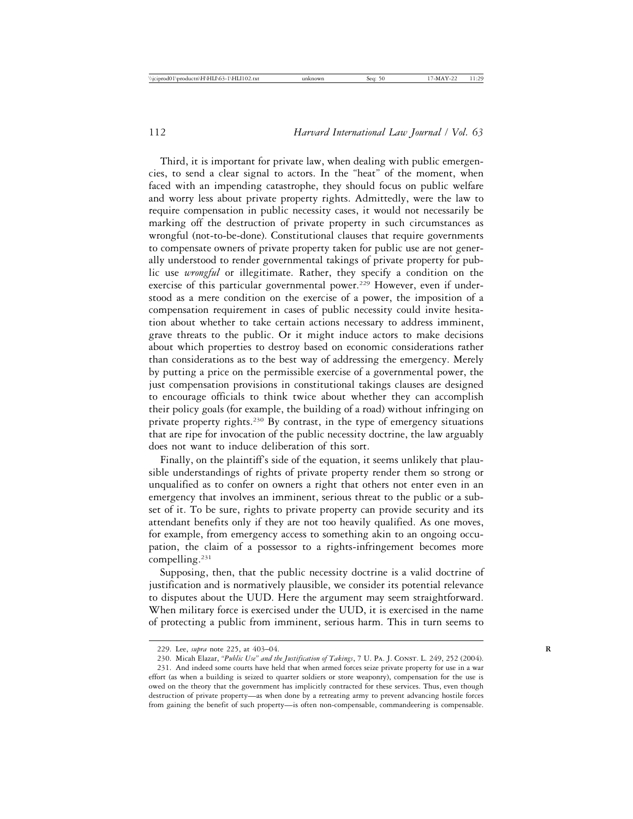Third, it is important for private law, when dealing with public emergencies, to send a clear signal to actors. In the "heat" of the moment, when faced with an impending catastrophe, they should focus on public welfare and worry less about private property rights. Admittedly, were the law to require compensation in public necessity cases, it would not necessarily be marking off the destruction of private property in such circumstances as wrongful (not-to-be-done). Constitutional clauses that require governments to compensate owners of private property taken for public use are not generally understood to render governmental takings of private property for public use *wrongful* or illegitimate. Rather, they specify a condition on the exercise of this particular governmental power.<sup>229</sup> However, even if understood as a mere condition on the exercise of a power, the imposition of a compensation requirement in cases of public necessity could invite hesitation about whether to take certain actions necessary to address imminent, grave threats to the public. Or it might induce actors to make decisions about which properties to destroy based on economic considerations rather than considerations as to the best way of addressing the emergency. Merely by putting a price on the permissible exercise of a governmental power, the just compensation provisions in constitutional takings clauses are designed to encourage officials to think twice about whether they can accomplish their policy goals (for example, the building of a road) without infringing on private property rights.230 By contrast, in the type of emergency situations that are ripe for invocation of the public necessity doctrine, the law arguably does not want to induce deliberation of this sort.

Finally, on the plaintiff's side of the equation, it seems unlikely that plausible understandings of rights of private property render them so strong or unqualified as to confer on owners a right that others not enter even in an emergency that involves an imminent, serious threat to the public or a subset of it. To be sure, rights to private property can provide security and its attendant benefits only if they are not too heavily qualified. As one moves, for example, from emergency access to something akin to an ongoing occupation, the claim of a possessor to a rights-infringement becomes more compelling.231

Supposing, then, that the public necessity doctrine is a valid doctrine of justification and is normatively plausible, we consider its potential relevance to disputes about the UUD. Here the argument may seem straightforward. When military force is exercised under the UUD, it is exercised in the name of protecting a public from imminent, serious harm. This in turn seems to

<sup>229.</sup> Lee, *supra* note 225, at 403–04. **R**

<sup>230.</sup> Micah Elazar, "Public Use" and the Justification of Takings, 7 U. PA. J. CONST. L. 249, 252 (2004).

<sup>231.</sup> And indeed some courts have held that when armed forces seize private property for use in a war effort (as when a building is seized to quarter soldiers or store weaponry), compensation for the use is owed on the theory that the government has implicitly contracted for these services. Thus, even though destruction of private property—as when done by a retreating army to prevent advancing hostile forces from gaining the benefit of such property—is often non-compensable, commandeering is compensable.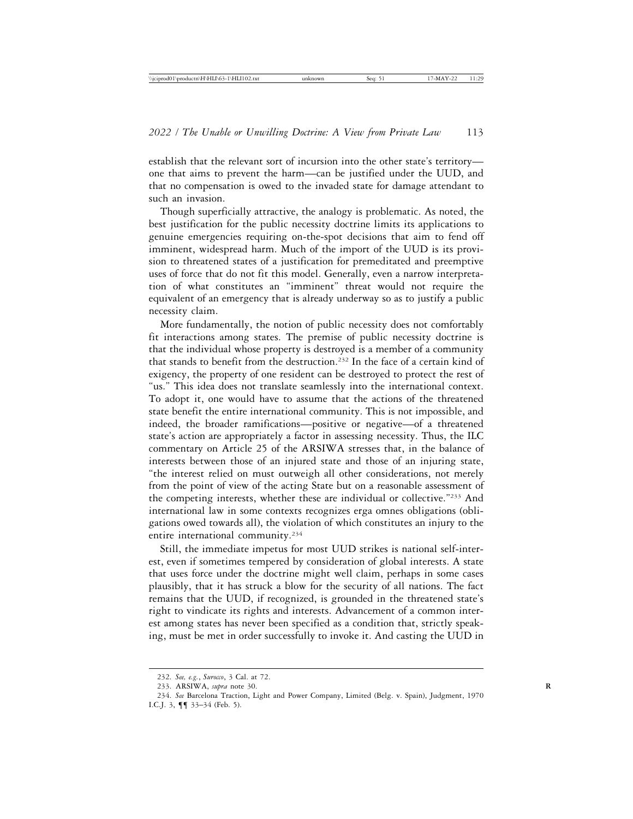establish that the relevant sort of incursion into the other state's territory one that aims to prevent the harm—can be justified under the UUD, and that no compensation is owed to the invaded state for damage attendant to such an invasion.

Though superficially attractive, the analogy is problematic. As noted, the best justification for the public necessity doctrine limits its applications to genuine emergencies requiring on-the-spot decisions that aim to fend off imminent, widespread harm. Much of the import of the UUD is its provision to threatened states of a justification for premeditated and preemptive uses of force that do not fit this model. Generally, even a narrow interpretation of what constitutes an "imminent" threat would not require the equivalent of an emergency that is already underway so as to justify a public necessity claim.

More fundamentally, the notion of public necessity does not comfortably fit interactions among states. The premise of public necessity doctrine is that the individual whose property is destroyed is a member of a community that stands to benefit from the destruction.232 In the face of a certain kind of exigency, the property of one resident can be destroyed to protect the rest of "us." This idea does not translate seamlessly into the international context. To adopt it, one would have to assume that the actions of the threatened state benefit the entire international community. This is not impossible, and indeed, the broader ramifications—positive or negative—of a threatened state's action are appropriately a factor in assessing necessity. Thus, the ILC commentary on Article 25 of the ARSIWA stresses that, in the balance of interests between those of an injured state and those of an injuring state, "the interest relied on must outweigh all other considerations, not merely from the point of view of the acting State but on a reasonable assessment of the competing interests, whether these are individual or collective."233 And international law in some contexts recognizes erga omnes obligations (obligations owed towards all), the violation of which constitutes an injury to the entire international community.234

Still, the immediate impetus for most UUD strikes is national self-interest, even if sometimes tempered by consideration of global interests. A state that uses force under the doctrine might well claim, perhaps in some cases plausibly, that it has struck a blow for the security of all nations. The fact remains that the UUD, if recognized, is grounded in the threatened state's right to vindicate its rights and interests. Advancement of a common interest among states has never been specified as a condition that, strictly speaking, must be met in order successfully to invoke it. And casting the UUD in

<sup>232.</sup> *See, e.g.*, *Surocco*, 3 Cal. at 72.

<sup>233.</sup> ARSIWA, *supra* note 30. **R**

<sup>234.</sup> *See* Barcelona Traction, Light and Power Company, Limited (Belg. v. Spain), Judgment, 1970 I.C.J. 3, ¶¶ 33–34 (Feb. 5).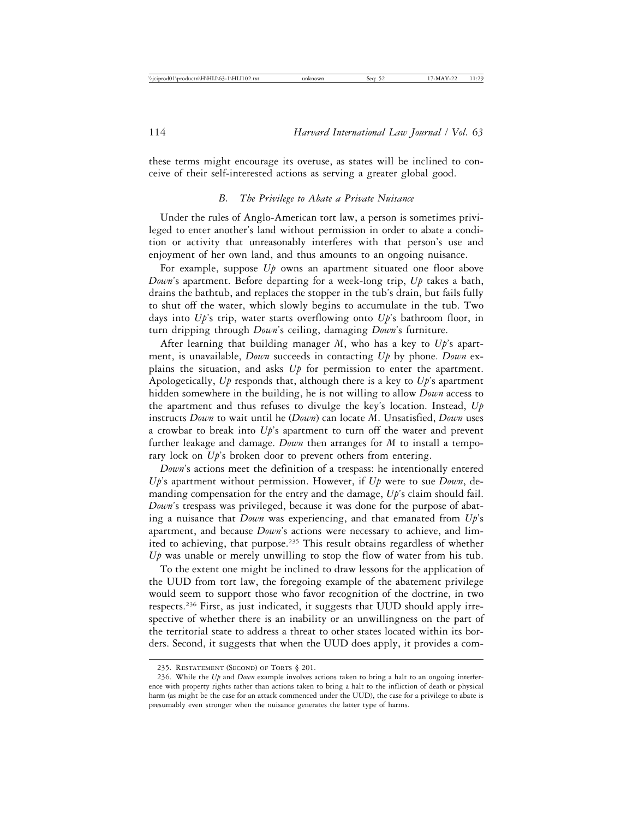these terms might encourage its overuse, as states will be inclined to conceive of their self-interested actions as serving a greater global good.

### *B. The Privilege to Abate a Private Nuisance*

Under the rules of Anglo-American tort law, a person is sometimes privileged to enter another's land without permission in order to abate a condition or activity that unreasonably interferes with that person's use and enjoyment of her own land, and thus amounts to an ongoing nuisance.

For example, suppose *Up* owns an apartment situated one floor above *Down*'s apartment. Before departing for a week-long trip, *Up* takes a bath, drains the bathtub, and replaces the stopper in the tub's drain, but fails fully to shut off the water, which slowly begins to accumulate in the tub. Two days into *Up*'s trip, water starts overflowing onto *Up*'s bathroom floor, in turn dripping through *Down*'s ceiling, damaging *Down*'s furniture.

After learning that building manager *M*, who has a key to *Up*'s apartment, is unavailable, *Down* succeeds in contacting *Up* by phone. *Down* explains the situation, and asks *Up* for permission to enter the apartment. Apologetically, *Up* responds that, although there is a key to *Up*'s apartment hidden somewhere in the building, he is not willing to allow *Down* access to the apartment and thus refuses to divulge the key's location. Instead, *Up* instructs *Down* to wait until he (*Down*) can locate *M*. Unsatisfied, *Down* uses a crowbar to break into *Up*'s apartment to turn off the water and prevent further leakage and damage. *Down* then arranges for *M* to install a temporary lock on *Up*'s broken door to prevent others from entering.

*Down*'s actions meet the definition of a trespass: he intentionally entered *Up*'s apartment without permission. However, if *Up* were to sue *Down*, demanding compensation for the entry and the damage, *Up*'s claim should fail. *Down*'s trespass was privileged, because it was done for the purpose of abating a nuisance that *Down* was experiencing, and that emanated from *Up*'s apartment, and because *Down*'s actions were necessary to achieve, and limited to achieving, that purpose.<sup>235</sup> This result obtains regardless of whether *Up* was unable or merely unwilling to stop the flow of water from his tub.

To the extent one might be inclined to draw lessons for the application of the UUD from tort law, the foregoing example of the abatement privilege would seem to support those who favor recognition of the doctrine, in two respects.236 First, as just indicated, it suggests that UUD should apply irrespective of whether there is an inability or an unwillingness on the part of the territorial state to address a threat to other states located within its borders. Second, it suggests that when the UUD does apply, it provides a com-

<sup>235.</sup> RESTATEMENT (SECOND) OF TORTS § 201.

<sup>236.</sup> While the *Up* and *Down* example involves actions taken to bring a halt to an ongoing interference with property rights rather than actions taken to bring a halt to the infliction of death or physical harm (as might be the case for an attack commenced under the UUD), the case for a privilege to abate is presumably even stronger when the nuisance generates the latter type of harms.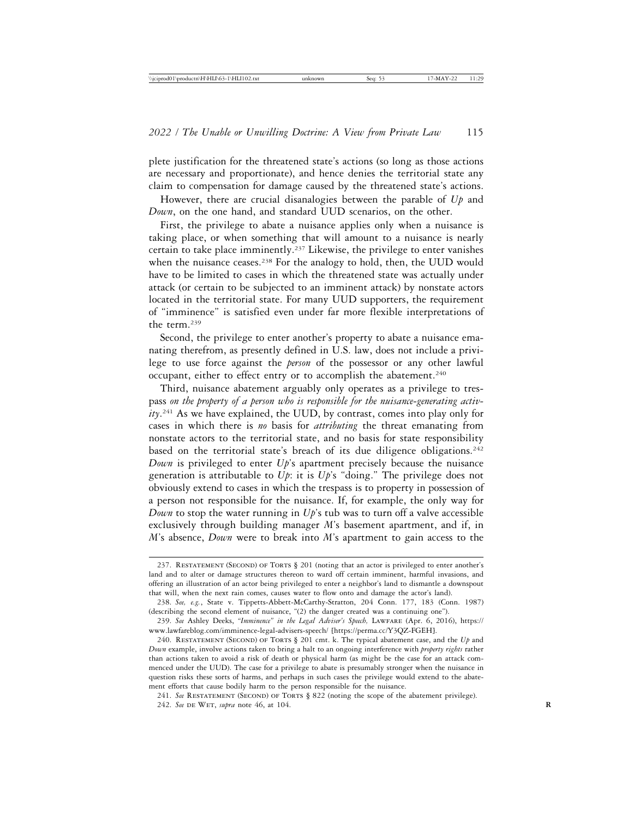plete justification for the threatened state's actions (so long as those actions are necessary and proportionate), and hence denies the territorial state any claim to compensation for damage caused by the threatened state's actions.

However, there are crucial disanalogies between the parable of *Up* and *Down*, on the one hand, and standard UUD scenarios, on the other.

First, the privilege to abate a nuisance applies only when a nuisance is taking place, or when something that will amount to a nuisance is nearly certain to take place imminently.237 Likewise, the privilege to enter vanishes when the nuisance ceases.<sup>238</sup> For the analogy to hold, then, the UUD would have to be limited to cases in which the threatened state was actually under attack (or certain to be subjected to an imminent attack) by nonstate actors located in the territorial state. For many UUD supporters, the requirement of "imminence" is satisfied even under far more flexible interpretations of the term.239

Second, the privilege to enter another's property to abate a nuisance emanating therefrom, as presently defined in U.S. law, does not include a privilege to use force against the *person* of the possessor or any other lawful occupant, either to effect entry or to accomplish the abatement.<sup>240</sup>

Third, nuisance abatement arguably only operates as a privilege to trespass *on the property of a person who is responsible for the nuisance-generating activity*. 241 As we have explained, the UUD, by contrast, comes into play only for cases in which there is *no* basis for *attributing* the threat emanating from nonstate actors to the territorial state, and no basis for state responsibility based on the territorial state's breach of its due diligence obligations.<sup>242</sup> *Down* is privileged to enter *Up*'s apartment precisely because the nuisance generation is attributable to *Up*: it is *Up*'s "doing." The privilege does not obviously extend to cases in which the trespass is to property in possession of a person not responsible for the nuisance. If, for example, the only way for *Down* to stop the water running in *Up*'s tub was to turn off a valve accessible exclusively through building manager *M*'s basement apartment, and if, in *M*'s absence, *Down* were to break into *M*'s apartment to gain access to the

<sup>237.</sup> RESTATEMENT (SECOND) OF TORTS § 201 (noting that an actor is privileged to enter another's land and to alter or damage structures thereon to ward off certain imminent, harmful invasions, and offering an illustration of an actor being privileged to enter a neighbor's land to dismantle a downspout that will, when the next rain comes, causes water to flow onto and damage the actor's land).

<sup>238.</sup> *See, e.g.*, State v. Tippetts-Abbett-McCarthy-Stratton, 204 Conn. 177, 183 (Conn. 1987) (describing the second element of nuisance, "(2) the danger created was a continuing one").

<sup>239.</sup> *See* Ashley Deeks, *"Imminence" in the Legal Adviser's Speech,* Lawfare (Apr. 6, 2016), https:// www.lawfareblog.com/imminence-legal-advisers-speech/ [https://perma.cc/Y3QZ-FGEH].

<sup>240.</sup> Restatement (Second) of Torts § 201 cmt. k. The typical abatement case, and the *Up* and *Down* example, involve actions taken to bring a halt to an ongoing interference with *property rights* rather than actions taken to avoid a risk of death or physical harm (as might be the case for an attack commenced under the UUD). The case for a privilege to abate is presumably stronger when the nuisance in question risks these sorts of harms, and perhaps in such cases the privilege would extend to the abatement efforts that cause bodily harm to the person responsible for the nuisance.

<sup>241.</sup> *See* Restatement (Second) of Torts § 822 (noting the scope of the abatement privilege). 242. *See DE WET, supra note 46, at 104.*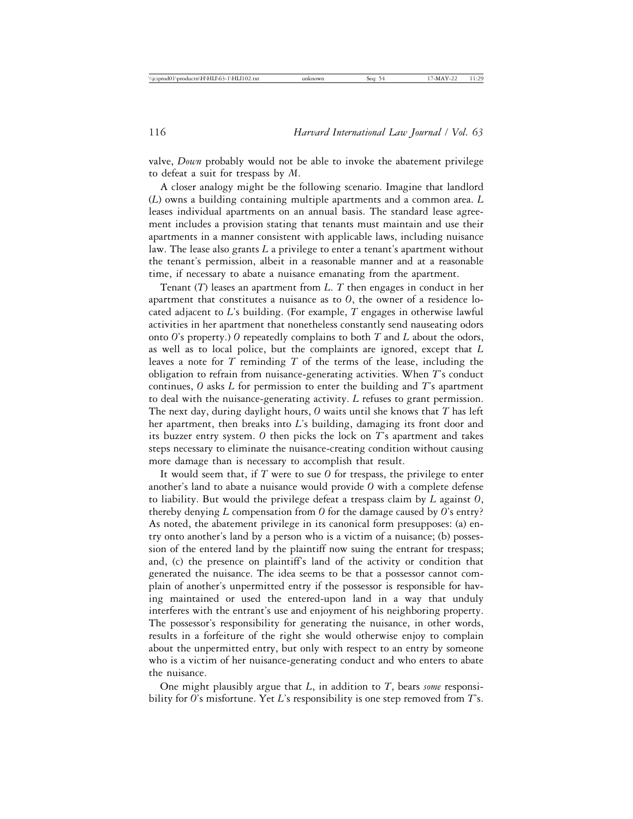valve, *Down* probably would not be able to invoke the abatement privilege to defeat a suit for trespass by *M*.

A closer analogy might be the following scenario. Imagine that landlord (*L*) owns a building containing multiple apartments and a common area. *L* leases individual apartments on an annual basis. The standard lease agreement includes a provision stating that tenants must maintain and use their apartments in a manner consistent with applicable laws, including nuisance law. The lease also grants *L* a privilege to enter a tenant's apartment without the tenant's permission, albeit in a reasonable manner and at a reasonable time, if necessary to abate a nuisance emanating from the apartment.

Tenant (*T*) leases an apartment from *L*. *T* then engages in conduct in her apartment that constitutes a nuisance as to *O*, the owner of a residence located adjacent to *L*'s building. (For example, *T* engages in otherwise lawful activities in her apartment that nonetheless constantly send nauseating odors onto *O*'s property.) *O* repeatedly complains to both *T* and *L* about the odors, as well as to local police, but the complaints are ignored, except that *L* leaves a note for *T* reminding *T* of the terms of the lease, including the obligation to refrain from nuisance-generating activities. When *T*'s conduct continues, *O* asks *L* for permission to enter the building and *T*'s apartment to deal with the nuisance-generating activity. *L* refuses to grant permission. The next day, during daylight hours, *O* waits until she knows that *T* has left her apartment, then breaks into *L*'s building, damaging its front door and its buzzer entry system. *O* then picks the lock on *T*'s apartment and takes steps necessary to eliminate the nuisance-creating condition without causing more damage than is necessary to accomplish that result.

It would seem that, if *T* were to sue *O* for trespass, the privilege to enter another's land to abate a nuisance would provide *O* with a complete defense to liability. But would the privilege defeat a trespass claim by *L* against *O*, thereby denying *L* compensation from *O* for the damage caused by *O*'s entry? As noted, the abatement privilege in its canonical form presupposes: (a) entry onto another's land by a person who is a victim of a nuisance; (b) possession of the entered land by the plaintiff now suing the entrant for trespass; and, (c) the presence on plaintiff's land of the activity or condition that generated the nuisance. The idea seems to be that a possessor cannot complain of another's unpermitted entry if the possessor is responsible for having maintained or used the entered-upon land in a way that unduly interferes with the entrant's use and enjoyment of his neighboring property. The possessor's responsibility for generating the nuisance, in other words, results in a forfeiture of the right she would otherwise enjoy to complain about the unpermitted entry, but only with respect to an entry by someone who is a victim of her nuisance-generating conduct and who enters to abate the nuisance.

One might plausibly argue that *L*, in addition to *T*, bears *some* responsibility for *O*'s misfortune. Yet *L*'s responsibility is one step removed from *T*'s.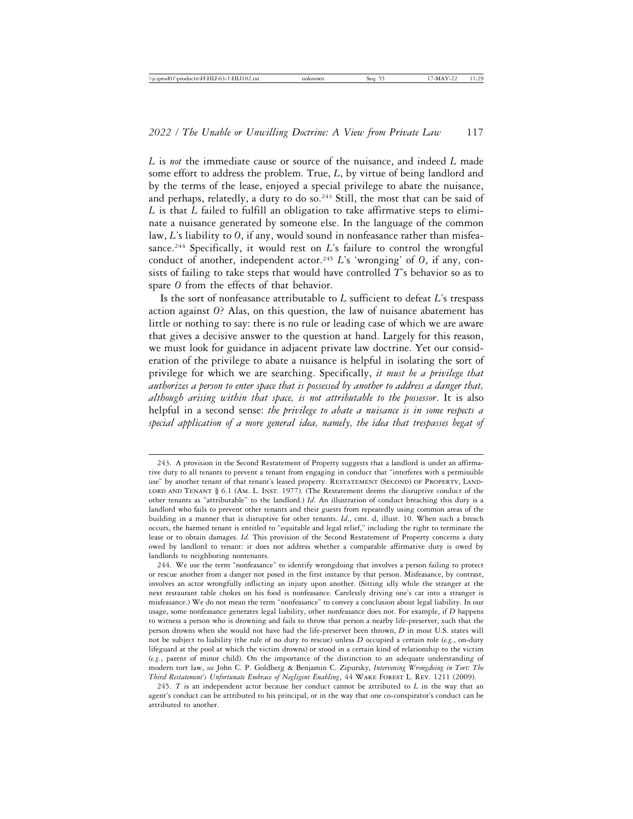*L* is *not* the immediate cause or source of the nuisance, and indeed *L* made some effort to address the problem. True, *L*, by virtue of being landlord and by the terms of the lease, enjoyed a special privilege to abate the nuisance, and perhaps, relatedly, a duty to do so. $243$  Still, the most that can be said of *L* is that *L* failed to fulfill an obligation to take affirmative steps to eliminate a nuisance generated by someone else. In the language of the common law, *L*'s liability to *O*, if any, would sound in nonfeasance rather than misfeasance.244 Specifically, it would rest on *L*'s failure to control the wrongful conduct of another, independent actor.<sup>245</sup> *L*'s 'wronging' of *O*, if any, consists of failing to take steps that would have controlled *T*'s behavior so as to spare *O* from the effects of that behavior.

Is the sort of nonfeasance attributable to *L* sufficient to defeat *L*'s trespass action against *O*? Alas, on this question, the law of nuisance abatement has little or nothing to say: there is no rule or leading case of which we are aware that gives a decisive answer to the question at hand. Largely for this reason, we must look for guidance in adjacent private law doctrine. Yet our consideration of the privilege to abate a nuisance is helpful in isolating the sort of privilege for which we are searching. Specifically, *it must be a privilege that authorizes a person to enter space that is possessed by another to address a danger that, although arising within that space, is not attributable to the possessor*. It is also helpful in a second sense: *the privilege to abate a nuisance is in some respects a special application of a more general idea, namely, the idea that trespasses begat of*

<sup>243.</sup> A provision in the Second Restatement of Property suggests that a landlord is under an affirmative duty to all tenants to prevent a tenant from engaging in conduct that "interferes with a permissible use" by another tenant of that tenant's leased property. RESTATEMENT (SECOND) OF PROPERTY, LAND-LORD AND TENANT § 6.1 (AM. L. INST. 1977). (The Restatement deems the disruptive conduct of the other tenants as "attributable" to the landlord.) *Id*. An illustration of conduct breaching this duty is a landlord who fails to prevent other tenants and their guests from repeatedly using common areas of the building in a manner that is disruptive for other tenants. *Id*., cmt. d, illust. 10. When such a breach occurs, the harmed tenant is entitled to "equitable and legal relief," including the right to terminate the lease or to obtain damages. *Id.* This provision of the Second Restatement of Property concerns a duty owed by landlord to tenant: it does not address whether a comparable affirmative duty is owed by landlords to neighboring nontenants.

<sup>244.</sup> We use the term "nonfeasance" to identify wrongdoing that involves a person failing to protect or rescue another from a danger not posed in the first instance by that person. Misfeasance, by contrast, involves an actor wrongfully inflicting an injury upon another. (Sitting idly while the stranger at the next restaurant table chokes on his food is nonfeasance. Carelessly driving one's car into a stranger is misfeasance.) We do not mean the term "nonfeasance" to convey a conclusion about legal liability. In our usage, some nonfeasance generates legal liability, other nonfeasance does not. For example, if *D* happens to witness a person who is drowning and fails to throw that person a nearby life-preserver, such that the person drowns when she would not have had the life-preserver been thrown, *D* in most U.S. states will not be subject to liability (the rule of no duty to rescue) unless *D* occupied a certain role (*e.g.*, on-duty lifeguard at the pool at which the victim drowns) or stood in a certain kind of relationship to the victim (*e.g.*, parent of minor child). On the importance of the distinction to an adequate understanding of modern tort law, *see* John C. P. Goldberg & Benjamin C. Zipursky, *Intervening Wrongdoing in Tort: The Third Restatement's Unfortunate Embrace of Negligent Enabling*, 44 Wake Forest L. Rev. 1211 (2009).

<sup>245.</sup> *T* is an independent actor because her conduct cannot be attributed to *L* in the way that an agent's conduct can be attributed to his principal, or in the way that one co-conspirator's conduct can be attributed to another.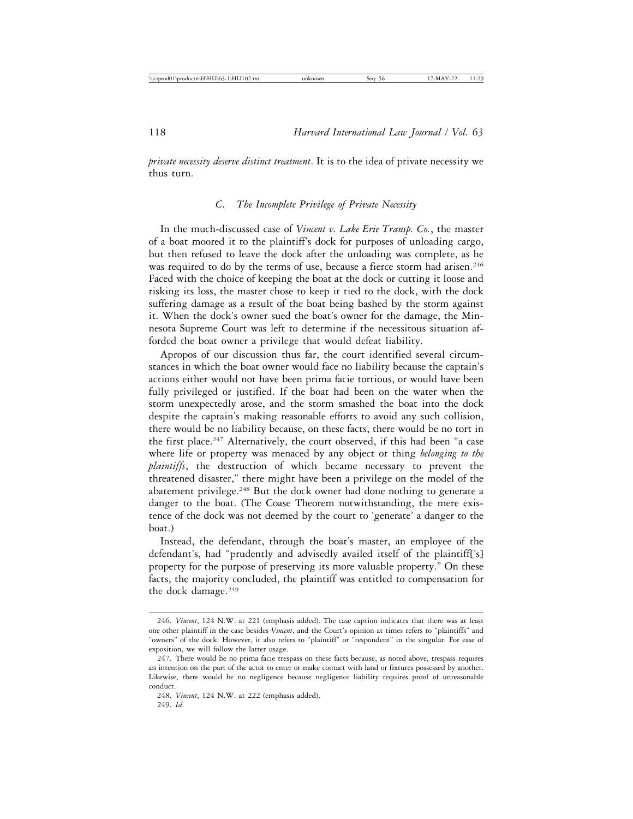*private necessity deserve distinct treatment*. It is to the idea of private necessity we thus turn.

## *C. The Incomplete Privilege of Private Necessity*

In the much-discussed case of *Vincent v. Lake Erie Transp. Co.*, the master of a boat moored it to the plaintiff's dock for purposes of unloading cargo, but then refused to leave the dock after the unloading was complete, as he was required to do by the terms of use, because a fierce storm had arisen.<sup>246</sup> Faced with the choice of keeping the boat at the dock or cutting it loose and risking its loss, the master chose to keep it tied to the dock, with the dock suffering damage as a result of the boat being bashed by the storm against it. When the dock's owner sued the boat's owner for the damage, the Minnesota Supreme Court was left to determine if the necessitous situation afforded the boat owner a privilege that would defeat liability.

Apropos of our discussion thus far, the court identified several circumstances in which the boat owner would face no liability because the captain's actions either would not have been prima facie tortious, or would have been fully privileged or justified. If the boat had been on the water when the storm unexpectedly arose, and the storm smashed the boat into the dock despite the captain's making reasonable efforts to avoid any such collision, there would be no liability because, on these facts, there would be no tort in the first place.<sup>247</sup> Alternatively, the court observed, if this had been "a case where life or property was menaced by any object or thing *belonging to the plaintiffs*, the destruction of which became necessary to prevent the threatened disaster," there might have been a privilege on the model of the abatement privilege.<sup>248</sup> But the dock owner had done nothing to generate a danger to the boat. (The Coase Theorem notwithstanding, the mere existence of the dock was not deemed by the court to 'generate' a danger to the boat.)

Instead, the defendant, through the boat's master, an employee of the defendant's, had "prudently and advisedly availed itself of the plaintifff's property for the purpose of preserving its more valuable property." On these facts, the majority concluded, the plaintiff was entitled to compensation for the dock damage.249

<sup>246.</sup> *Vincent*, 124 N.W. at 221 (emphasis added). The case caption indicates that there was at least one other plaintiff in the case besides *Vincent*, and the Court's opinion at times refers to "plaintiffs" and "owners" of the dock. However, it also refers to "plaintiff" or "respondent" in the singular. For ease of exposition, we will follow the latter usage.

<sup>247.</sup> There would be no prima facie trespass on these facts because, as noted above, trespass requires an intention on the part of the actor to enter or make contact with land or fixtures possessed by another. Likewise, there would be no negligence because negligence liability requires proof of unreasonable conduct.

<sup>248.</sup> *Vincent*, 124 N.W. at 222 (emphasis added). 249. *Id*.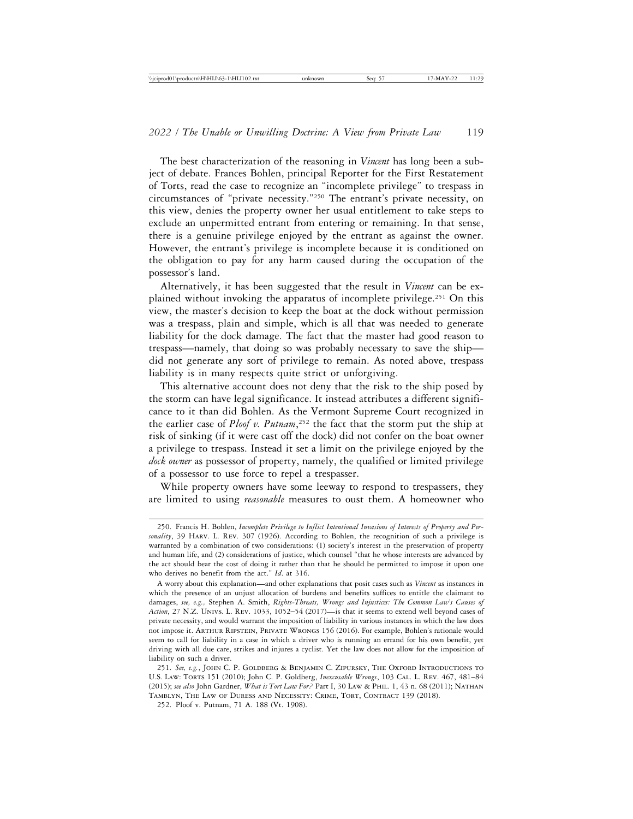The best characterization of the reasoning in *Vincent* has long been a subject of debate. Frances Bohlen, principal Reporter for the First Restatement of Torts, read the case to recognize an "incomplete privilege" to trespass in circumstances of "private necessity."250 The entrant's private necessity, on this view, denies the property owner her usual entitlement to take steps to exclude an unpermitted entrant from entering or remaining. In that sense, there is a genuine privilege enjoyed by the entrant as against the owner. However, the entrant's privilege is incomplete because it is conditioned on the obligation to pay for any harm caused during the occupation of the possessor's land.

Alternatively, it has been suggested that the result in *Vincent* can be explained without invoking the apparatus of incomplete privilege.251 On this view, the master's decision to keep the boat at the dock without permission was a trespass, plain and simple, which is all that was needed to generate liability for the dock damage. The fact that the master had good reason to trespass—namely, that doing so was probably necessary to save the ship did not generate any sort of privilege to remain. As noted above, trespass liability is in many respects quite strict or unforgiving.

This alternative account does not deny that the risk to the ship posed by the storm can have legal significance. It instead attributes a different significance to it than did Bohlen. As the Vermont Supreme Court recognized in the earlier case of *Ploof v. Putnam*, 252 the fact that the storm put the ship at risk of sinking (if it were cast off the dock) did not confer on the boat owner a privilege to trespass. Instead it set a limit on the privilege enjoyed by the *dock owner* as possessor of property, namely, the qualified or limited privilege of a possessor to use force to repel a trespasser.

While property owners have some leeway to respond to trespassers, they are limited to using *reasonable* measures to oust them. A homeowner who

<sup>250.</sup> Francis H. Bohlen, *Incomplete Privilege to Inflict Intentional Invasions of Interests of Property and Personality*, 39 Harv. L. Rev. 307 (1926). According to Bohlen, the recognition of such a privilege is warranted by a combination of two considerations: (1) society's interest in the preservation of property and human life, and (2) considerations of justice, which counsel "that he whose interests are advanced by the act should bear the cost of doing it rather than that he should be permitted to impose it upon one who derives no benefit from the act." *Id*. at 316.

A worry about this explanation—and other explanations that posit cases such as *Vincent* as instances in which the presence of an unjust allocation of burdens and benefits suffices to entitle the claimant to damages, *see, e.g.,* Stephen A. Smith, *Rights-Threats, Wrongs and Injustices: The Common Law's Causes of Action*, 27 N.Z. Univs. L. Rev. 1033, 1052–54 (2017)—is that it seems to extend well beyond cases of private necessity, and would warrant the imposition of liability in various instances in which the law does not impose it. Arthur Ripstein, Private Wrongs 156 (2016). For example, Bohlen's rationale would seem to call for liability in a case in which a driver who is running an errand for his own benefit, yet driving with all due care, strikes and injures a cyclist. Yet the law does not allow for the imposition of liability on such a driver.

<sup>251.</sup> *See, e.g.*, John C. P. Goldberg & Benjamin C. Zipursky, The Oxford Introductions to U.S. Law: Torts 151 (2010); John C. P. Goldberg, *Inexcusable Wrongs*, 103 Cal. L. Rev. 467, 481–84 (2015); *see also* John Gardner, *What is Tort Law For?* Part I, 30 Law & Phil. 1, 43 n. 68 (2011); Nathan Tamblyn, The Law of Duress and Necessity: Crime, Tort, Contract 139 (2018).

<sup>252.</sup> Ploof v. Putnam, 71 A. 188 (Vt. 1908).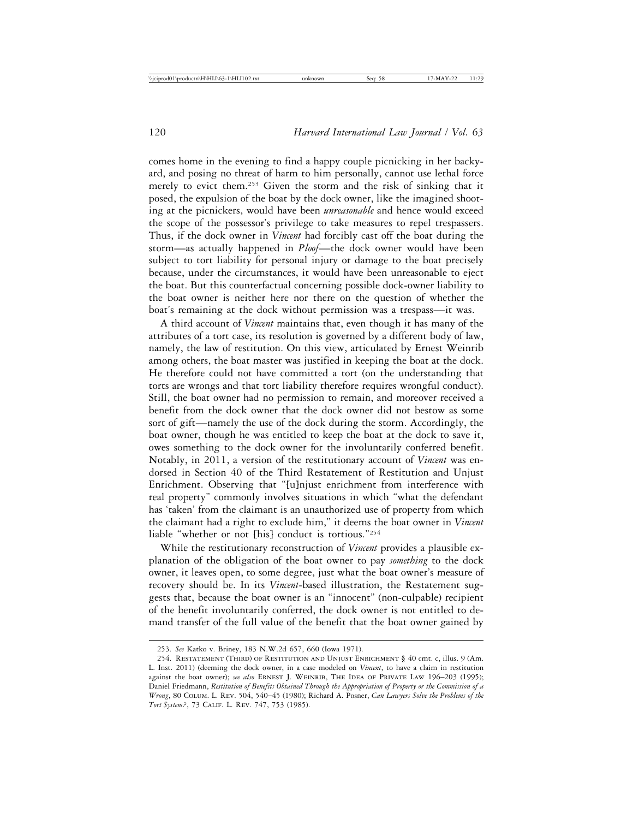comes home in the evening to find a happy couple picnicking in her backyard, and posing no threat of harm to him personally, cannot use lethal force merely to evict them.253 Given the storm and the risk of sinking that it posed, the expulsion of the boat by the dock owner, like the imagined shooting at the picnickers, would have been *unreasonable* and hence would exceed the scope of the possessor's privilege to take measures to repel trespassers. Thus, if the dock owner in *Vincent* had forcibly cast off the boat during the storm—as actually happened in *Ploof*—the dock owner would have been subject to tort liability for personal injury or damage to the boat precisely because, under the circumstances, it would have been unreasonable to eject the boat. But this counterfactual concerning possible dock-owner liability to the boat owner is neither here nor there on the question of whether the boat's remaining at the dock without permission was a trespass—it was.

A third account of *Vincent* maintains that, even though it has many of the attributes of a tort case, its resolution is governed by a different body of law, namely, the law of restitution. On this view, articulated by Ernest Weinrib among others, the boat master was justified in keeping the boat at the dock. He therefore could not have committed a tort (on the understanding that torts are wrongs and that tort liability therefore requires wrongful conduct). Still, the boat owner had no permission to remain, and moreover received a benefit from the dock owner that the dock owner did not bestow as some sort of gift—namely the use of the dock during the storm. Accordingly, the boat owner, though he was entitled to keep the boat at the dock to save it, owes something to the dock owner for the involuntarily conferred benefit. Notably, in 2011, a version of the restitutionary account of *Vincent* was endorsed in Section 40 of the Third Restatement of Restitution and Unjust Enrichment. Observing that "[u]njust enrichment from interference with real property" commonly involves situations in which "what the defendant has 'taken' from the claimant is an unauthorized use of property from which the claimant had a right to exclude him," it deems the boat owner in *Vincent* liable "whether or not [his] conduct is tortious."254

While the restitutionary reconstruction of *Vincent* provides a plausible explanation of the obligation of the boat owner to pay *something* to the dock owner, it leaves open, to some degree, just what the boat owner's measure of recovery should be. In its *Vincent*-based illustration, the Restatement suggests that, because the boat owner is an "innocent" (non-culpable) recipient of the benefit involuntarily conferred, the dock owner is not entitled to demand transfer of the full value of the benefit that the boat owner gained by

<sup>253.</sup> *See* Katko v. Briney, 183 N.W.2d 657, 660 (Iowa 1971).

<sup>254.</sup> Restatement (Third) of Restitution and Unjust Enrichment § 40 cmt. c, illus. 9 (Am. L. Inst. 2011) (deeming the dock owner, in a case modeled on *Vincent*, to have a claim in restitution against the boat owner); *see also* ERNEST J. WEINRIB, THE IDEA OF PRIVATE LAW 196-203 (1995); Daniel Friedmann, *Restitution of Benefits Obtained Through the Appropriation of Property or the Commission of a Wrong*, 80 Colum. L. Rev. 504, 540–45 (1980); Richard A. Posner, *Can Lawyers Solve the Problems of the Tort System?*, 73 Calif. L. Rev. 747, 753 (1985).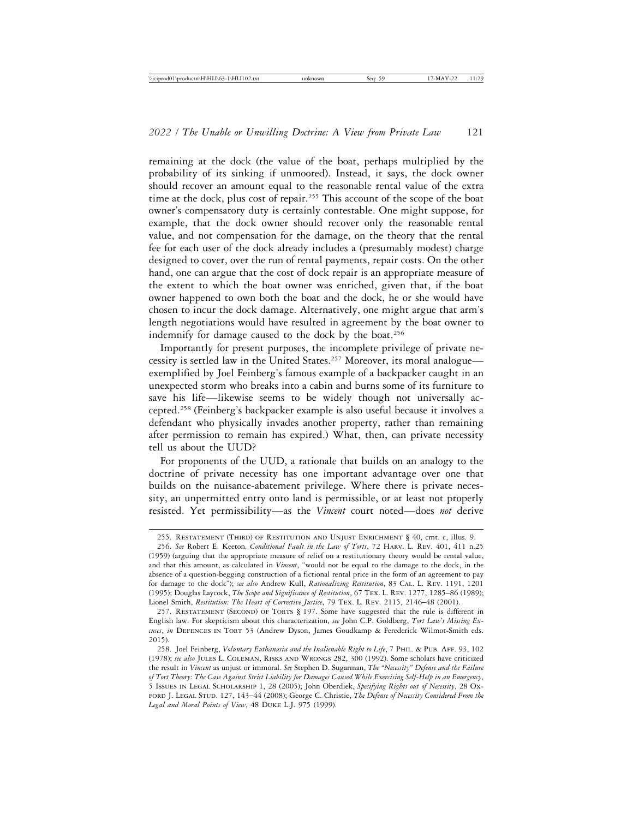remaining at the dock (the value of the boat, perhaps multiplied by the probability of its sinking if unmoored). Instead, it says, the dock owner should recover an amount equal to the reasonable rental value of the extra time at the dock, plus cost of repair.<sup>255</sup> This account of the scope of the boat owner's compensatory duty is certainly contestable. One might suppose, for example, that the dock owner should recover only the reasonable rental value, and not compensation for the damage, on the theory that the rental fee for each user of the dock already includes a (presumably modest) charge designed to cover, over the run of rental payments, repair costs. On the other hand, one can argue that the cost of dock repair is an appropriate measure of the extent to which the boat owner was enriched, given that, if the boat owner happened to own both the boat and the dock, he or she would have chosen to incur the dock damage. Alternatively, one might argue that arm's length negotiations would have resulted in agreement by the boat owner to indemnify for damage caused to the dock by the boat.<sup>256</sup>

Importantly for present purposes, the incomplete privilege of private necessity is settled law in the United States.257 Moreover, its moral analogue exemplified by Joel Feinberg's famous example of a backpacker caught in an unexpected storm who breaks into a cabin and burns some of its furniture to save his life—likewise seems to be widely though not universally accepted.258 (Feinberg's backpacker example is also useful because it involves a defendant who physically invades another property, rather than remaining after permission to remain has expired.) What, then, can private necessity tell us about the UUD?

For proponents of the UUD, a rationale that builds on an analogy to the doctrine of private necessity has one important advantage over one that builds on the nuisance-abatement privilege. Where there is private necessity, an unpermitted entry onto land is permissible, or at least not properly resisted. Yet permissibility—as the *Vincent* court noted—does *not* derive

<sup>255.</sup> Restatement (Third) of Restitution and Unjust Enrichment § 40, cmt. c, illus. 9.

<sup>256.</sup> *See* Robert E. Keeton*, Conditional Fault in the Law of Torts*, 72 Harv. L. Rev. 401, 411 n.25 (1959) (arguing that the appropriate measure of relief on a restitutionary theory would be rental value, and that this amount, as calculated in *Vincent*, "would not be equal to the damage to the dock, in the absence of a question-begging construction of a fictional rental price in the form of an agreement to pay for damage to the dock"); *see also* Andrew Kull, *Rationalizing Restitution*, 83 Cal. L. Rev. 1191, 1201 (1995); Douglas Laycock, *The Scope and Significance of Restitution*, 67 Tex. L. Rev. 1277, 1285–86 (1989); Lionel Smith, *Restitution: The Heart of Corrective Justice*, 79 Tex. L. Rev. 2115, 2146–48 (2001).

<sup>257.</sup> RESTATEMENT (SECOND) OF TORTS § 197. Some have suggested that the rule is different in English law. For skepticism about this characterization, *see* John C.P. Goldberg, *Tort Law's Missing Excuses*, *in* Defences in Tort 53 (Andrew Dyson, James Goudkamp & Ferederick Wilmot-Smith eds. 2015).

<sup>258.</sup> Joel Feinberg, *Voluntary Euthanasia and the Inalienable Right to Life*, 7 Phil. & Pub. Aff. 93, 102 (1978); *see also* Jules L. Coleman, Risks and Wrongs 282, 300 (1992). Some scholars have criticized the result in *Vincent* as unjust or immoral. *See* Stephen D. Sugarman, *The "Necessity" Defense and the Failure of Tort Theory: The Case Against Strict Liability for Damages Caused While Exercising Self-Help in an Emergency*, 5 Issues in Legal Scholarship 1, 28 (2005); John Oberdiek, *Specifying Rights out of Necessity*, 28 Oxford J. Legal Stud. 127, 143–44 (2008); George C. Christie, *The Defense of Necessity Considered From the Legal and Moral Points of View*, 48 Duke L.J. 975 (1999).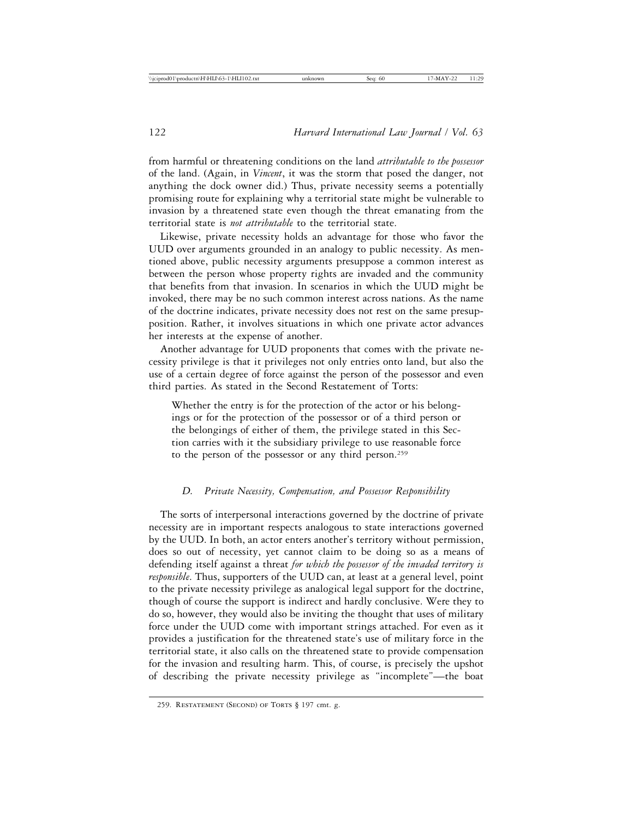from harmful or threatening conditions on the land *attributable to the possessor* of the land. (Again, in *Vincent*, it was the storm that posed the danger, not anything the dock owner did.) Thus, private necessity seems a potentially promising route for explaining why a territorial state might be vulnerable to invasion by a threatened state even though the threat emanating from the territorial state is *not attributable* to the territorial state.

Likewise, private necessity holds an advantage for those who favor the UUD over arguments grounded in an analogy to public necessity. As mentioned above, public necessity arguments presuppose a common interest as between the person whose property rights are invaded and the community that benefits from that invasion. In scenarios in which the UUD might be invoked, there may be no such common interest across nations. As the name of the doctrine indicates, private necessity does not rest on the same presupposition. Rather, it involves situations in which one private actor advances her interests at the expense of another.

Another advantage for UUD proponents that comes with the private necessity privilege is that it privileges not only entries onto land, but also the use of a certain degree of force against the person of the possessor and even third parties. As stated in the Second Restatement of Torts:

Whether the entry is for the protection of the actor or his belongings or for the protection of the possessor or of a third person or the belongings of either of them, the privilege stated in this Section carries with it the subsidiary privilege to use reasonable force to the person of the possessor or any third person.259

## *D. Private Necessity, Compensation, and Possessor Responsibility*

The sorts of interpersonal interactions governed by the doctrine of private necessity are in important respects analogous to state interactions governed by the UUD. In both, an actor enters another's territory without permission, does so out of necessity, yet cannot claim to be doing so as a means of defending itself against a threat *for which the possessor of the invaded territory is responsible*. Thus, supporters of the UUD can, at least at a general level, point to the private necessity privilege as analogical legal support for the doctrine, though of course the support is indirect and hardly conclusive. Were they to do so, however, they would also be inviting the thought that uses of military force under the UUD come with important strings attached. For even as it provides a justification for the threatened state's use of military force in the territorial state, it also calls on the threatened state to provide compensation for the invasion and resulting harm. This, of course, is precisely the upshot of describing the private necessity privilege as "incomplete"—the boat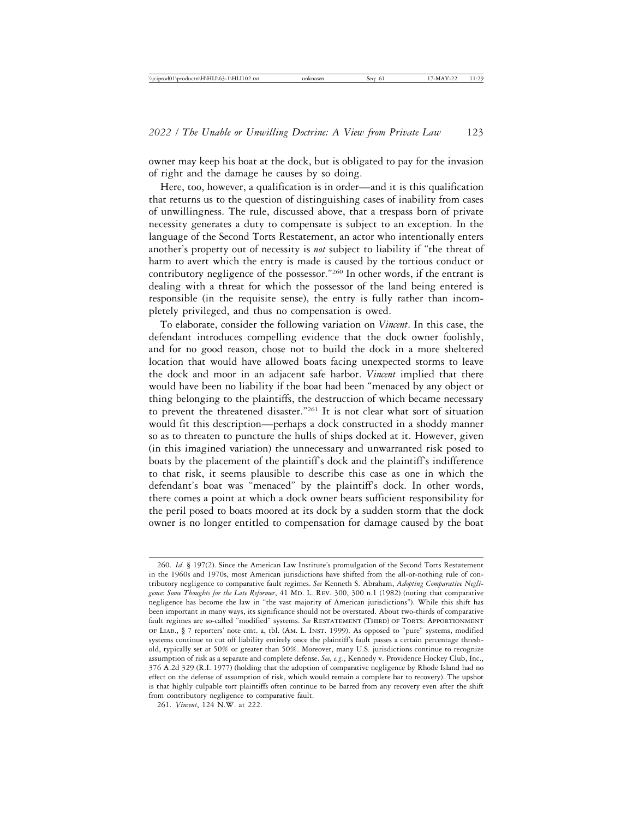owner may keep his boat at the dock, but is obligated to pay for the invasion of right and the damage he causes by so doing.

Here, too, however, a qualification is in order—and it is this qualification that returns us to the question of distinguishing cases of inability from cases of unwillingness. The rule, discussed above, that a trespass born of private necessity generates a duty to compensate is subject to an exception. In the language of the Second Torts Restatement, an actor who intentionally enters another's property out of necessity is *not* subject to liability if "the threat of harm to avert which the entry is made is caused by the tortious conduct or contributory negligence of the possessor."260 In other words, if the entrant is dealing with a threat for which the possessor of the land being entered is responsible (in the requisite sense), the entry is fully rather than incompletely privileged, and thus no compensation is owed.

To elaborate, consider the following variation on *Vincent*. In this case, the defendant introduces compelling evidence that the dock owner foolishly, and for no good reason, chose not to build the dock in a more sheltered location that would have allowed boats facing unexpected storms to leave the dock and moor in an adjacent safe harbor. *Vincent* implied that there would have been no liability if the boat had been "menaced by any object or thing belonging to the plaintiffs, the destruction of which became necessary to prevent the threatened disaster."261 It is not clear what sort of situation would fit this description—perhaps a dock constructed in a shoddy manner so as to threaten to puncture the hulls of ships docked at it. However, given (in this imagined variation) the unnecessary and unwarranted risk posed to boats by the placement of the plaintiff's dock and the plaintiff's indifference to that risk, it seems plausible to describe this case as one in which the defendant's boat was "menaced" by the plaintiff's dock. In other words, there comes a point at which a dock owner bears sufficient responsibility for the peril posed to boats moored at its dock by a sudden storm that the dock owner is no longer entitled to compensation for damage caused by the boat

<sup>260.</sup> *Id*. § 197(2). Since the American Law Institute's promulgation of the Second Torts Restatement in the 1960s and 1970s, most American jurisdictions have shifted from the all-or-nothing rule of contributory negligence to comparative fault regimes. *See* Kenneth S. Abraham, *Adopting Comparative Negli*gence: Some Thoughts for the Late Reformer, 41 MD. L. REV. 300, 300 n.1 (1982) (noting that comparative negligence has become the law in "the vast majority of American jurisdictions"). While this shift has been important in many ways, its significance should not be overstated. About two-thirds of comparative fault regimes are so-called "modified" systems. See RESTATEMENT (THIRD) OF TORTS: APPORTIONMENT of Liab., § 7 reporters' note cmt. a, tbl. (Am. L. Inst. 1999). As opposed to "pure" systems, modified systems continue to cut off liability entirely once the plaintiff's fault passes a certain percentage threshold, typically set at 50% or greater than 50%. Moreover, many U.S. jurisdictions continue to recognize assumption of risk as a separate and complete defense. *See, e.g.*, Kennedy v. Providence Hockey Club, Inc., 376 A.2d 329 (R.I. 1977) (holding that the adoption of comparative negligence by Rhode Island had no effect on the defense of assumption of risk, which would remain a complete bar to recovery). The upshot is that highly culpable tort plaintiffs often continue to be barred from any recovery even after the shift from contributory negligence to comparative fault.

<sup>261.</sup> *Vincent*, 124 N.W. at 222.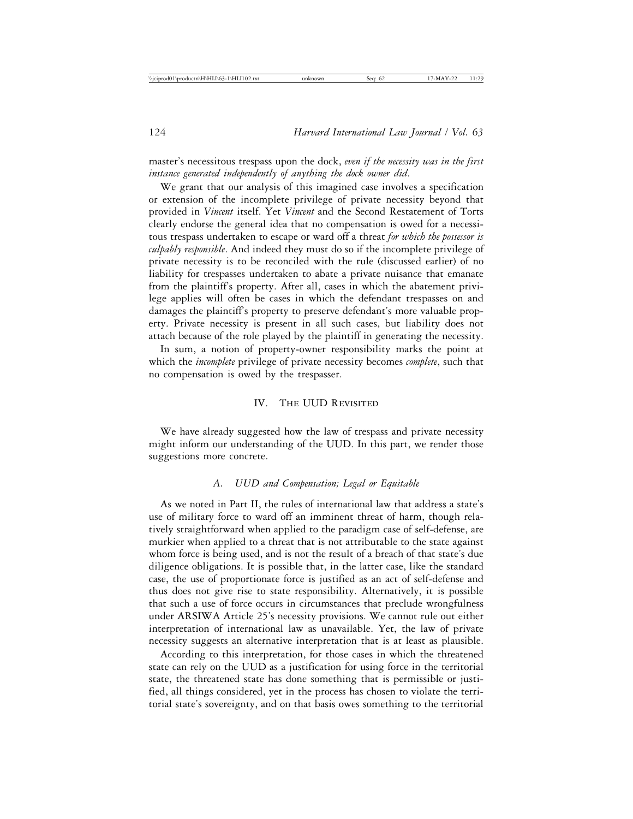master's necessitous trespass upon the dock, *even if the necessity was in the first instance generated independently of anything the dock owner did*.

We grant that our analysis of this imagined case involves a specification or extension of the incomplete privilege of private necessity beyond that provided in *Vincent* itself. Yet *Vincent* and the Second Restatement of Torts clearly endorse the general idea that no compensation is owed for a necessitous trespass undertaken to escape or ward off a threat *for which the possessor is culpably responsible*. And indeed they must do so if the incomplete privilege of private necessity is to be reconciled with the rule (discussed earlier) of no liability for trespasses undertaken to abate a private nuisance that emanate from the plaintiff's property. After all, cases in which the abatement privilege applies will often be cases in which the defendant trespasses on and damages the plaintiff's property to preserve defendant's more valuable property. Private necessity is present in all such cases, but liability does not attach because of the role played by the plaintiff in generating the necessity.

In sum, a notion of property-owner responsibility marks the point at which the *incomplete* privilege of private necessity becomes *complete*, such that no compensation is owed by the trespasser.

### IV. The UUD Revisited

We have already suggested how the law of trespass and private necessity might inform our understanding of the UUD. In this part, we render those suggestions more concrete.

#### *A. UUD and Compensation; Legal or Equitable*

As we noted in Part II, the rules of international law that address a state's use of military force to ward off an imminent threat of harm, though relatively straightforward when applied to the paradigm case of self-defense, are murkier when applied to a threat that is not attributable to the state against whom force is being used, and is not the result of a breach of that state's due diligence obligations. It is possible that, in the latter case, like the standard case, the use of proportionate force is justified as an act of self-defense and thus does not give rise to state responsibility. Alternatively, it is possible that such a use of force occurs in circumstances that preclude wrongfulness under ARSIWA Article 25's necessity provisions. We cannot rule out either interpretation of international law as unavailable. Yet, the law of private necessity suggests an alternative interpretation that is at least as plausible.

According to this interpretation, for those cases in which the threatened state can rely on the UUD as a justification for using force in the territorial state, the threatened state has done something that is permissible or justified, all things considered, yet in the process has chosen to violate the territorial state's sovereignty, and on that basis owes something to the territorial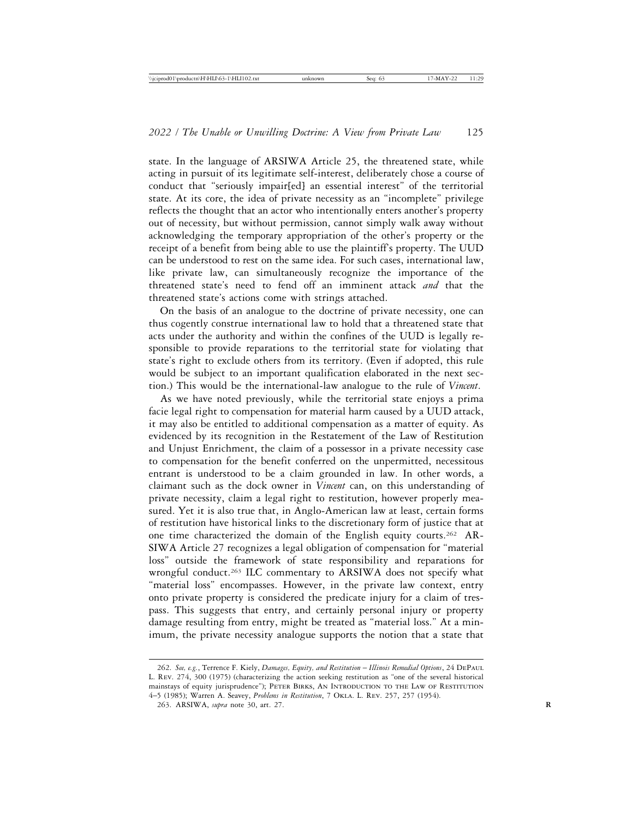state. In the language of ARSIWA Article 25, the threatened state, while acting in pursuit of its legitimate self-interest, deliberately chose a course of conduct that "seriously impair[ed] an essential interest" of the territorial state. At its core, the idea of private necessity as an "incomplete" privilege reflects the thought that an actor who intentionally enters another's property out of necessity, but without permission, cannot simply walk away without acknowledging the temporary appropriation of the other's property or the receipt of a benefit from being able to use the plaintiff's property. The UUD can be understood to rest on the same idea. For such cases, international law, like private law, can simultaneously recognize the importance of the threatened state's need to fend off an imminent attack *and* that the threatened state's actions come with strings attached.

On the basis of an analogue to the doctrine of private necessity, one can thus cogently construe international law to hold that a threatened state that acts under the authority and within the confines of the UUD is legally responsible to provide reparations to the territorial state for violating that state's right to exclude others from its territory. (Even if adopted, this rule would be subject to an important qualification elaborated in the next section.) This would be the international-law analogue to the rule of *Vincent*.

As we have noted previously, while the territorial state enjoys a prima facie legal right to compensation for material harm caused by a UUD attack, it may also be entitled to additional compensation as a matter of equity. As evidenced by its recognition in the Restatement of the Law of Restitution and Unjust Enrichment, the claim of a possessor in a private necessity case to compensation for the benefit conferred on the unpermitted, necessitous entrant is understood to be a claim grounded in law. In other words, a claimant such as the dock owner in *Vincent* can, on this understanding of private necessity, claim a legal right to restitution, however properly measured. Yet it is also true that, in Anglo-American law at least, certain forms of restitution have historical links to the discretionary form of justice that at one time characterized the domain of the English equity courts.262 AR-SIWA Article 27 recognizes a legal obligation of compensation for "material loss" outside the framework of state responsibility and reparations for wrongful conduct.<sup>263</sup> ILC commentary to ARSIWA does not specify what "material loss" encompasses. However, in the private law context, entry onto private property is considered the predicate injury for a claim of trespass. This suggests that entry, and certainly personal injury or property damage resulting from entry, might be treated as "material loss." At a minimum, the private necessity analogue supports the notion that a state that

<sup>262.</sup> *See, e.g.*, Terrence F. Kiely, *Damages, Equity, and Restitution* – *Illinois Remedial Options*, 24 DePaul L. Rev. 274, 300 (1975) (characterizing the action seeking restitution as "one of the several historical mainstays of equity jurisprudence"); PETER BIRKS, AN INTRODUCTION TO THE LAW OF RESTITUTION 4–5 (1985); Warren A. Seavey, *Problems in Restitution*, 7 Okla. L. Rev. 257, 257 (1954).

<sup>263.</sup> ARSIWA, *supra* note 30, art. 27. **R**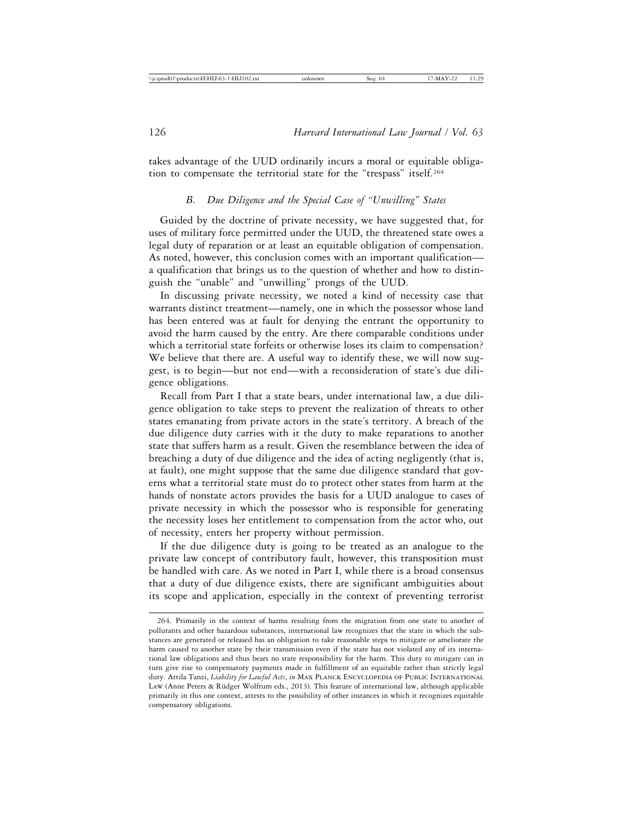takes advantage of the UUD ordinarily incurs a moral or equitable obligation to compensate the territorial state for the "trespass" itself.264

## *B. Due Diligence and the Special Case of "Unwilling" States*

Guided by the doctrine of private necessity, we have suggested that, for uses of military force permitted under the UUD, the threatened state owes a legal duty of reparation or at least an equitable obligation of compensation. As noted, however, this conclusion comes with an important qualification a qualification that brings us to the question of whether and how to distinguish the "unable" and "unwilling" prongs of the UUD.

In discussing private necessity, we noted a kind of necessity case that warrants distinct treatment—namely, one in which the possessor whose land has been entered was at fault for denying the entrant the opportunity to avoid the harm caused by the entry. Are there comparable conditions under which a territorial state forfeits or otherwise loses its claim to compensation? We believe that there are. A useful way to identify these, we will now suggest, is to begin—but not end—with a reconsideration of state's due diligence obligations.

Recall from Part I that a state bears, under international law, a due diligence obligation to take steps to prevent the realization of threats to other states emanating from private actors in the state's territory. A breach of the due diligence duty carries with it the duty to make reparations to another state that suffers harm as a result. Given the resemblance between the idea of breaching a duty of due diligence and the idea of acting negligently (that is, at fault), one might suppose that the same due diligence standard that governs what a territorial state must do to protect other states from harm at the hands of nonstate actors provides the basis for a UUD analogue to cases of private necessity in which the possessor who is responsible for generating the necessity loses her entitlement to compensation from the actor who, out of necessity, enters her property without permission.

If the due diligence duty is going to be treated as an analogue to the private law concept of contributory fault, however, this transposition must be handled with care. As we noted in Part I, while there is a broad consensus that a duty of due diligence exists, there are significant ambiguities about its scope and application, especially in the context of preventing terrorist

<sup>264.</sup> Primarily in the context of harms resulting from the migration from one state to another of pollutants and other hazardous substances, international law recognizes that the state in which the substances are generated or released has an obligation to take reasonable steps to mitigate or ameliorate the harm caused to another state by their transmission even if the state has not violated any of its international law obligations and thus bears no state responsibility for the harm. This duty to mitigate can in turn give rise to compensatory payments made in fulfillment of an equitable rather than strictly legal duty. Attila Tanzi, *Liability for Lawful Acts*, *in* Max Planck Encyclopedia of Public International Law (Anne Peters & Rüdger Wolfrum eds., 2013). This feature of international law, although applicable primarily in this one context, attests to the possibility of other instances in which it recognizes equitable compensatory obligations.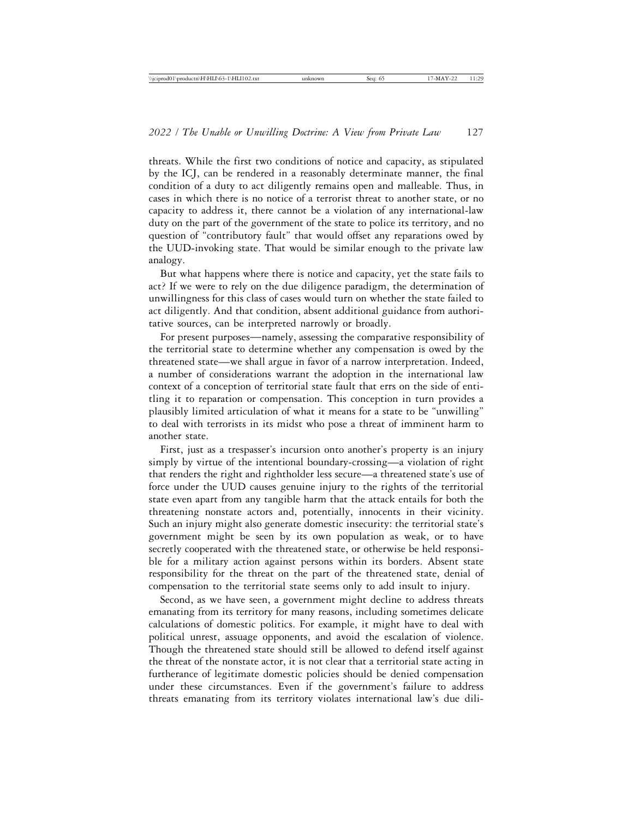threats. While the first two conditions of notice and capacity, as stipulated by the ICJ, can be rendered in a reasonably determinate manner, the final condition of a duty to act diligently remains open and malleable. Thus, in cases in which there is no notice of a terrorist threat to another state, or no capacity to address it, there cannot be a violation of any international-law duty on the part of the government of the state to police its territory, and no question of "contributory fault" that would offset any reparations owed by the UUD-invoking state. That would be similar enough to the private law analogy.

But what happens where there is notice and capacity, yet the state fails to act? If we were to rely on the due diligence paradigm, the determination of unwillingness for this class of cases would turn on whether the state failed to act diligently. And that condition, absent additional guidance from authoritative sources, can be interpreted narrowly or broadly.

For present purposes—namely, assessing the comparative responsibility of the territorial state to determine whether any compensation is owed by the threatened state—we shall argue in favor of a narrow interpretation. Indeed, a number of considerations warrant the adoption in the international law context of a conception of territorial state fault that errs on the side of entitling it to reparation or compensation. This conception in turn provides a plausibly limited articulation of what it means for a state to be "unwilling" to deal with terrorists in its midst who pose a threat of imminent harm to another state.

First, just as a trespasser's incursion onto another's property is an injury simply by virtue of the intentional boundary-crossing—a violation of right that renders the right and rightholder less secure—a threatened state's use of force under the UUD causes genuine injury to the rights of the territorial state even apart from any tangible harm that the attack entails for both the threatening nonstate actors and, potentially, innocents in their vicinity. Such an injury might also generate domestic insecurity: the territorial state's government might be seen by its own population as weak, or to have secretly cooperated with the threatened state, or otherwise be held responsible for a military action against persons within its borders. Absent state responsibility for the threat on the part of the threatened state, denial of compensation to the territorial state seems only to add insult to injury.

Second, as we have seen, a government might decline to address threats emanating from its territory for many reasons, including sometimes delicate calculations of domestic politics. For example, it might have to deal with political unrest, assuage opponents, and avoid the escalation of violence. Though the threatened state should still be allowed to defend itself against the threat of the nonstate actor, it is not clear that a territorial state acting in furtherance of legitimate domestic policies should be denied compensation under these circumstances. Even if the government's failure to address threats emanating from its territory violates international law's due dili-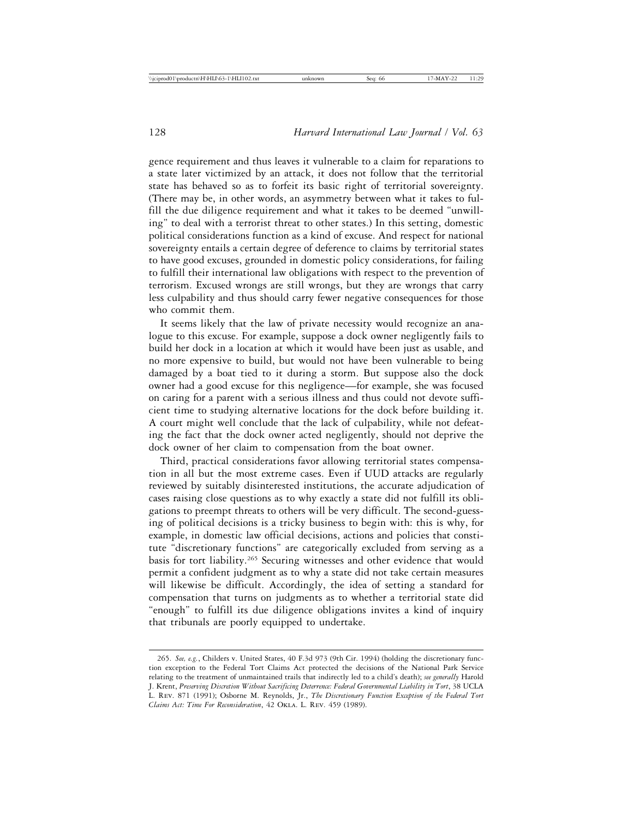gence requirement and thus leaves it vulnerable to a claim for reparations to a state later victimized by an attack, it does not follow that the territorial state has behaved so as to forfeit its basic right of territorial sovereignty. (There may be, in other words, an asymmetry between what it takes to fulfill the due diligence requirement and what it takes to be deemed "unwilling" to deal with a terrorist threat to other states.) In this setting, domestic political considerations function as a kind of excuse. And respect for national sovereignty entails a certain degree of deference to claims by territorial states to have good excuses, grounded in domestic policy considerations, for failing to fulfill their international law obligations with respect to the prevention of terrorism. Excused wrongs are still wrongs, but they are wrongs that carry less culpability and thus should carry fewer negative consequences for those who commit them.

It seems likely that the law of private necessity would recognize an analogue to this excuse. For example, suppose a dock owner negligently fails to build her dock in a location at which it would have been just as usable, and no more expensive to build, but would not have been vulnerable to being damaged by a boat tied to it during a storm. But suppose also the dock owner had a good excuse for this negligence—for example, she was focused on caring for a parent with a serious illness and thus could not devote sufficient time to studying alternative locations for the dock before building it. A court might well conclude that the lack of culpability, while not defeating the fact that the dock owner acted negligently, should not deprive the dock owner of her claim to compensation from the boat owner.

Third, practical considerations favor allowing territorial states compensation in all but the most extreme cases. Even if UUD attacks are regularly reviewed by suitably disinterested institutions, the accurate adjudication of cases raising close questions as to why exactly a state did not fulfill its obligations to preempt threats to others will be very difficult. The second-guessing of political decisions is a tricky business to begin with: this is why, for example, in domestic law official decisions, actions and policies that constitute "discretionary functions" are categorically excluded from serving as a basis for tort liability.<sup>265</sup> Securing witnesses and other evidence that would permit a confident judgment as to why a state did not take certain measures will likewise be difficult. Accordingly, the idea of setting a standard for compensation that turns on judgments as to whether a territorial state did "enough" to fulfill its due diligence obligations invites a kind of inquiry that tribunals are poorly equipped to undertake.

<sup>265.</sup> *See, e.g.*, Childers v. United States, 40 F.3d 973 (9th Cir. 1994) (holding the discretionary function exception to the Federal Tort Claims Act protected the decisions of the National Park Service relating to the treatment of unmaintained trails that indirectly led to a child's death); *see generally* Harold J. Krent, *Preserving Discretion Without Sacrificing Deterrence: Federal Governmental Liability in Tort*, 38 UCLA L. Rev. 871 (1991); Osborne M. Reynolds, Jr., *The Discretionary Function Exception of the Federal Tort Claims Act: Time For Reconsideration*, 42 Okla. L. Rev. 459 (1989).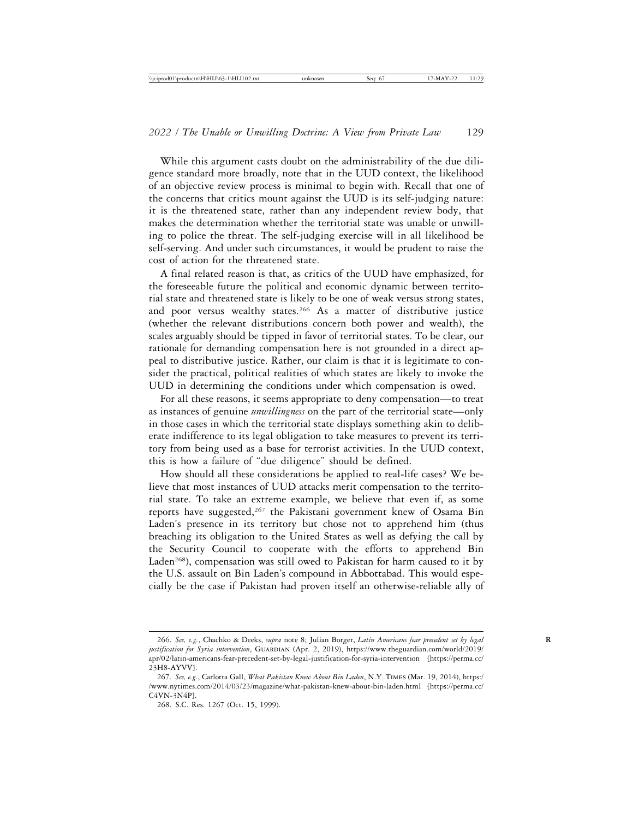While this argument casts doubt on the administrability of the due diligence standard more broadly, note that in the UUD context, the likelihood of an objective review process is minimal to begin with. Recall that one of the concerns that critics mount against the UUD is its self-judging nature: it is the threatened state, rather than any independent review body, that makes the determination whether the territorial state was unable or unwilling to police the threat. The self-judging exercise will in all likelihood be self-serving. And under such circumstances, it would be prudent to raise the cost of action for the threatened state.

A final related reason is that, as critics of the UUD have emphasized, for the foreseeable future the political and economic dynamic between territorial state and threatened state is likely to be one of weak versus strong states, and poor versus wealthy states.<sup>266</sup> As a matter of distributive justice (whether the relevant distributions concern both power and wealth), the scales arguably should be tipped in favor of territorial states. To be clear, our rationale for demanding compensation here is not grounded in a direct appeal to distributive justice. Rather, our claim is that it is legitimate to consider the practical, political realities of which states are likely to invoke the UUD in determining the conditions under which compensation is owed.

For all these reasons, it seems appropriate to deny compensation—to treat as instances of genuine *unwillingness* on the part of the territorial state—only in those cases in which the territorial state displays something akin to deliberate indifference to its legal obligation to take measures to prevent its territory from being used as a base for terrorist activities. In the UUD context, this is how a failure of "due diligence" should be defined.

How should all these considerations be applied to real-life cases? We believe that most instances of UUD attacks merit compensation to the territorial state. To take an extreme example, we believe that even if, as some reports have suggested,<sup>267</sup> the Pakistani government knew of Osama Bin Laden's presence in its territory but chose not to apprehend him (thus breaching its obligation to the United States as well as defying the call by the Security Council to cooperate with the efforts to apprehend Bin Laden<sup>268</sup>), compensation was still owed to Pakistan for harm caused to it by the U.S. assault on Bin Laden's compound in Abbottabad. This would especially be the case if Pakistan had proven itself an otherwise-reliable ally of

<sup>266.</sup> *See, e.g.*, Chachko & Deeks, *supra* note 8; Julian Borger, *Latin Americans fear precedent set by legal* **R** justification for Syria intervention, GUARDIAN (Apr. 2, 2019), https://www.theguardian.com/world/2019/ apr/02/latin-americans-fear-precedent-set-by-legal-justification-for-syria-intervention [https://perma.cc/ 23H8-AYVV].

<sup>267.</sup> *See, e.g.*, Carlotta Gall, *What Pakistan Knew About Bin Laden*, N.Y. Times (Mar. 19, 2014), https:/ /www.nytimes.com/2014/03/23/magazine/what-pakistan-knew-about-bin-laden.html [https://perma.cc/ C4VN-3N4P].

<sup>268.</sup> S.C. Res. 1267 (Oct. 15, 1999).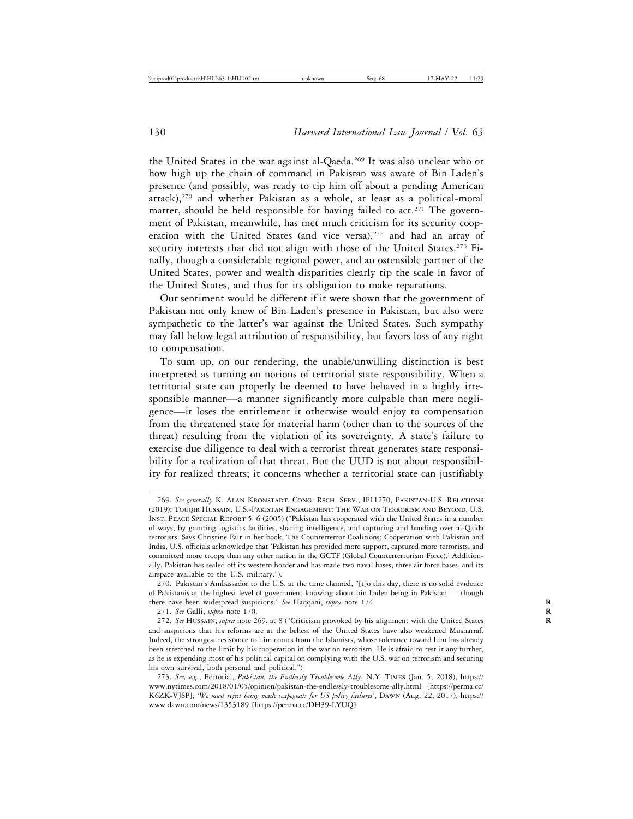the United States in the war against al-Qaeda.269 It was also unclear who or how high up the chain of command in Pakistan was aware of Bin Laden's presence (and possibly, was ready to tip him off about a pending American attack),270 and whether Pakistan as a whole, at least as a political-moral matter, should be held responsible for having failed to  $act.^{271}$ . The government of Pakistan, meanwhile, has met much criticism for its security cooperation with the United States (and vice versa),<sup>272</sup> and had an array of security interests that did not align with those of the United States.<sup>273</sup> Finally, though a considerable regional power, and an ostensible partner of the United States, power and wealth disparities clearly tip the scale in favor of the United States, and thus for its obligation to make reparations.

Our sentiment would be different if it were shown that the government of Pakistan not only knew of Bin Laden's presence in Pakistan, but also were sympathetic to the latter's war against the United States. Such sympathy may fall below legal attribution of responsibility, but favors loss of any right to compensation.

To sum up, on our rendering, the unable/unwilling distinction is best interpreted as turning on notions of territorial state responsibility. When a territorial state can properly be deemed to have behaved in a highly irresponsible manner—a manner significantly more culpable than mere negligence—it loses the entitlement it otherwise would enjoy to compensation from the threatened state for material harm (other than to the sources of the threat) resulting from the violation of its sovereignty. A state's failure to exercise due diligence to deal with a terrorist threat generates state responsibility for a realization of that threat. But the UUD is not about responsibility for realized threats; it concerns whether a territorial state can justifiably

271. *See* Galli, *supra* note 170. **R**

<sup>269.</sup> *See generally* K. Alan Kronstadt, Cong. Rsch. Serv., IF11270, Pakistan-U.S. Relations (2019); Touqir Hussain, U.S.-Pakistan Engagement: The War on Terrorism and Beyond, U.S. Inst. Peace Special Report 5–6 (2005) ("Pakistan has cooperated with the United States in a number of ways, by granting logistics facilities, sharing intelligence, and capturing and handing over al-Qaida terrorists. Says Christine Fair in her book, The Counterterror Coalitions: Cooperation with Pakistan and India, U.S. officials acknowledge that 'Pakistan has provided more support, captured more terrorists, and committed more troops than any other nation in the GCTF (Global Counterterrorism Force).' Additionally, Pakistan has sealed off its western border and has made two naval bases, three air force bases, and its airspace available to the U.S. military.").

<sup>270.</sup> Pakistan's Ambassador to the U.S. at the time claimed, "[t]o this day, there is no solid evidence of Pakistanis at the highest level of government knowing about bin Laden being in Pakistan — though there have been widespread suspicions." *See* Haqqani, *supra* note 174. **R**

<sup>272.</sup> *See* Hussain, *supra* note 269, at 8 ("Criticism provoked by his alignment with the United States **R** and suspicions that his reforms are at the behest of the United States have also weakened Musharraf. Indeed, the strongest resistance to him comes from the Islamists, whose tolerance toward him has already been stretched to the limit by his cooperation in the war on terrorism. He is afraid to test it any further, as he is expending most of his political capital on complying with the U.S. war on terrorism and securing his own survival, both personal and political.")

<sup>273.</sup> *See, e.g.*, Editorial, *Pakistan, the Endlessly Troublesome Ally*, N.Y. Times (Jan. 5, 2018), https:// www.nytimes.com/2018/01/05/opinion/pakistan-the-endlessly-troublesome-ally.html [https://perma.cc/ K6ZK-VJSP]; *'We must reject being made scapegoats for US policy failures'*, Dawn (Aug. 22, 2017), https:// www.dawn.com/news/1353189 [https://perma.cc/DH39-LYUQ].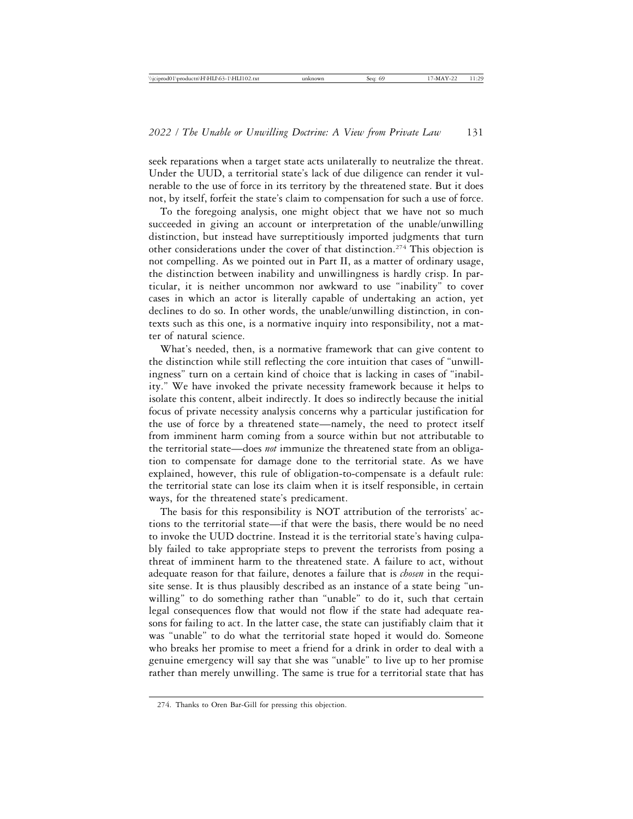seek reparations when a target state acts unilaterally to neutralize the threat. Under the UUD, a territorial state's lack of due diligence can render it vulnerable to the use of force in its territory by the threatened state. But it does not, by itself, forfeit the state's claim to compensation for such a use of force.

To the foregoing analysis, one might object that we have not so much succeeded in giving an account or interpretation of the unable/unwilling distinction, but instead have surreptitiously imported judgments that turn other considerations under the cover of that distinction.274 This objection is not compelling. As we pointed out in Part II, as a matter of ordinary usage, the distinction between inability and unwillingness is hardly crisp. In particular, it is neither uncommon nor awkward to use "inability" to cover cases in which an actor is literally capable of undertaking an action, yet declines to do so. In other words, the unable/unwilling distinction, in contexts such as this one, is a normative inquiry into responsibility, not a matter of natural science.

What's needed, then, is a normative framework that can give content to the distinction while still reflecting the core intuition that cases of "unwillingness" turn on a certain kind of choice that is lacking in cases of "inability." We have invoked the private necessity framework because it helps to isolate this content, albeit indirectly. It does so indirectly because the initial focus of private necessity analysis concerns why a particular justification for the use of force by a threatened state—namely, the need to protect itself from imminent harm coming from a source within but not attributable to the territorial state—does *not* immunize the threatened state from an obligation to compensate for damage done to the territorial state. As we have explained, however, this rule of obligation-to-compensate is a default rule: the territorial state can lose its claim when it is itself responsible, in certain ways, for the threatened state's predicament.

The basis for this responsibility is NOT attribution of the terrorists' actions to the territorial state—if that were the basis, there would be no need to invoke the UUD doctrine. Instead it is the territorial state's having culpably failed to take appropriate steps to prevent the terrorists from posing a threat of imminent harm to the threatened state. A failure to act, without adequate reason for that failure, denotes a failure that is *chosen* in the requisite sense. It is thus plausibly described as an instance of a state being "unwilling" to do something rather than "unable" to do it, such that certain legal consequences flow that would not flow if the state had adequate reasons for failing to act. In the latter case, the state can justifiably claim that it was "unable" to do what the territorial state hoped it would do. Someone who breaks her promise to meet a friend for a drink in order to deal with a genuine emergency will say that she was "unable" to live up to her promise rather than merely unwilling. The same is true for a territorial state that has

<sup>274.</sup> Thanks to Oren Bar-Gill for pressing this objection.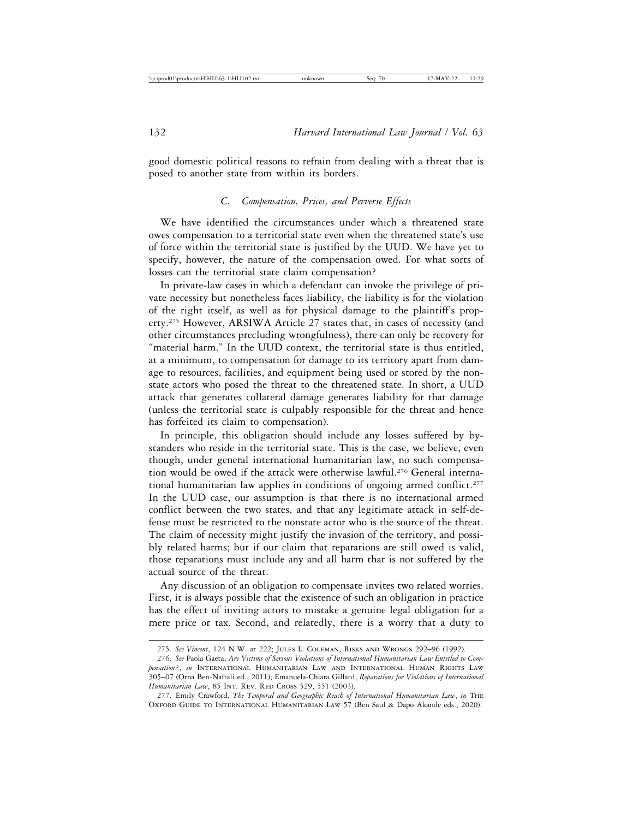good domestic political reasons to refrain from dealing with a threat that is posed to another state from within its borders.

# *C. Compensation, Prices, and Perverse Effects*

We have identified the circumstances under which a threatened state owes compensation to a territorial state even when the threatened state's use of force within the territorial state is justified by the UUD. We have yet to specify, however, the nature of the compensation owed. For what sorts of losses can the territorial state claim compensation?

In private-law cases in which a defendant can invoke the privilege of private necessity but nonetheless faces liability, the liability is for the violation of the right itself, as well as for physical damage to the plaintiff's property.275 However, ARSIWA Article 27 states that, in cases of necessity (and other circumstances precluding wrongfulness), there can only be recovery for "material harm." In the UUD context, the territorial state is thus entitled, at a minimum, to compensation for damage to its territory apart from damage to resources, facilities, and equipment being used or stored by the nonstate actors who posed the threat to the threatened state. In short, a UUD attack that generates collateral damage generates liability for that damage (unless the territorial state is culpably responsible for the threat and hence has forfeited its claim to compensation).

In principle, this obligation should include any losses suffered by bystanders who reside in the territorial state. This is the case, we believe, even though, under general international humanitarian law, no such compensation would be owed if the attack were otherwise lawful.276 General international humanitarian law applies in conditions of ongoing armed conflict.<sup>277</sup> In the UUD case, our assumption is that there is no international armed conflict between the two states, and that any legitimate attack in self-defense must be restricted to the nonstate actor who is the source of the threat. The claim of necessity might justify the invasion of the territory, and possibly related harms; but if our claim that reparations are still owed is valid, those reparations must include any and all harm that is not suffered by the actual source of the threat.

Any discussion of an obligation to compensate invites two related worries. First, it is always possible that the existence of such an obligation in practice has the effect of inviting actors to mistake a genuine legal obligation for a mere price or tax. Second, and relatedly, there is a worry that a duty to

<sup>275.</sup> *See Vincent*, 124 N.W. at 222; Jules L. Coleman, Risks and Wrongs 292–96 (1992).

<sup>276.</sup> *See* Paola Gaeta, *Are Victims of Serious Violations of International Humanitarian Law Entitled to Compensation?*, *in* International Humanitarian Law and International Human Rights Law 305–07 (Orna Ben-Naftali ed., 2011); Emanuela-Chiara Gillard, *Reparations for Violations of International Humanitarian Law*, 85 INT. REV. RED CROSS 529, 551 (2003).

<sup>277.</sup> Emily Crawford, *The Temporal and Geographic Reach of International Humanitarian Law*, *in* The Oxford Guide to International Humanitarian Law 57 (Ben Saul & Dapo Akande eds., 2020).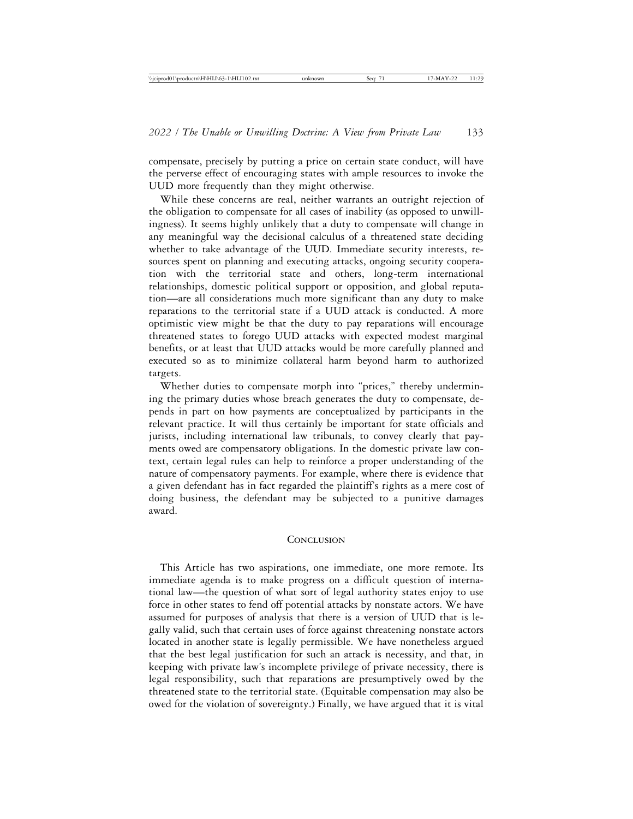compensate, precisely by putting a price on certain state conduct, will have the perverse effect of encouraging states with ample resources to invoke the UUD more frequently than they might otherwise.

While these concerns are real, neither warrants an outright rejection of the obligation to compensate for all cases of inability (as opposed to unwillingness). It seems highly unlikely that a duty to compensate will change in any meaningful way the decisional calculus of a threatened state deciding whether to take advantage of the UUD. Immediate security interests, resources spent on planning and executing attacks, ongoing security cooperation with the territorial state and others, long-term international relationships, domestic political support or opposition, and global reputation—are all considerations much more significant than any duty to make reparations to the territorial state if a UUD attack is conducted. A more optimistic view might be that the duty to pay reparations will encourage threatened states to forego UUD attacks with expected modest marginal benefits, or at least that UUD attacks would be more carefully planned and executed so as to minimize collateral harm beyond harm to authorized targets.

Whether duties to compensate morph into "prices," thereby undermining the primary duties whose breach generates the duty to compensate, depends in part on how payments are conceptualized by participants in the relevant practice. It will thus certainly be important for state officials and jurists, including international law tribunals, to convey clearly that payments owed are compensatory obligations. In the domestic private law context, certain legal rules can help to reinforce a proper understanding of the nature of compensatory payments. For example, where there is evidence that a given defendant has in fact regarded the plaintiff's rights as a mere cost of doing business, the defendant may be subjected to a punitive damages award.

#### **CONCLUSION**

This Article has two aspirations, one immediate, one more remote. Its immediate agenda is to make progress on a difficult question of international law—the question of what sort of legal authority states enjoy to use force in other states to fend off potential attacks by nonstate actors. We have assumed for purposes of analysis that there is a version of UUD that is legally valid, such that certain uses of force against threatening nonstate actors located in another state is legally permissible. We have nonetheless argued that the best legal justification for such an attack is necessity, and that, in keeping with private law's incomplete privilege of private necessity, there is legal responsibility, such that reparations are presumptively owed by the threatened state to the territorial state. (Equitable compensation may also be owed for the violation of sovereignty.) Finally, we have argued that it is vital